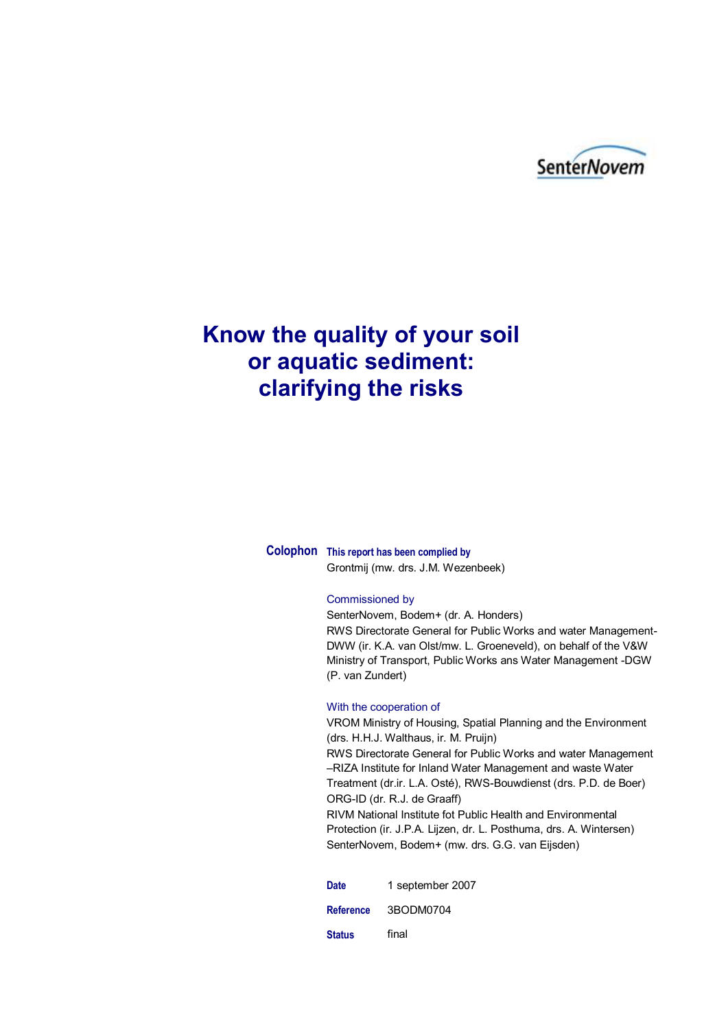

## **Know the quality of your soil or aquatic sediment: clarifying the risks**

**Colophon This report has been complied by**

Grontmij (mw. drs. J.M. Wezenbeek)

#### Commissioned by

SenterNovem, Bodem+ (dr. A. Honders) RWS Directorate General for Public Works and water Management-DWW (ir. K.A. van Olst/mw. L. Groeneveld), on behalf of the V&W Ministry of Transport, Public Works ans Water Management -DGW (P. van Zundert)

#### With the cooperation of

VROM Ministry of Housing, Spatial Planning and the Environment (drs. H.H.J. Walthaus, ir. M. Pruijn) RWS Directorate General for Public Works and water Management –RIZA Institute for Inland Water Management and waste Water Treatment (dr.ir. L.A. Osté), RWS-Bouwdienst (drs. P.D. de Boer) ORG-ID (dr. R.J. de Graaff) RIVM National Institute fot Public Health and Environmental Protection (ir. J.P.A. Lijzen, dr. L. Posthuma, drs. A. Wintersen) SenterNovem, Bodem+ (mw. drs. G.G. van Eijsden)

Date 1 september 2007 **Reference** 3BODM0704 **Status** final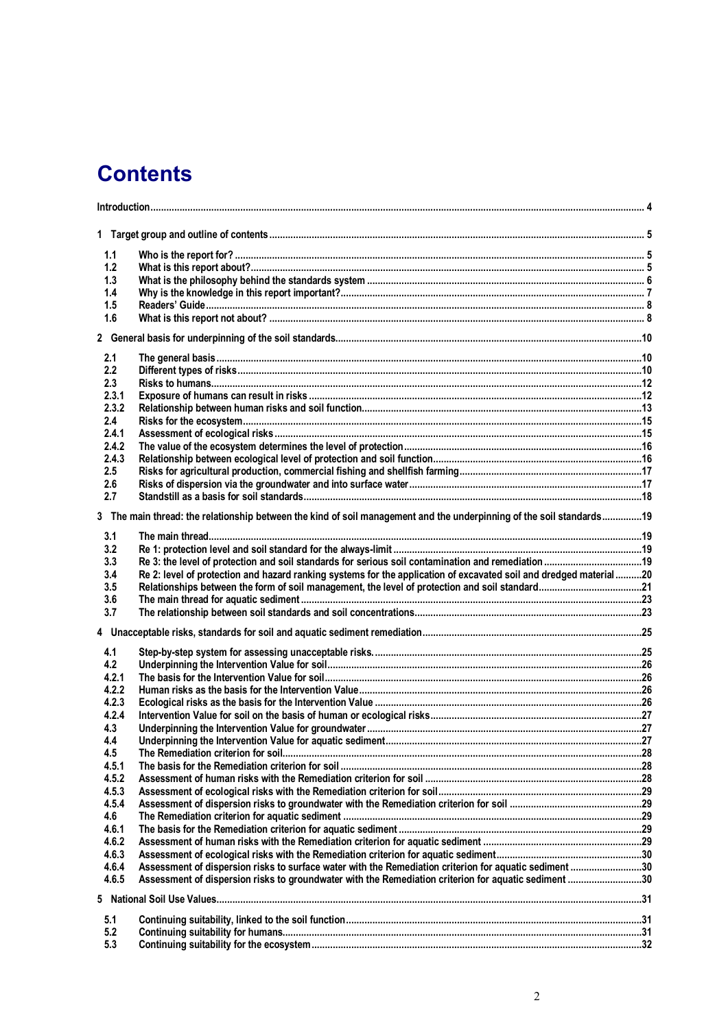# **Contents**

| 1.1            |                                                                                                                      |  |  |  |  |
|----------------|----------------------------------------------------------------------------------------------------------------------|--|--|--|--|
| 1.2            |                                                                                                                      |  |  |  |  |
| 1.3            |                                                                                                                      |  |  |  |  |
| 1.4            |                                                                                                                      |  |  |  |  |
| 1.5            |                                                                                                                      |  |  |  |  |
| 1.6            |                                                                                                                      |  |  |  |  |
|                |                                                                                                                      |  |  |  |  |
|                |                                                                                                                      |  |  |  |  |
| 2.1            |                                                                                                                      |  |  |  |  |
| 2.2            |                                                                                                                      |  |  |  |  |
| 2.3            |                                                                                                                      |  |  |  |  |
| 2.3.1          |                                                                                                                      |  |  |  |  |
| 2.3.2          |                                                                                                                      |  |  |  |  |
| 2.4            |                                                                                                                      |  |  |  |  |
| 2.4.1          |                                                                                                                      |  |  |  |  |
| 2.4.2          |                                                                                                                      |  |  |  |  |
| 2.4.3          |                                                                                                                      |  |  |  |  |
| 2.5            |                                                                                                                      |  |  |  |  |
| 2.6            |                                                                                                                      |  |  |  |  |
| 2.7            |                                                                                                                      |  |  |  |  |
|                | 3 The main thread: the relationship between the kind of soil management and the underpinning of the soil standards19 |  |  |  |  |
|                |                                                                                                                      |  |  |  |  |
| 3.1            |                                                                                                                      |  |  |  |  |
| 3.2            |                                                                                                                      |  |  |  |  |
| 3.3            |                                                                                                                      |  |  |  |  |
| 3.4            | Re 2: level of protection and hazard ranking systems for the application of excavated soil and dredged material20    |  |  |  |  |
| 3.5            |                                                                                                                      |  |  |  |  |
| 3.6            |                                                                                                                      |  |  |  |  |
| 3.7            |                                                                                                                      |  |  |  |  |
|                |                                                                                                                      |  |  |  |  |
|                |                                                                                                                      |  |  |  |  |
| 4.1            |                                                                                                                      |  |  |  |  |
| 4.2            |                                                                                                                      |  |  |  |  |
| 4.2.1          |                                                                                                                      |  |  |  |  |
| 4.2.2<br>4.2.3 |                                                                                                                      |  |  |  |  |
| 4.2.4          |                                                                                                                      |  |  |  |  |
| 4.3            |                                                                                                                      |  |  |  |  |
| 4.4            |                                                                                                                      |  |  |  |  |
| 4.5            |                                                                                                                      |  |  |  |  |
| 4.5.1          |                                                                                                                      |  |  |  |  |
| 4.5.2          |                                                                                                                      |  |  |  |  |
| 4.5.3          |                                                                                                                      |  |  |  |  |
| 4.5.4          |                                                                                                                      |  |  |  |  |
| 4.6            |                                                                                                                      |  |  |  |  |
| 4.6.1          |                                                                                                                      |  |  |  |  |
| 4.6.2          |                                                                                                                      |  |  |  |  |
| 4.6.3          |                                                                                                                      |  |  |  |  |
| 4.6.4          | Assessment of dispersion risks to surface water with the Remediation criterion for aquatic sediment 30               |  |  |  |  |
| 4.6.5          | Assessment of dispersion risks to groundwater with the Remediation criterion for aquatic sediment 30                 |  |  |  |  |
|                |                                                                                                                      |  |  |  |  |
|                |                                                                                                                      |  |  |  |  |
| 5.1            |                                                                                                                      |  |  |  |  |
| 5.2            |                                                                                                                      |  |  |  |  |
| 5.3            |                                                                                                                      |  |  |  |  |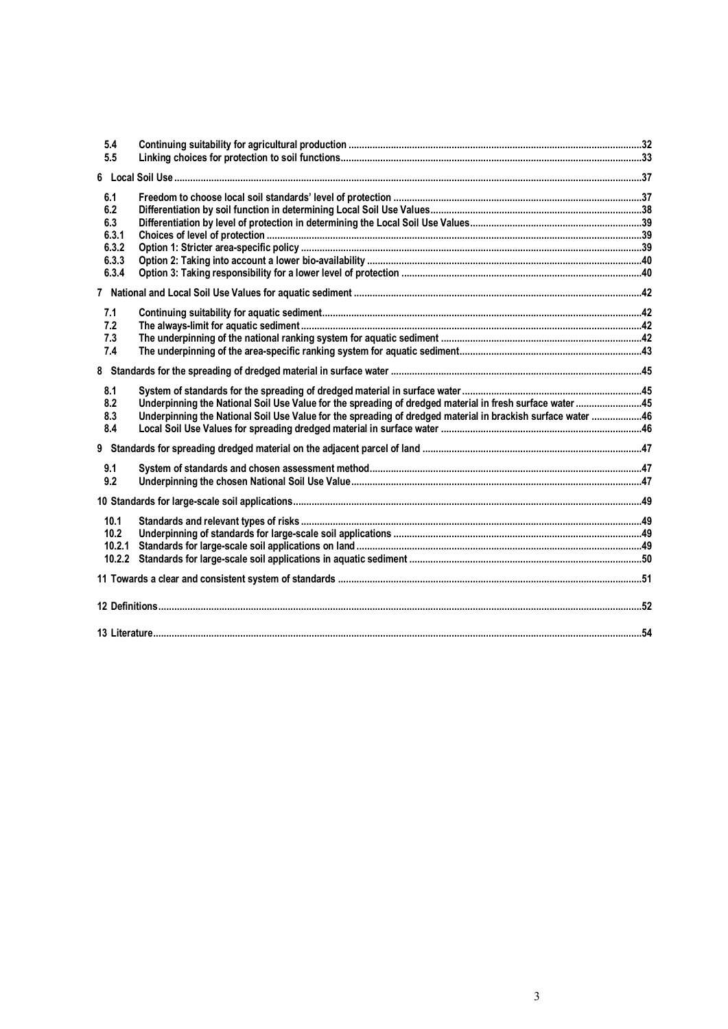| 5.4<br>5.5 |                                                                                                             |  |
|------------|-------------------------------------------------------------------------------------------------------------|--|
|            |                                                                                                             |  |
|            |                                                                                                             |  |
| 6.1        |                                                                                                             |  |
| 6.2        |                                                                                                             |  |
| 6.3        |                                                                                                             |  |
| 6.3.1      |                                                                                                             |  |
| 6.3.2      |                                                                                                             |  |
| 6.3.3      |                                                                                                             |  |
| 6.3.4      |                                                                                                             |  |
|            |                                                                                                             |  |
| 7.1        |                                                                                                             |  |
| 7.2        |                                                                                                             |  |
| 7.3        |                                                                                                             |  |
| 7.4        |                                                                                                             |  |
|            |                                                                                                             |  |
| 8.1        |                                                                                                             |  |
| 8.2        | Underpinning the National Soil Use Value for the spreading of dredged material in fresh surface water45     |  |
| 8.3        | Underpinning the National Soil Use Value for the spreading of dredged material in brackish surface water 46 |  |
| 8.4        |                                                                                                             |  |
|            |                                                                                                             |  |
| 9.1        |                                                                                                             |  |
| 9.2        |                                                                                                             |  |
|            |                                                                                                             |  |
| 10.1       |                                                                                                             |  |
| 10.2       |                                                                                                             |  |
| 10.2.1     |                                                                                                             |  |
| 10.2.2     |                                                                                                             |  |
|            |                                                                                                             |  |
|            |                                                                                                             |  |
|            |                                                                                                             |  |
|            |                                                                                                             |  |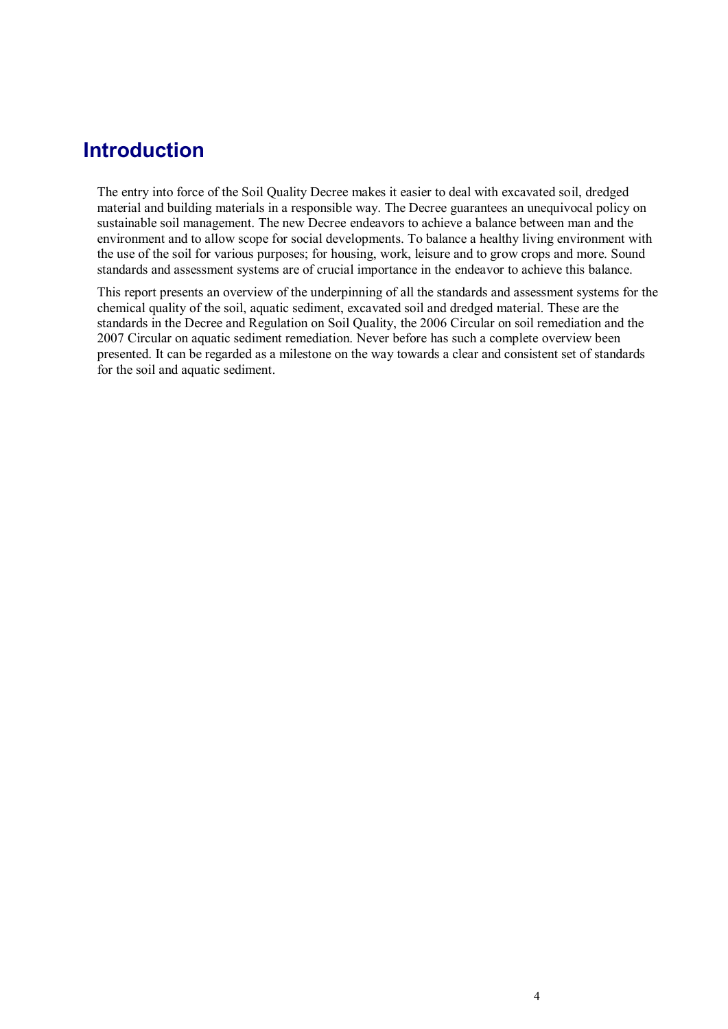### **Introduction**

The entry into force of the Soil Quality Decree makes it easier to deal with excavated soil, dredged material and building materials in a responsible way. The Decree guarantees an unequivocal policy on sustainable soil management. The new Decree endeavors to achieve a balance between man and the environment and to allow scope for social developments. To balance a healthy living environment with the use of the soil for various purposes; for housing, work, leisure and to grow crops and more. Sound standards and assessment systems are of crucial importance in the endeavor to achieve this balance.

This report presents an overview of the underpinning of all the standards and assessment systems for the chemical quality of the soil, aquatic sediment, excavated soil and dredged material. These are the standards in the Decree and Regulation on Soil Quality, the 2006 Circular on soil remediation and the 2007 Circular on aquatic sediment remediation. Never before has such a complete overview been presented. It can be regarded as a milestone on the way towards a clear and consistent set of standards for the soil and aquatic sediment.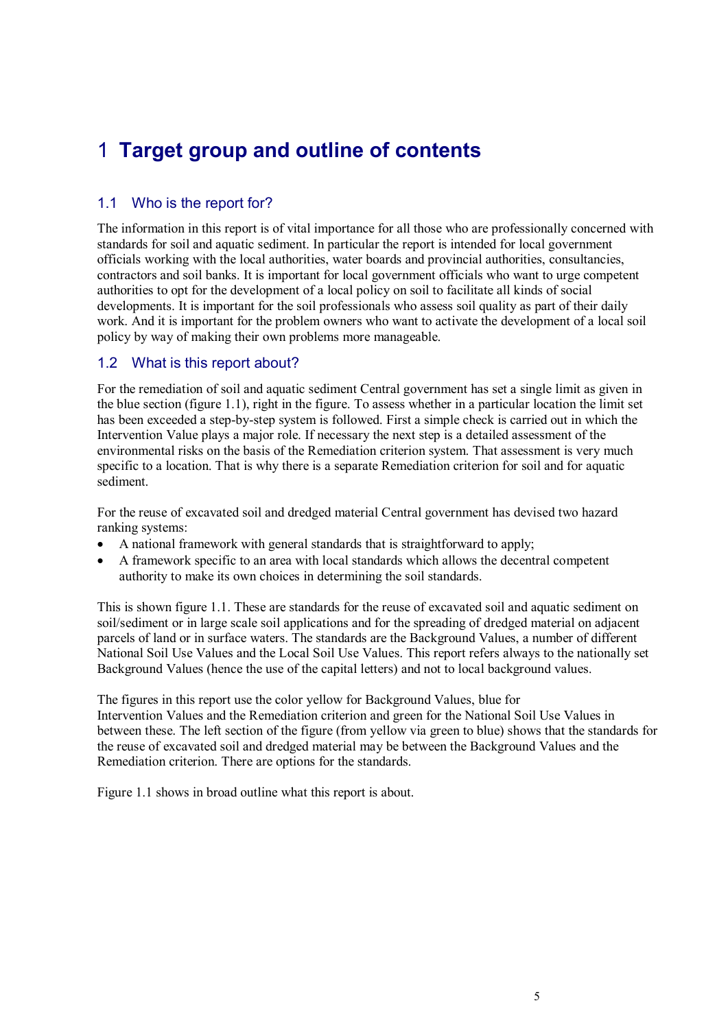## 1 **Target group and outline of contents**

#### 1.1 Who is the report for?

The information in this report is of vital importance for all those who are professionally concerned with standards for soil and aquatic sediment. In particular the report is intended for local government officials working with the local authorities, water boards and provincial authorities, consultancies, contractors and soil banks. It is important for local government officials who want to urge competent authorities to opt for the development of a local policy on soil to facilitate all kinds of social developments. It is important for the soil professionals who assess soil quality as part of their daily work. And it is important for the problem owners who want to activate the development of a local soil policy by way of making their own problems more manageable.

#### 1.2 What is this report about?

For the remediation of soil and aquatic sediment Central government has set a single limit as given in the blue section (figure 1.1), right in the figure. To assess whether in a particular location the limit set has been exceeded a step-by-step system is followed. First a simple check is carried out in which the Intervention Value plays a major role. If necessary the next step is a detailed assessment of the environmental risks on the basis of the Remediation criterion system. That assessment is very much specific to a location. That is why there is a separate Remediation criterion for soil and for aquatic sediment.

For the reuse of excavated soil and dredged material Central government has devised two hazard ranking systems:

- A national framework with general standards that is straightforward to apply;
- A framework specific to an area with local standards which allows the decentral competent authority to make its own choices in determining the soil standards.

This is shown figure 1.1. These are standards for the reuse of excavated soil and aquatic sediment on soil/sediment or in large scale soil applications and for the spreading of dredged material on adjacent parcels of land or in surface waters. The standards are the Background Values, a number of different National Soil Use Values and the Local Soil Use Values. This report refers always to the nationally set Background Values (hence the use of the capital letters) and not to local background values.

The figures in this report use the color yellow for Background Values, blue for Intervention Values and the Remediation criterion and green for the National Soil Use Values in between these. The left section of the figure (from yellow via green to blue) shows that the standards for the reuse of excavated soil and dredged material may be between the Background Values and the Remediation criterion. There are options for the standards.

Figure 1.1 shows in broad outline what this report is about.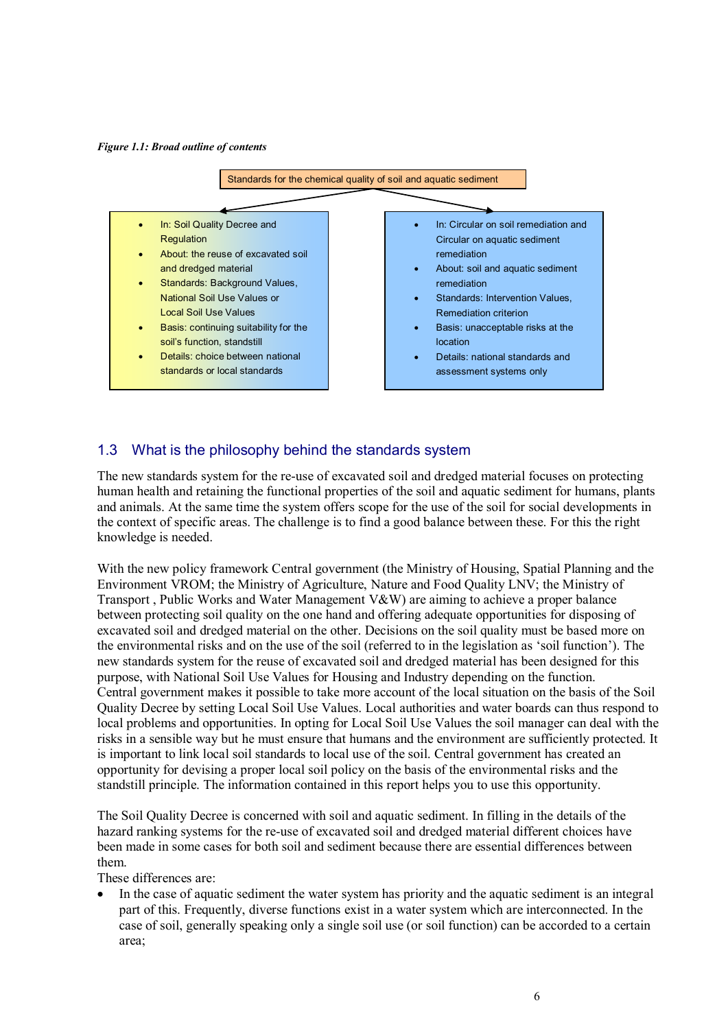*Figure 1.1: Broad outline of contents*



#### 1.3 What is the philosophy behind the standards system

The new standards system for the re-use of excavated soil and dredged material focuses on protecting human health and retaining the functional properties of the soil and aquatic sediment for humans, plants and animals. At the same time the system offers scope for the use of the soil for social developments in the context of specific areas. The challenge is to find a good balance between these. For this the right knowledge is needed.

With the new policy framework Central government (the Ministry of Housing, Spatial Planning and the Environment VROM; the Ministry of Agriculture, Nature and Food Quality LNV; the Ministry of Transport , Public Works and Water Management V&W) are aiming to achieve a proper balance between protecting soil quality on the one hand and offering adequate opportunities for disposing of excavated soil and dredged material on the other. Decisions on the soil quality must be based more on the environmental risks and on the use of the soil (referred to in the legislation as "soil function"). The new standards system for the reuse of excavated soil and dredged material has been designed for this purpose, with National Soil Use Values for Housing and Industry depending on the function. Central government makes it possible to take more account of the local situation on the basis of the Soil Quality Decree by setting Local Soil Use Values. Local authorities and water boards can thus respond to local problems and opportunities. In opting for Local Soil Use Values the soil manager can deal with the risks in a sensible way but he must ensure that humans and the environment are sufficiently protected. It is important to link local soil standards to local use of the soil. Central government has created an opportunity for devising a proper local soil policy on the basis of the environmental risks and the standstill principle. The information contained in this report helps you to use this opportunity.

The Soil Quality Decree is concerned with soil and aquatic sediment. In filling in the details of the hazard ranking systems for the re-use of excavated soil and dredged material different choices have been made in some cases for both soil and sediment because there are essential differences between them.

These differences are:

 In the case of aquatic sediment the water system has priority and the aquatic sediment is an integral part of this. Frequently, diverse functions exist in a water system which are interconnected. In the case of soil, generally speaking only a single soil use (or soil function) can be accorded to a certain area;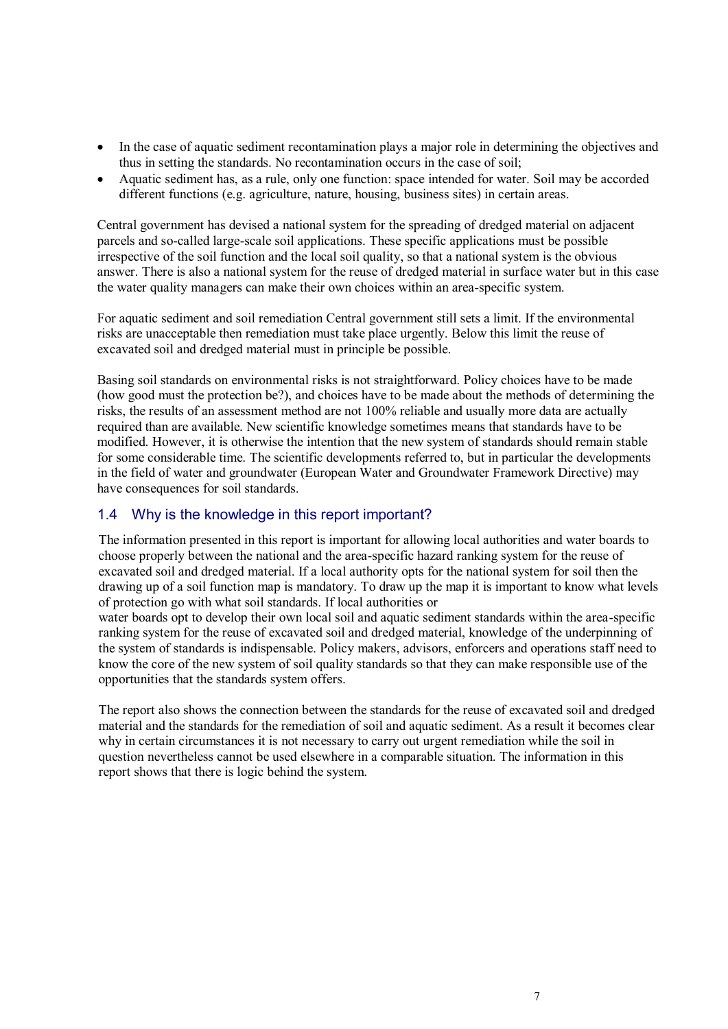- In the case of aquatic sediment recontamination plays a major role in determining the objectives and thus in setting the standards. No recontamination occurs in the case of soil;
- Aquatic sediment has, as a rule, only one function: space intended for water. Soil may be accorded different functions (e.g. agriculture, nature, housing, business sites) in certain areas.

Central government has devised a national system for the spreading of dredged material on adjacent parcels and so-called large-scale soil applications. These specific applications must be possible irrespective of the soil function and the local soil quality, so that a national system is the obvious answer. There is also a national system for the reuse of dredged material in surface water but in this case the water quality managers can make their own choices within an area-specific system.

For aquatic sediment and soil remediation Central government still sets a limit. If the environmental risks are unacceptable then remediation must take place urgently. Below this limit the reuse of excavated soil and dredged material must in principle be possible.

Basing soil standards on environmental risks is not straightforward. Policy choices have to be made (how good must the protection be?), and choices have to be made about the methods of determining the risks, the results of an assessment method are not 100% reliable and usually more data are actually required than are available. New scientific knowledge sometimes means that standards have to be modified. However, it is otherwise the intention that the new system of standards should remain stable for some considerable time. The scientific developments referred to, but in particular the developments in the field of water and groundwater (European Water and Groundwater Framework Directive) may have consequences for soil standards.

#### 1.4 Why is the knowledge in this report important?

The information presented in this report is important for allowing local authorities and water boards to choose properly between the national and the area-specific hazard ranking system for the reuse of excavated soil and dredged material. If a local authority opts for the national system for soil then the drawing up of a soil function map is mandatory. To draw up the map it is important to know what levels of protection go with what soil standards. If local authorities or

water boards opt to develop their own local soil and aquatic sediment standards within the area-specific ranking system for the reuse of excavated soil and dredged material, knowledge of the underpinning of the system of standards is indispensable. Policy makers, advisors, enforcers and operations staff need to know the core of the new system of soil quality standards so that they can make responsible use of the opportunities that the standards system offers.

The report also shows the connection between the standards for the reuse of excavated soil and dredged material and the standards for the remediation of soil and aquatic sediment. As a result it becomes clear why in certain circumstances it is not necessary to carry out urgent remediation while the soil in question nevertheless cannot be used elsewhere in a comparable situation. The information in this report shows that there is logic behind the system.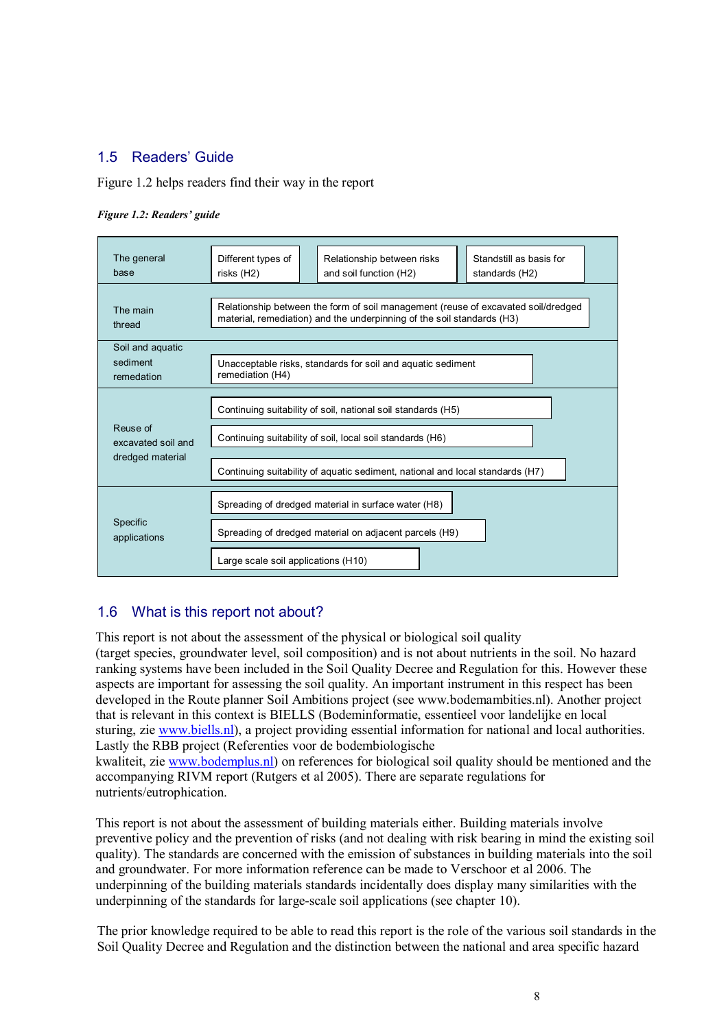#### 1.5 Readers' Guide

Figure 1.2 helps readers find their way in the report

#### *Figure 1.2: Readers' guide*



#### 1.6 What is this report not about?

This report is not about the assessment of the physical or biological soil quality (target species, groundwater level, soil composition) and is not about nutrients in the soil. No hazard ranking systems have been included in the Soil Quality Decree and Regulation for this. However these aspects are important for assessing the soil quality. An important instrument in this respect has been developed in the Route planner Soil Ambitions project (see www.bodemambities.nl). Another project that is relevant in this context is BIELLS (Bodeminformatie, essentieel voor landelijke en local sturing, zi[e www.biells.nl\)](http://www.biells.nl/), a project providing essential information for national and local authorities. Lastly the RBB project (Referenties voor de bodembiologische

kwaliteit, zi[e www.bodemplus.nl\)](http://www.bodemplus.nl/) on references for biological soil quality should be mentioned and the accompanying RIVM report (Rutgers et al 2005). There are separate regulations for nutrients/eutrophication.

This report is not about the assessment of building materials either. Building materials involve preventive policy and the prevention of risks (and not dealing with risk bearing in mind the existing soil quality). The standards are concerned with the emission of substances in building materials into the soil and groundwater. For more information reference can be made to Verschoor et al 2006. The underpinning of the building materials standards incidentally does display many similarities with the underpinning of the standards for large-scale soil applications (see chapter 10).

The prior knowledge required to be able to read this report is the role of the various soil standards in the Soil Quality Decree and Regulation and the distinction between the national and area specific hazard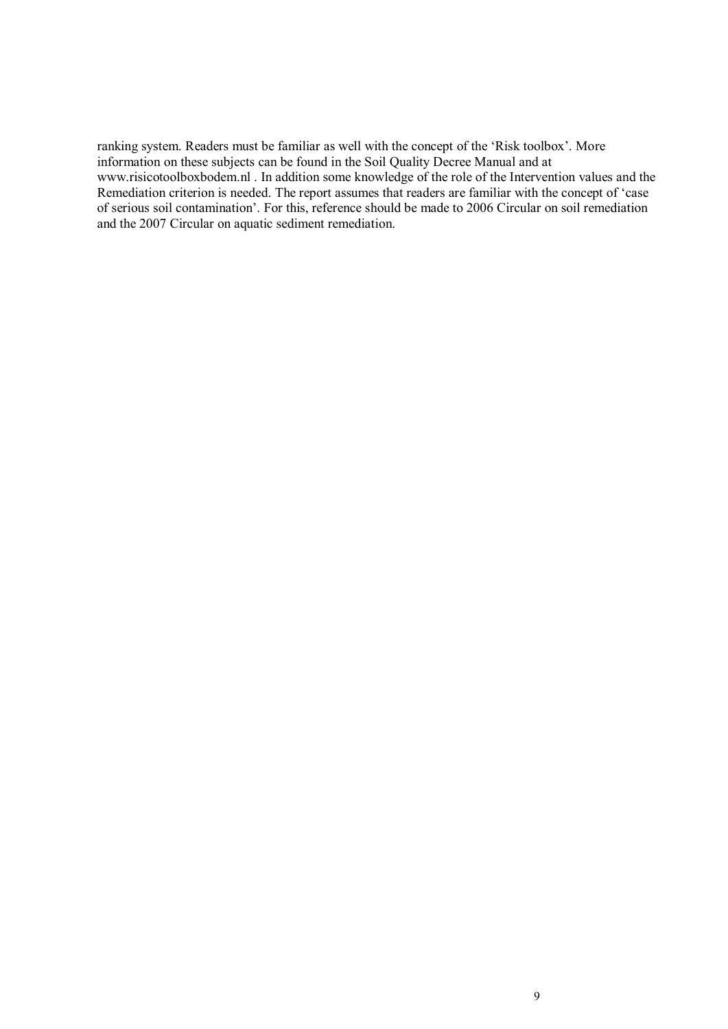ranking system. Readers must be familiar as well with the concept of the "Risk toolbox". More information on these subjects can be found in the Soil Quality Decree Manual and at www.risicotoolboxbodem.nl . In addition some knowledge of the role of the Intervention values and the Remediation criterion is needed. The report assumes that readers are familiar with the concept of 'case of serious soil contamination". For this, reference should be made to 2006 Circular on soil remediation and the 2007 Circular on aquatic sediment remediation.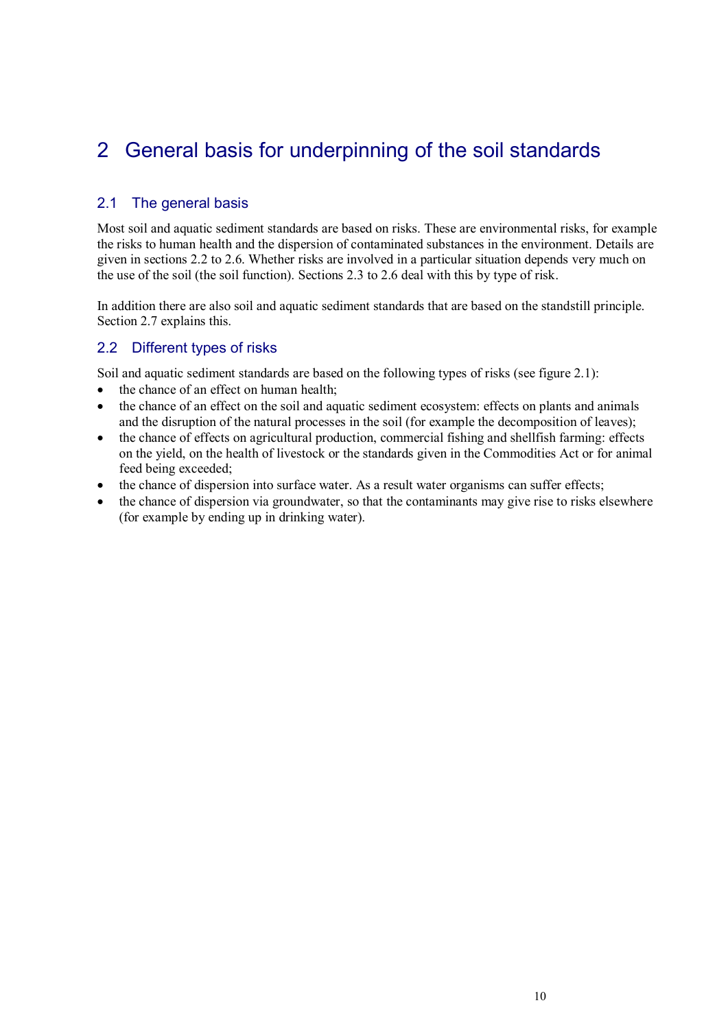## 2 General basis for underpinning of the soil standards

#### 2.1 The general basis

Most soil and aquatic sediment standards are based on risks. These are environmental risks, for example the risks to human health and the dispersion of contaminated substances in the environment. Details are given in sections 2.2 to 2.6. Whether risks are involved in a particular situation depends very much on the use of the soil (the soil function). Sections 2.3 to 2.6 deal with this by type of risk.

In addition there are also soil and aquatic sediment standards that are based on the standstill principle. Section 2.7 explains this.

#### 2.2 Different types of risks

Soil and aquatic sediment standards are based on the following types of risks (see figure 2.1):

- the chance of an effect on human health;
- the chance of an effect on the soil and aquatic sediment ecosystem: effects on plants and animals and the disruption of the natural processes in the soil (for example the decomposition of leaves);
- the chance of effects on agricultural production, commercial fishing and shellfish farming: effects on the yield, on the health of livestock or the standards given in the Commodities Act or for animal feed being exceeded;
- the chance of dispersion into surface water. As a result water organisms can suffer effects;
- the chance of dispersion via groundwater, so that the contaminants may give rise to risks elsewhere (for example by ending up in drinking water).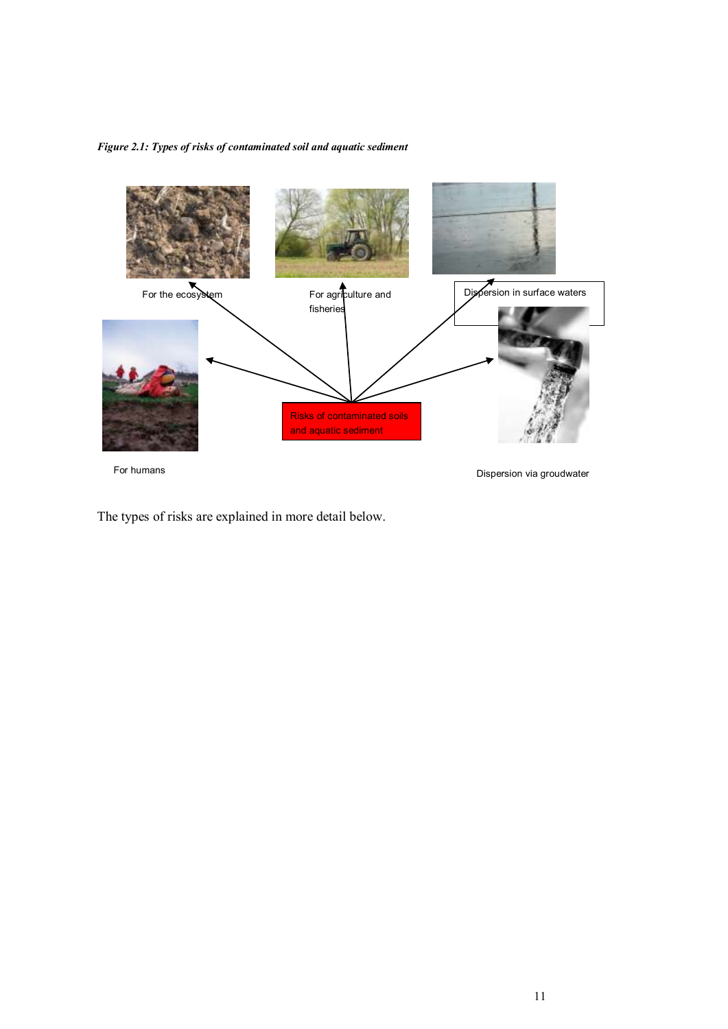*Figure 2.1: Types of risks of contaminated soil and aquatic sediment*



The types of risks are explained in more detail below.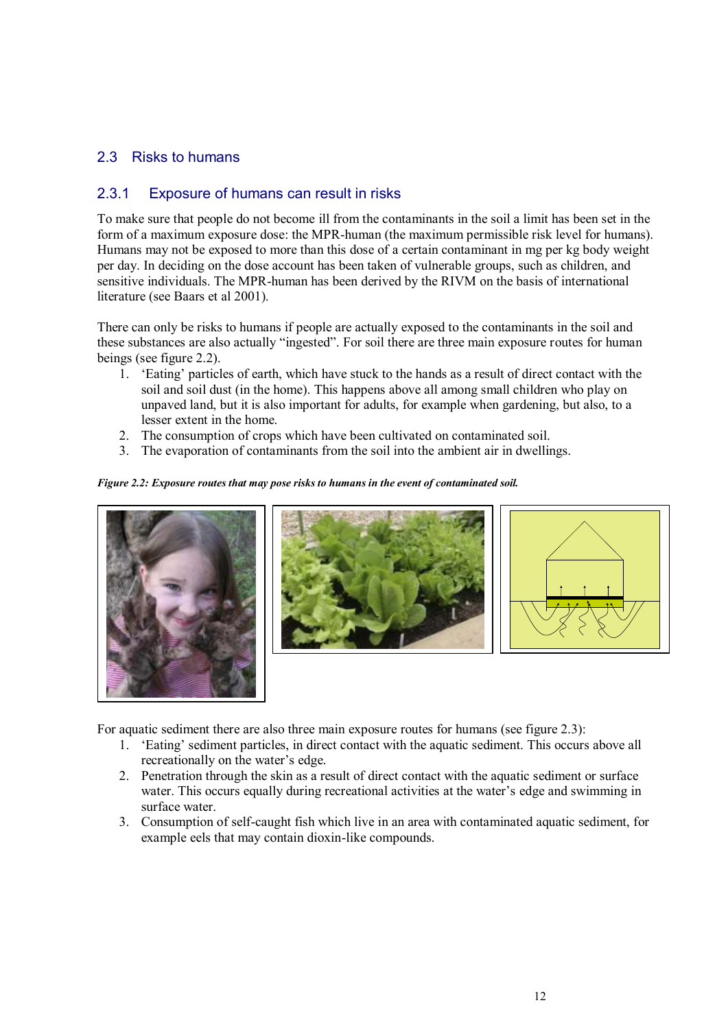#### 2.3 Risks to humans

#### 2.3.1 Exposure of humans can result in risks

To make sure that people do not become ill from the contaminants in the soil a limit has been set in the form of a maximum exposure dose: the MPR-human (the maximum permissible risk level for humans). Humans may not be exposed to more than this dose of a certain contaminant in mg per kg body weight per day. In deciding on the dose account has been taken of vulnerable groups, such as children, and sensitive individuals. The MPR-human has been derived by the RIVM on the basis of international literature (see Baars et al 2001).

There can only be risks to humans if people are actually exposed to the contaminants in the soil and these substances are also actually "ingested". For soil there are three main exposure routes for human beings (see figure 2.2).

- 1. "Eating" particles of earth, which have stuck to the hands as a result of direct contact with the soil and soil dust (in the home). This happens above all among small children who play on unpaved land, but it is also important for adults, for example when gardening, but also, to a lesser extent in the home.
- 2. The consumption of crops which have been cultivated on contaminated soil.
- 3. The evaporation of contaminants from the soil into the ambient air in dwellings.

#### *Figure 2.2: Exposure routes that may pose risks to humans in the event of contaminated soil.*







For aquatic sediment there are also three main exposure routes for humans (see figure 2.3):

- 1. "Eating" sediment particles, in direct contact with the aquatic sediment. This occurs above all recreationally on the water's edge.
- 2. Penetration through the skin as a result of direct contact with the aquatic sediment or surface water. This occurs equally during recreational activities at the water's edge and swimming in surface water.
- 3. Consumption of self-caught fish which live in an area with contaminated aquatic sediment, for example eels that may contain dioxin-like compounds.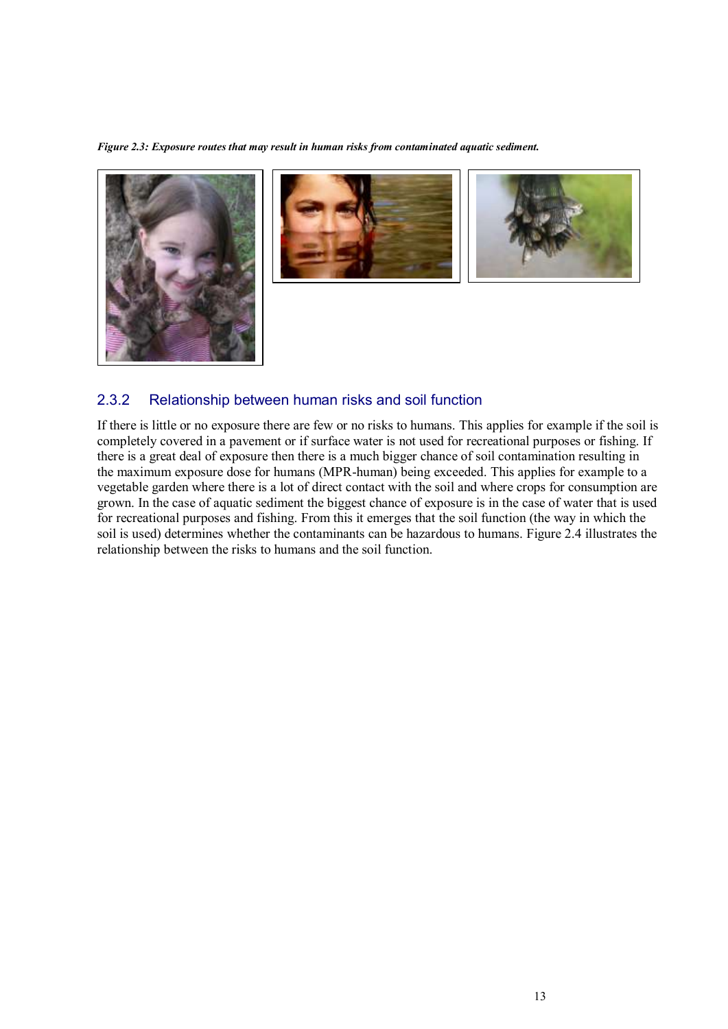*Figure 2.3: Exposure routes that may result in human risks from contaminated aquatic sediment.*







#### 2.3.2 Relationship between human risks and soil function

If there is little or no exposure there are few or no risks to humans. This applies for example if the soil is completely covered in a pavement or if surface water is not used for recreational purposes or fishing. If there is a great deal of exposure then there is a much bigger chance of soil contamination resulting in the maximum exposure dose for humans (MPR-human) being exceeded. This applies for example to a vegetable garden where there is a lot of direct contact with the soil and where crops for consumption are grown. In the case of aquatic sediment the biggest chance of exposure is in the case of water that is used for recreational purposes and fishing. From this it emerges that the soil function (the way in which the soil is used) determines whether the contaminants can be hazardous to humans. Figure 2.4 illustrates the relationship between the risks to humans and the soil function.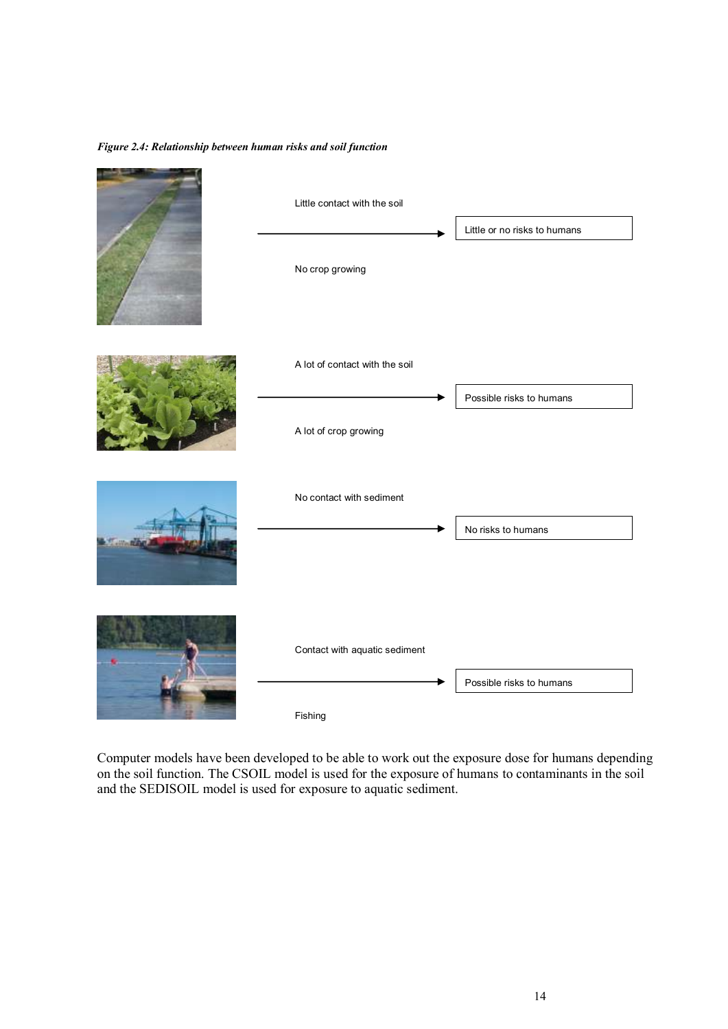#### *Figure 2.4: Relationship between human risks and soil function*



Computer models have been developed to be able to work out the exposure dose for humans depending on the soil function. The CSOIL model is used for the exposure of humans to contaminants in the soil and the SEDISOIL model is used for exposure to aquatic sediment.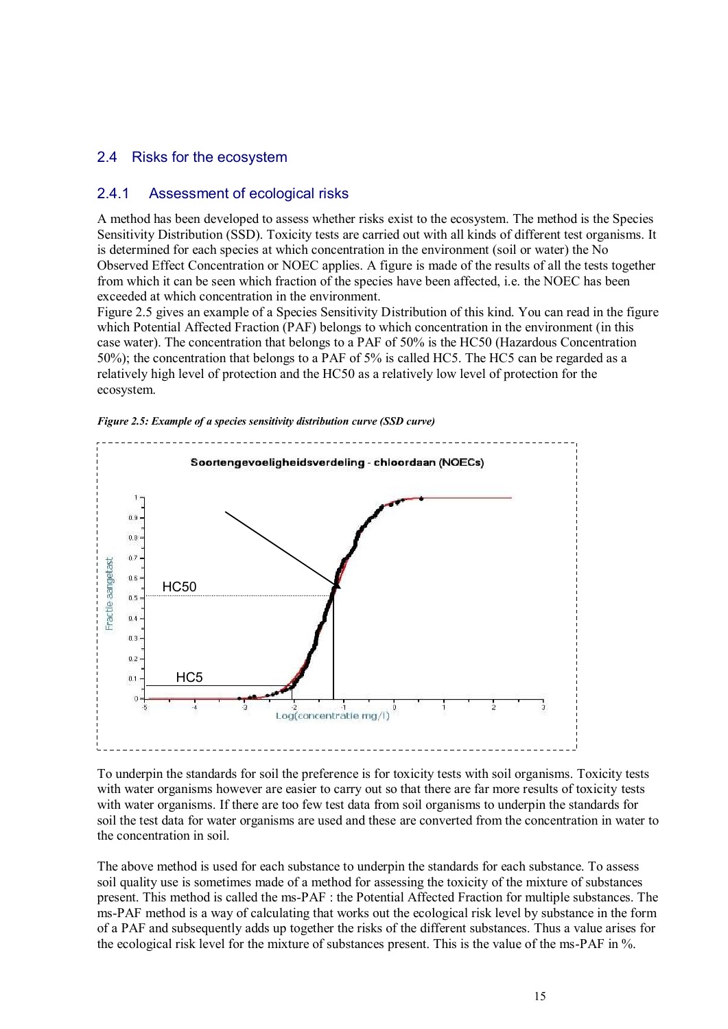#### 2.4 Risks for the ecosystem

#### 2.4.1 Assessment of ecological risks

A method has been developed to assess whether risks exist to the ecosystem. The method is the Species Sensitivity Distribution (SSD). Toxicity tests are carried out with all kinds of different test organisms. It is determined for each species at which concentration in the environment (soil or water) the No Observed Effect Concentration or NOEC applies. A figure is made of the results of all the tests together from which it can be seen which fraction of the species have been affected, i.e. the NOEC has been exceeded at which concentration in the environment.

Figure 2.5 gives an example of a Species Sensitivity Distribution of this kind. You can read in the figure which Potential Affected Fraction (PAF) belongs to which concentration in the environment (in this case water). The concentration that belongs to a PAF of 50% is the HC50 (Hazardous Concentration 50%); the concentration that belongs to a PAF of 5% is called HC5. The HC5 can be regarded as a relatively high level of protection and the HC50 as a relatively low level of protection for the ecosystem.



*Figure 2.5: Example of a species sensitivity distribution curve (SSD curve)*

To underpin the standards for soil the preference is for toxicity tests with soil organisms. Toxicity tests with water organisms however are easier to carry out so that there are far more results of toxicity tests with water organisms. If there are too few test data from soil organisms to underpin the standards for soil the test data for water organisms are used and these are converted from the concentration in water to the concentration in soil.

The above method is used for each substance to underpin the standards for each substance. To assess soil quality use is sometimes made of a method for assessing the toxicity of the mixture of substances present. This method is called the ms-PAF : the Potential Affected Fraction for multiple substances. The ms-PAF method is a way of calculating that works out the ecological risk level by substance in the form of a PAF and subsequently adds up together the risks of the different substances. Thus a value arises for the ecological risk level for the mixture of substances present. This is the value of the ms-PAF in %.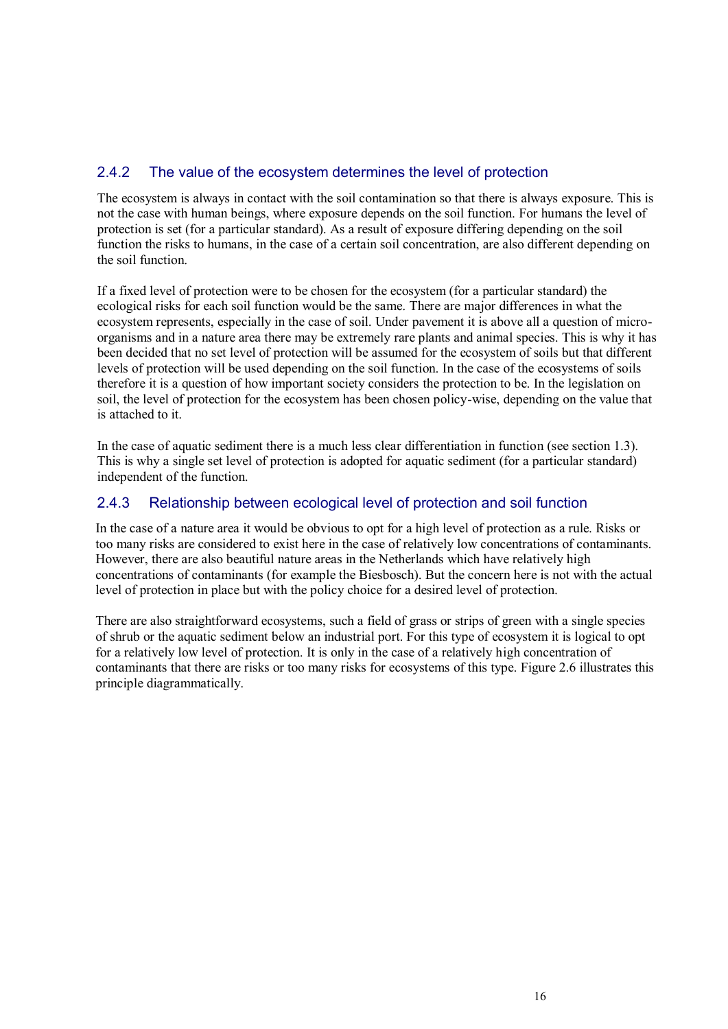### 2.4.2 The value of the ecosystem determines the level of protection

The ecosystem is always in contact with the soil contamination so that there is always exposure. This is not the case with human beings, where exposure depends on the soil function. For humans the level of protection is set (for a particular standard). As a result of exposure differing depending on the soil function the risks to humans, in the case of a certain soil concentration, are also different depending on the soil function.

If a fixed level of protection were to be chosen for the ecosystem (for a particular standard) the ecological risks for each soil function would be the same. There are major differences in what the ecosystem represents, especially in the case of soil. Under pavement it is above all a question of microorganisms and in a nature area there may be extremely rare plants and animal species. This is why it has been decided that no set level of protection will be assumed for the ecosystem of soils but that different levels of protection will be used depending on the soil function. In the case of the ecosystems of soils therefore it is a question of how important society considers the protection to be. In the legislation on soil, the level of protection for the ecosystem has been chosen policy-wise, depending on the value that is attached to it.

In the case of aquatic sediment there is a much less clear differentiation in function (see section 1.3). This is why a single set level of protection is adopted for aquatic sediment (for a particular standard) independent of the function.

#### 2.4.3 Relationship between ecological level of protection and soil function

In the case of a nature area it would be obvious to opt for a high level of protection as a rule. Risks or too many risks are considered to exist here in the case of relatively low concentrations of contaminants. However, there are also beautiful nature areas in the Netherlands which have relatively high concentrations of contaminants (for example the Biesbosch). But the concern here is not with the actual level of protection in place but with the policy choice for a desired level of protection.

There are also straightforward ecosystems, such a field of grass or strips of green with a single species of shrub or the aquatic sediment below an industrial port. For this type of ecosystem it is logical to opt for a relatively low level of protection. It is only in the case of a relatively high concentration of contaminants that there are risks or too many risks for ecosystems of this type. Figure 2.6 illustrates this principle diagrammatically.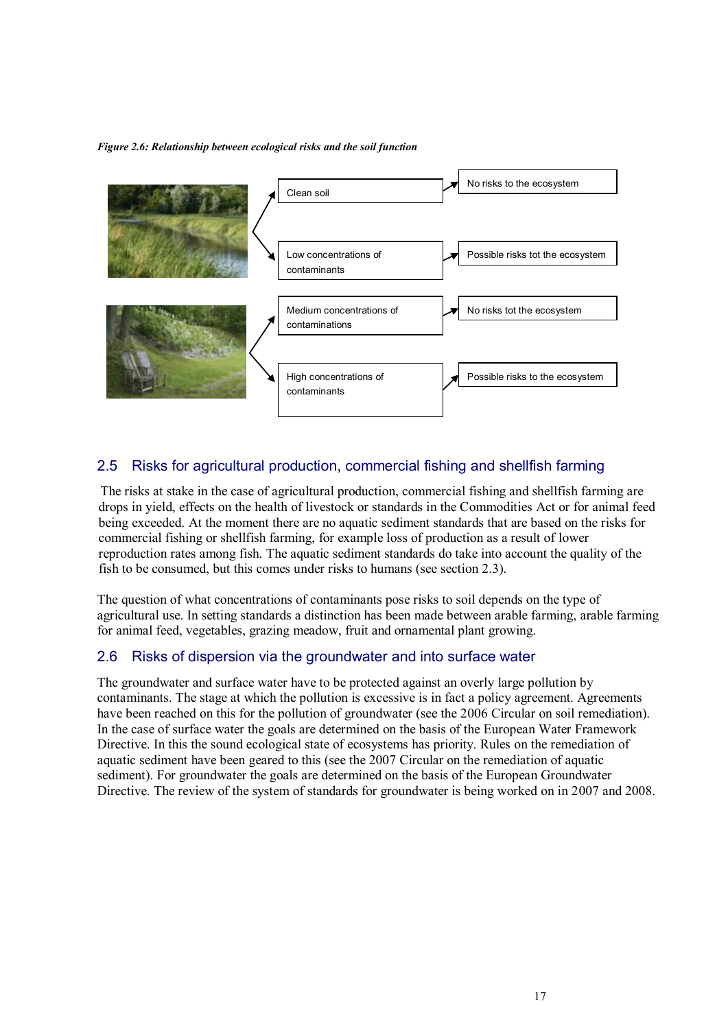*Figure 2.6: Relationship between ecological risks and the soil function* 



### 2.5 Risks for agricultural production, commercial fishing and shellfish farming

The risks at stake in the case of agricultural production, commercial fishing and shellfish farming are drops in yield, effects on the health of livestock or standards in the Commodities Act or for animal feed being exceeded. At the moment there are no aquatic sediment standards that are based on the risks for commercial fishing or shellfish farming, for example loss of production as a result of lower reproduction rates among fish. The aquatic sediment standards do take into account the quality of the fish to be consumed, but this comes under risks to humans (see section 2.3).

The question of what concentrations of contaminants pose risks to soil depends on the type of agricultural use. In setting standards a distinction has been made between arable farming, arable farming for animal feed, vegetables, grazing meadow, fruit and ornamental plant growing.

### 2.6 Risks of dispersion via the groundwater and into surface water

The groundwater and surface water have to be protected against an overly large pollution by contaminants. The stage at which the pollution is excessive is in fact a policy agreement. Agreements have been reached on this for the pollution of groundwater (see the 2006 Circular on soil remediation). In the case of surface water the goals are determined on the basis of the European Water Framework Directive. In this the sound ecological state of ecosystems has priority. Rules on the remediation of aquatic sediment have been geared to this (see the 2007 Circular on the remediation of aquatic sediment). For groundwater the goals are determined on the basis of the European Groundwater Directive. The review of the system of standards for groundwater is being worked on in 2007 and 2008.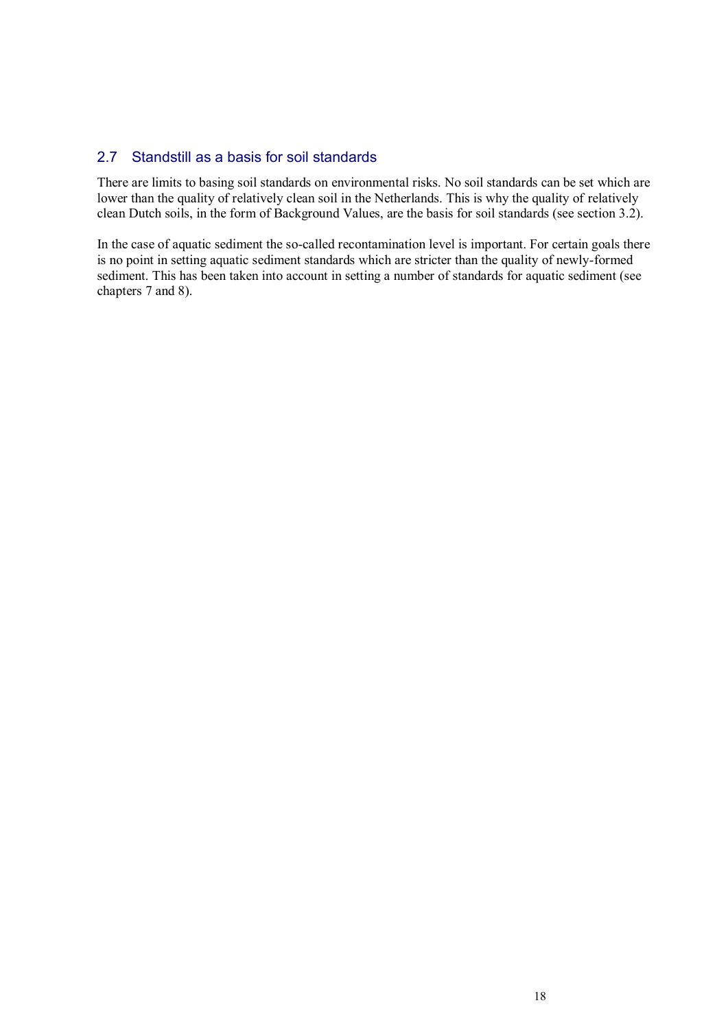#### 2.7 Standstill as a basis for soil standards

There are limits to basing soil standards on environmental risks. No soil standards can be set which are lower than the quality of relatively clean soil in the Netherlands. This is why the quality of relatively clean Dutch soils, in the form of Background Values, are the basis for soil standards (see section 3.2).

In the case of aquatic sediment the so-called recontamination level is important. For certain goals there is no point in setting aquatic sediment standards which are stricter than the quality of newly-formed sediment. This has been taken into account in setting a number of standards for aquatic sediment (see chapters 7 and 8).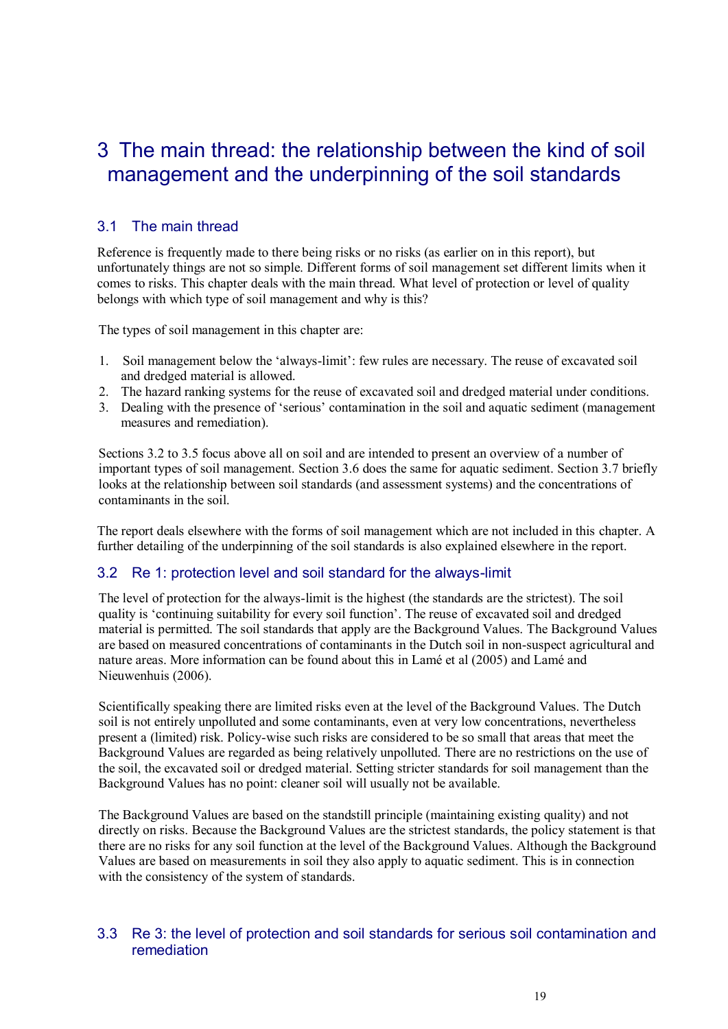### 3 The main thread: the relationship between the kind of soil management and the underpinning of the soil standards

#### 3.1 The main thread

Reference is frequently made to there being risks or no risks (as earlier on in this report), but unfortunately things are not so simple. Different forms of soil management set different limits when it comes to risks. This chapter deals with the main thread. What level of protection or level of quality belongs with which type of soil management and why is this?

The types of soil management in this chapter are:

- 1. Soil management below the "always-limit": few rules are necessary. The reuse of excavated soil and dredged material is allowed.
- 2. The hazard ranking systems for the reuse of excavated soil and dredged material under conditions.
- 3. Dealing with the presence of "serious" contamination in the soil and aquatic sediment (management measures and remediation).

Sections 3.2 to 3.5 focus above all on soil and are intended to present an overview of a number of important types of soil management. Section 3.6 does the same for aquatic sediment. Section 3.7 briefly looks at the relationship between soil standards (and assessment systems) and the concentrations of contaminants in the soil.

The report deals elsewhere with the forms of soil management which are not included in this chapter. A further detailing of the underpinning of the soil standards is also explained elsewhere in the report.

#### 3.2 Re 1: protection level and soil standard for the always-limit

The level of protection for the always-limit is the highest (the standards are the strictest). The soil quality is "continuing suitability for every soil function". The reuse of excavated soil and dredged material is permitted. The soil standards that apply are the Background Values. The Background Values are based on measured concentrations of contaminants in the Dutch soil in non-suspect agricultural and nature areas. More information can be found about this in Lamé et al (2005) and Lamé and Nieuwenhuis (2006).

Scientifically speaking there are limited risks even at the level of the Background Values. The Dutch soil is not entirely unpolluted and some contaminants, even at very low concentrations, nevertheless present a (limited) risk. Policy-wise such risks are considered to be so small that areas that meet the Background Values are regarded as being relatively unpolluted. There are no restrictions on the use of the soil, the excavated soil or dredged material. Setting stricter standards for soil management than the Background Values has no point: cleaner soil will usually not be available.

The Background Values are based on the standstill principle (maintaining existing quality) and not directly on risks. Because the Background Values are the strictest standards, the policy statement is that there are no risks for any soil function at the level of the Background Values. Although the Background Values are based on measurements in soil they also apply to aquatic sediment. This is in connection with the consistency of the system of standards.

#### 3.3 Re 3: the level of protection and soil standards for serious soil contamination and remediation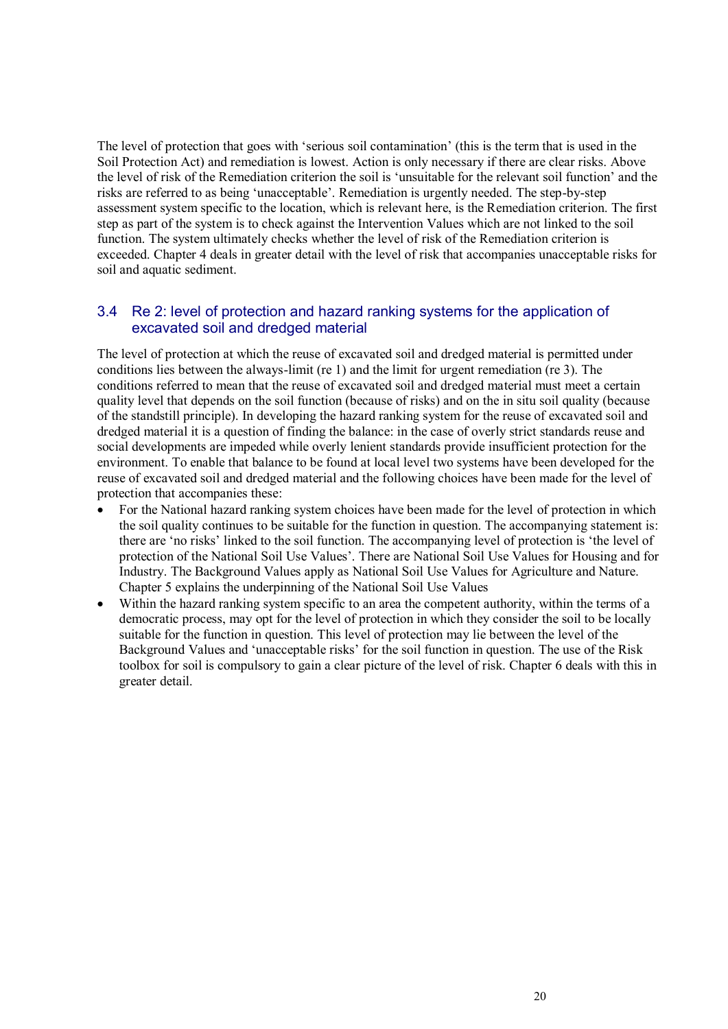The level of protection that goes with "serious soil contamination" (this is the term that is used in the Soil Protection Act) and remediation is lowest. Action is only necessary if there are clear risks. Above the level of risk of the Remediation criterion the soil is "unsuitable for the relevant soil function" and the risks are referred to as being "unacceptable". Remediation is urgently needed. The step-by-step assessment system specific to the location, which is relevant here, is the Remediation criterion. The first step as part of the system is to check against the Intervention Values which are not linked to the soil function. The system ultimately checks whether the level of risk of the Remediation criterion is exceeded. Chapter 4 deals in greater detail with the level of risk that accompanies unacceptable risks for soil and aquatic sediment.

#### 3.4 Re 2: level of protection and hazard ranking systems for the application of excavated soil and dredged material

The level of protection at which the reuse of excavated soil and dredged material is permitted under conditions lies between the always-limit (re 1) and the limit for urgent remediation (re 3). The conditions referred to mean that the reuse of excavated soil and dredged material must meet a certain quality level that depends on the soil function (because of risks) and on the in situ soil quality (because of the standstill principle). In developing the hazard ranking system for the reuse of excavated soil and dredged material it is a question of finding the balance: in the case of overly strict standards reuse and social developments are impeded while overly lenient standards provide insufficient protection for the environment. To enable that balance to be found at local level two systems have been developed for the reuse of excavated soil and dredged material and the following choices have been made for the level of protection that accompanies these:

- For the National hazard ranking system choices have been made for the level of protection in which the soil quality continues to be suitable for the function in question. The accompanying statement is: there are "no risks" linked to the soil function. The accompanying level of protection is "the level of protection of the National Soil Use Values". There are National Soil Use Values for Housing and for Industry. The Background Values apply as National Soil Use Values for Agriculture and Nature. Chapter 5 explains the underpinning of the National Soil Use Values
- Within the hazard ranking system specific to an area the competent authority, within the terms of a democratic process, may opt for the level of protection in which they consider the soil to be locally suitable for the function in question. This level of protection may lie between the level of the Background Values and "unacceptable risks" for the soil function in question. The use of the Risk toolbox for soil is compulsory to gain a clear picture of the level of risk. Chapter 6 deals with this in greater detail.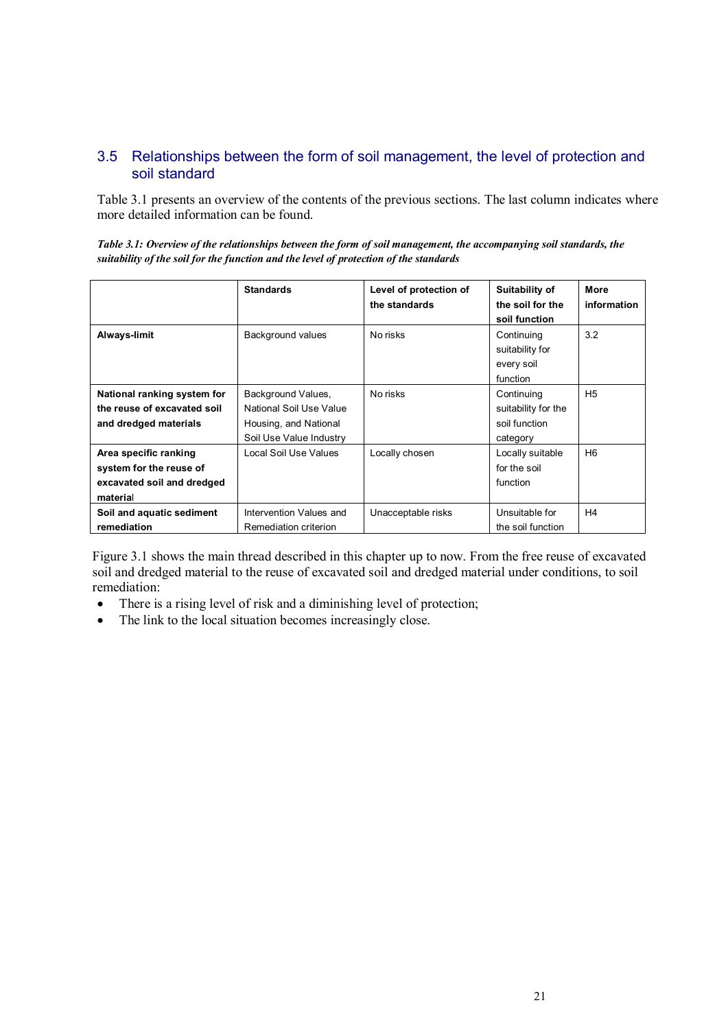#### 3.5 Relationships between the form of soil management, the level of protection and soil standard

Table 3.1 presents an overview of the contents of the previous sections. The last column indicates where more detailed information can be found.

*Table 3.1: Overview of the relationships between the form of soil management, the accompanying soil standards, the suitability of the soil for the function and the level of protection of the standards*

|                                                                                            | <b>Standards</b>                                                                                  | Level of protection of<br>the standards | Suitability of<br>the soil for the<br>soil function            | More<br>information |
|--------------------------------------------------------------------------------------------|---------------------------------------------------------------------------------------------------|-----------------------------------------|----------------------------------------------------------------|---------------------|
| Always-limit                                                                               | Background values                                                                                 | No risks                                | Continuing<br>suitability for<br>every soil<br>function        | 3.2                 |
| National ranking system for<br>the reuse of excavated soil<br>and dredged materials        | Background Values,<br>National Soil Use Value<br>Housing, and National<br>Soil Use Value Industry | No risks                                | Continuing<br>suitability for the<br>soil function<br>category | H <sub>5</sub>      |
| Area specific ranking<br>system for the reuse of<br>excavated soil and dredged<br>material | Local Soil Use Values                                                                             | Locally chosen                          | Locally suitable<br>for the soil<br>function                   | H <sub>6</sub>      |
| Soil and aquatic sediment<br>remediation                                                   | Intervention Values and<br>Remediation criterion                                                  | Unacceptable risks                      | Unsuitable for<br>the soil function                            | H <sub>4</sub>      |

Figure 3.1 shows the main thread described in this chapter up to now. From the free reuse of excavated soil and dredged material to the reuse of excavated soil and dredged material under conditions, to soil remediation:

- There is a rising level of risk and a diminishing level of protection;
- The link to the local situation becomes increasingly close.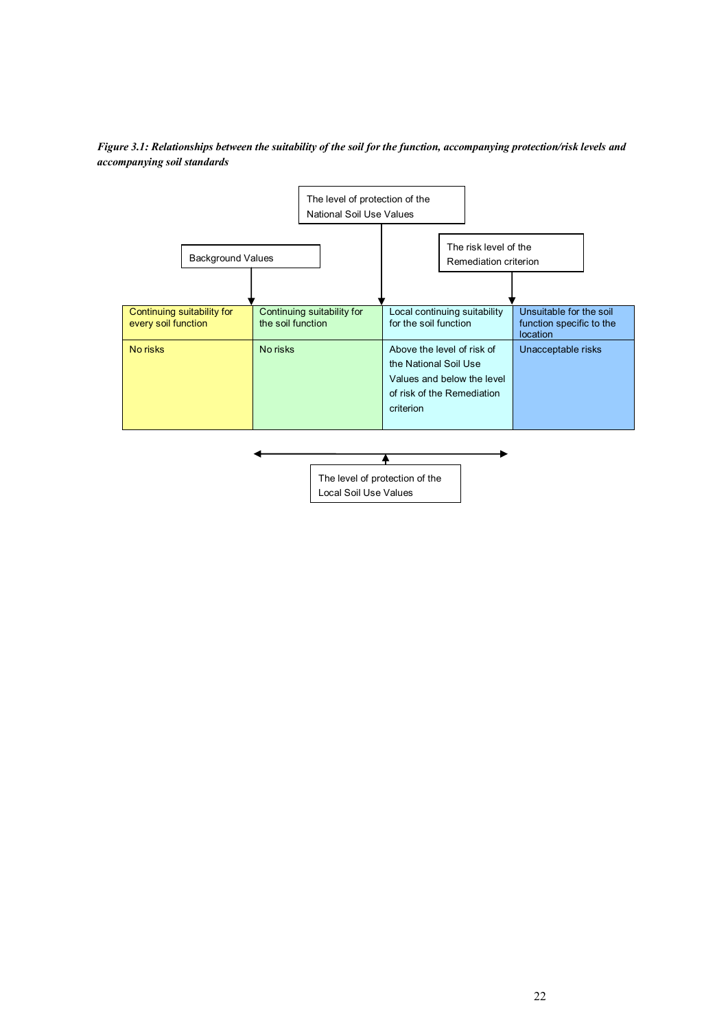

*Figure 3.1: Relationships between the suitability of the soil for the function, accompanying protection/risk levels and accompanying soil standards* 

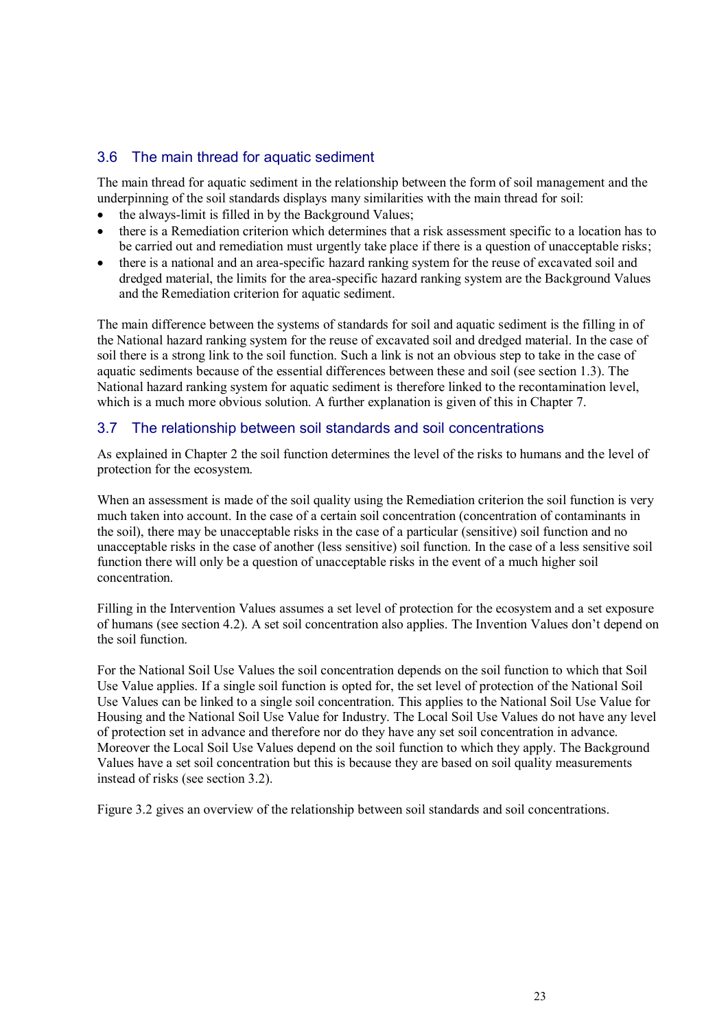#### 3.6 The main thread for aquatic sediment

The main thread for aquatic sediment in the relationship between the form of soil management and the underpinning of the soil standards displays many similarities with the main thread for soil:

- the always-limit is filled in by the Background Values;
- there is a Remediation criterion which determines that a risk assessment specific to a location has to be carried out and remediation must urgently take place if there is a question of unacceptable risks;
- there is a national and an area-specific hazard ranking system for the reuse of excavated soil and dredged material, the limits for the area-specific hazard ranking system are the Background Values and the Remediation criterion for aquatic sediment.

The main difference between the systems of standards for soil and aquatic sediment is the filling in of the National hazard ranking system for the reuse of excavated soil and dredged material. In the case of soil there is a strong link to the soil function. Such a link is not an obvious step to take in the case of aquatic sediments because of the essential differences between these and soil (see section 1.3). The National hazard ranking system for aquatic sediment is therefore linked to the recontamination level, which is a much more obvious solution. A further explanation is given of this in Chapter 7.

#### 3.7 The relationship between soil standards and soil concentrations

As explained in Chapter 2 the soil function determines the level of the risks to humans and the level of protection for the ecosystem.

When an assessment is made of the soil quality using the Remediation criterion the soil function is very much taken into account. In the case of a certain soil concentration (concentration of contaminants in the soil), there may be unacceptable risks in the case of a particular (sensitive) soil function and no unacceptable risks in the case of another (less sensitive) soil function. In the case of a less sensitive soil function there will only be a question of unacceptable risks in the event of a much higher soil concentration.

Filling in the Intervention Values assumes a set level of protection for the ecosystem and a set exposure of humans (see section 4.2). A set soil concentration also applies. The Invention Values don"t depend on the soil function.

For the National Soil Use Values the soil concentration depends on the soil function to which that Soil Use Value applies. If a single soil function is opted for, the set level of protection of the National Soil Use Values can be linked to a single soil concentration. This applies to the National Soil Use Value for Housing and the National Soil Use Value for Industry. The Local Soil Use Values do not have any level of protection set in advance and therefore nor do they have any set soil concentration in advance. Moreover the Local Soil Use Values depend on the soil function to which they apply. The Background Values have a set soil concentration but this is because they are based on soil quality measurements instead of risks (see section 3.2).

Figure 3.2 gives an overview of the relationship between soil standards and soil concentrations.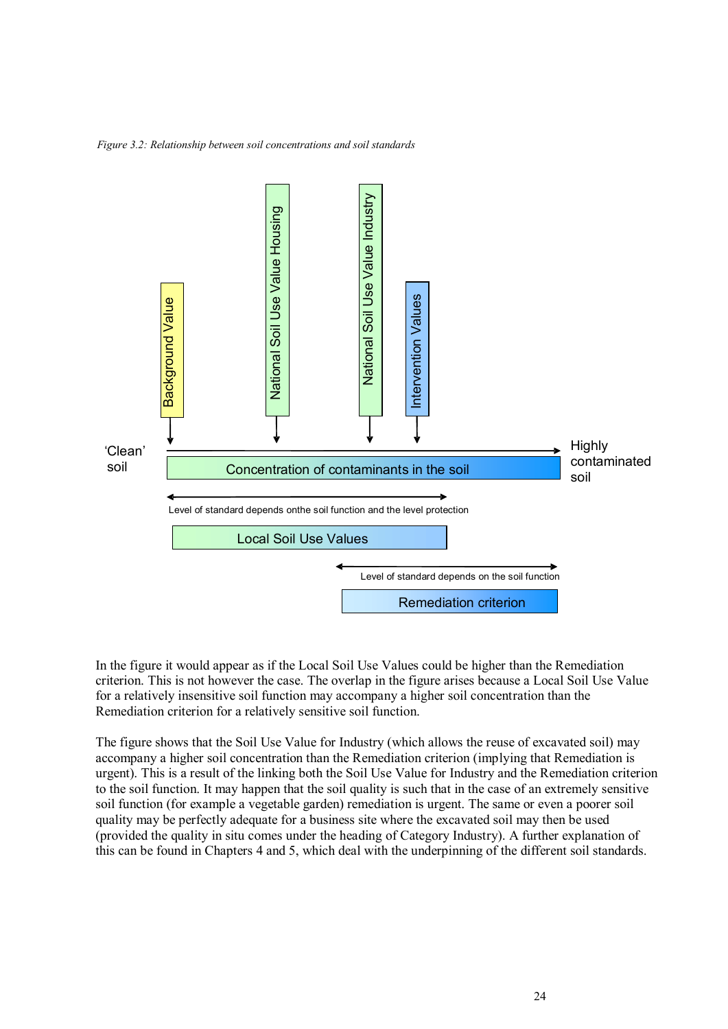*Figure 3.2: Relationship between soil concentrations and soil standards*



In the figure it would appear as if the Local Soil Use Values could be higher than the Remediation criterion. This is not however the case. The overlap in the figure arises because a Local Soil Use Value for a relatively insensitive soil function may accompany a higher soil concentration than the Remediation criterion for a relatively sensitive soil function.

The figure shows that the Soil Use Value for Industry (which allows the reuse of excavated soil) may accompany a higher soil concentration than the Remediation criterion (implying that Remediation is urgent). This is a result of the linking both the Soil Use Value for Industry and the Remediation criterion to the soil function. It may happen that the soil quality is such that in the case of an extremely sensitive soil function (for example a vegetable garden) remediation is urgent. The same or even a poorer soil quality may be perfectly adequate for a business site where the excavated soil may then be used (provided the quality in situ comes under the heading of Category Industry). A further explanation of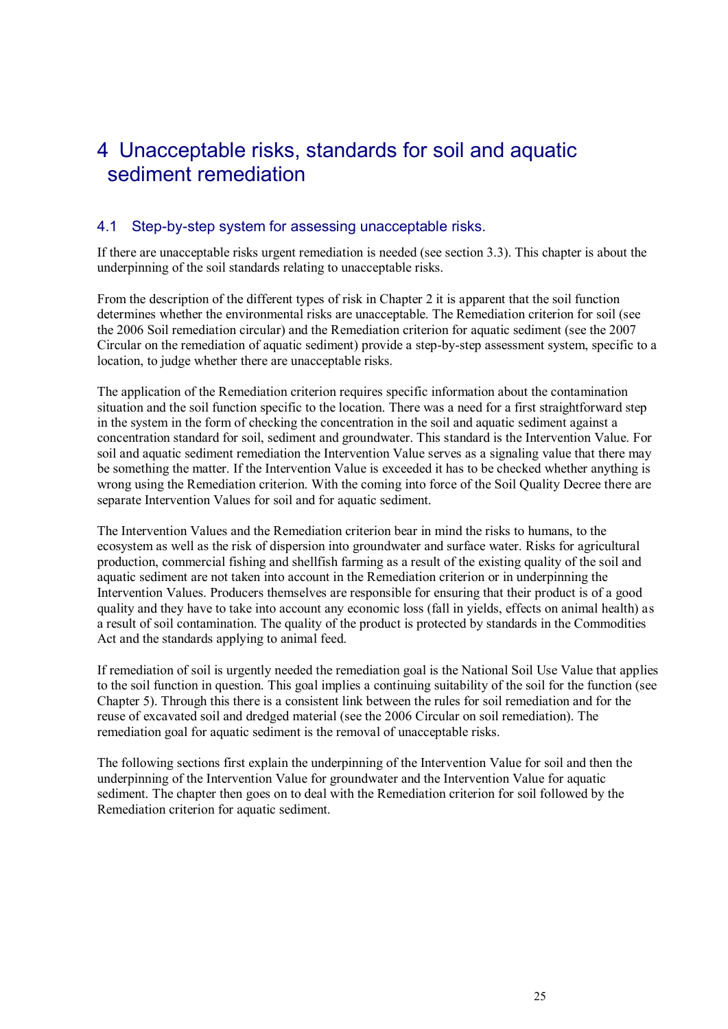### 4 Unacceptable risks, standards for soil and aquatic sediment remediation

#### 4.1 Step-by-step system for assessing unacceptable risks.

If there are unacceptable risks urgent remediation is needed (see section 3.3). This chapter is about the underpinning of the soil standards relating to unacceptable risks.

From the description of the different types of risk in Chapter 2 it is apparent that the soil function determines whether the environmental risks are unacceptable. The Remediation criterion for soil (see the 2006 Soil remediation circular) and the Remediation criterion for aquatic sediment (see the 2007 Circular on the remediation of aquatic sediment) provide a step-by-step assessment system, specific to a location, to judge whether there are unacceptable risks.

The application of the Remediation criterion requires specific information about the contamination situation and the soil function specific to the location. There was a need for a first straightforward step in the system in the form of checking the concentration in the soil and aquatic sediment against a concentration standard for soil, sediment and groundwater. This standard is the Intervention Value. For soil and aquatic sediment remediation the Intervention Value serves as a signaling value that there may be something the matter. If the Intervention Value is exceeded it has to be checked whether anything is wrong using the Remediation criterion. With the coming into force of the Soil Quality Decree there are separate Intervention Values for soil and for aquatic sediment.

The Intervention Values and the Remediation criterion bear in mind the risks to humans, to the ecosystem as well as the risk of dispersion into groundwater and surface water. Risks for agricultural production, commercial fishing and shellfish farming as a result of the existing quality of the soil and aquatic sediment are not taken into account in the Remediation criterion or in underpinning the Intervention Values. Producers themselves are responsible for ensuring that their product is of a good quality and they have to take into account any economic loss (fall in yields, effects on animal health) as a result of soil contamination. The quality of the product is protected by standards in the Commodities Act and the standards applying to animal feed.

If remediation of soil is urgently needed the remediation goal is the National Soil Use Value that applies to the soil function in question. This goal implies a continuing suitability of the soil for the function (see Chapter 5). Through this there is a consistent link between the rules for soil remediation and for the reuse of excavated soil and dredged material (see the 2006 Circular on soil remediation). The remediation goal for aquatic sediment is the removal of unacceptable risks.

The following sections first explain the underpinning of the Intervention Value for soil and then the underpinning of the Intervention Value for groundwater and the Intervention Value for aquatic sediment. The chapter then goes on to deal with the Remediation criterion for soil followed by the Remediation criterion for aquatic sediment.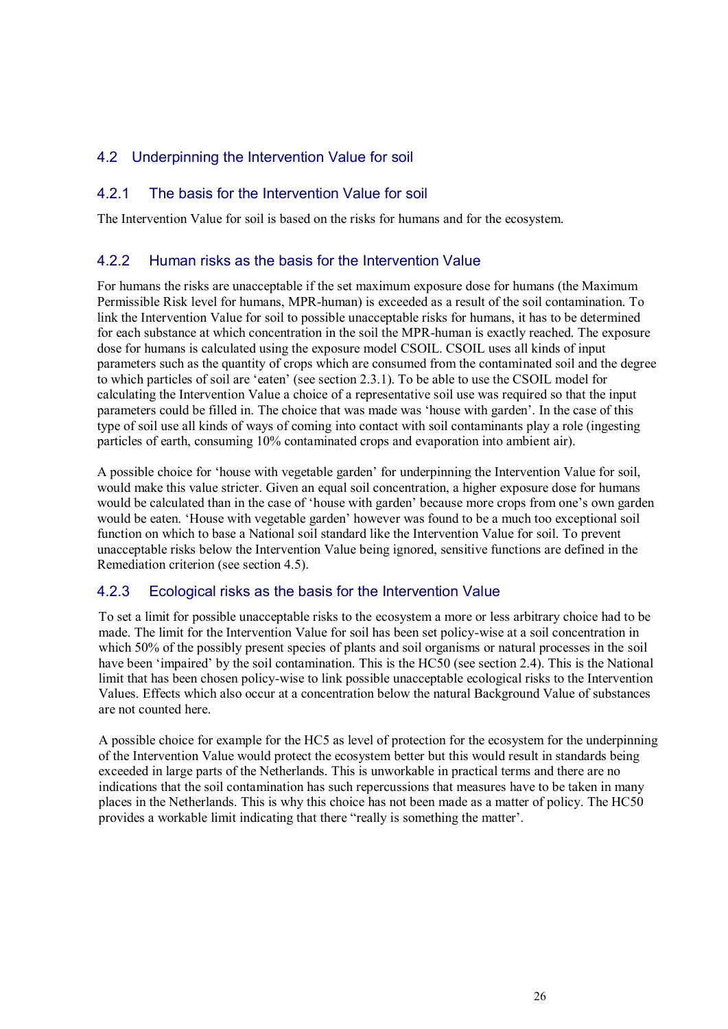#### 4.2 Underpinning the Intervention Value for soil

#### 4.2.1 The basis for the Intervention Value for soil

The Intervention Value for soil is based on the risks for humans and for the ecosystem.

#### 4.2.2 Human risks as the basis for the Intervention Value

For humans the risks are unacceptable if the set maximum exposure dose for humans (the Maximum Permissible Risk level for humans, MPR-human) is exceeded as a result of the soil contamination. To link the Intervention Value for soil to possible unacceptable risks for humans, it has to be determined for each substance at which concentration in the soil the MPR-human is exactly reached. The exposure dose for humans is calculated using the exposure model CSOIL. CSOIL uses all kinds of input parameters such as the quantity of crops which are consumed from the contaminated soil and the degree to which particles of soil are "eaten" (see section 2.3.1). To be able to use the CSOIL model for calculating the Intervention Value a choice of a representative soil use was required so that the input parameters could be filled in. The choice that was made was "house with garden". In the case of this type of soil use all kinds of ways of coming into contact with soil contaminants play a role (ingesting particles of earth, consuming 10% contaminated crops and evaporation into ambient air).

A possible choice for "house with vegetable garden" for underpinning the Intervention Value for soil, would make this value stricter. Given an equal soil concentration, a higher exposure dose for humans would be calculated than in the case of 'house with garden' because more crops from one's own garden would be eaten. "House with vegetable garden" however was found to be a much too exceptional soil function on which to base a National soil standard like the Intervention Value for soil. To prevent unacceptable risks below the Intervention Value being ignored, sensitive functions are defined in the Remediation criterion (see section 4.5).

#### 4.2.3 Ecological risks as the basis for the Intervention Value

To set a limit for possible unacceptable risks to the ecosystem a more or less arbitrary choice had to be made. The limit for the Intervention Value for soil has been set policy-wise at a soil concentration in which 50% of the possibly present species of plants and soil organisms or natural processes in the soil have been 'impaired' by the soil contamination. This is the HC50 (see section 2.4). This is the National limit that has been chosen policy-wise to link possible unacceptable ecological risks to the Intervention Values. Effects which also occur at a concentration below the natural Background Value of substances are not counted here.

A possible choice for example for the HC5 as level of protection for the ecosystem for the underpinning of the Intervention Value would protect the ecosystem better but this would result in standards being exceeded in large parts of the Netherlands. This is unworkable in practical terms and there are no indications that the soil contamination has such repercussions that measures have to be taken in many places in the Netherlands. This is why this choice has not been made as a matter of policy. The HC50 provides a workable limit indicating that there "really is something the matter".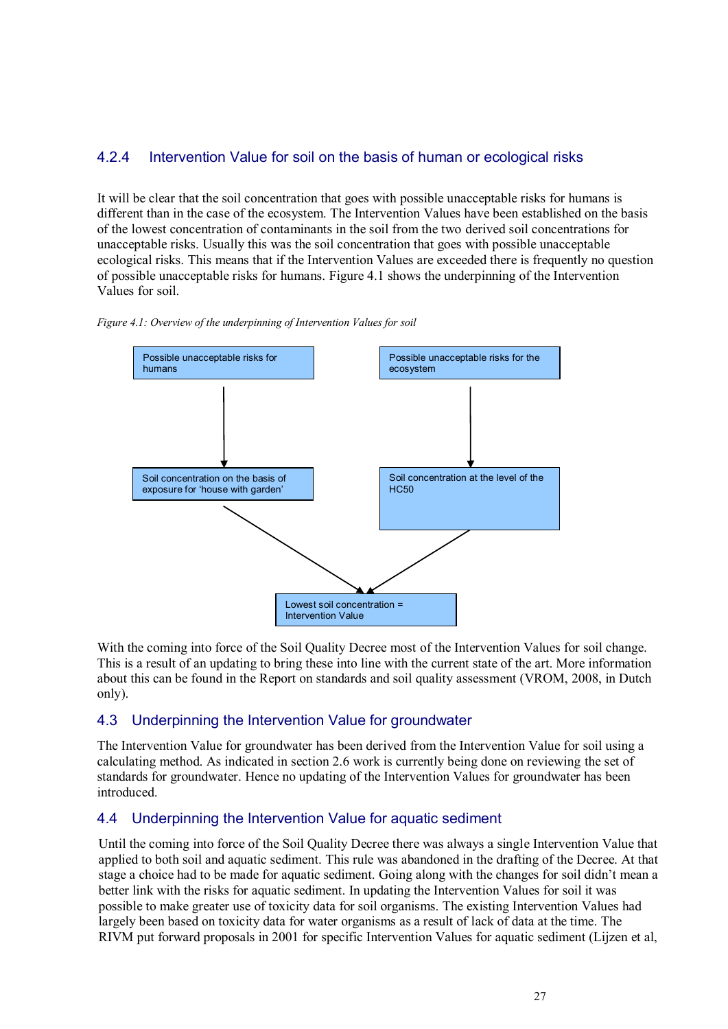#### 4.2.4 Intervention Value for soil on the basis of human or ecological risks

It will be clear that the soil concentration that goes with possible unacceptable risks for humans is different than in the case of the ecosystem. The Intervention Values have been established on the basis of the lowest concentration of contaminants in the soil from the two derived soil concentrations for unacceptable risks. Usually this was the soil concentration that goes with possible unacceptable ecological risks. This means that if the Intervention Values are exceeded there is frequently no question of possible unacceptable risks for humans. Figure 4.1 shows the underpinning of the Intervention Values for soil.





With the coming into force of the Soil Quality Decree most of the Intervention Values for soil change. This is a result of an updating to bring these into line with the current state of the art. More information about this can be found in the Report on standards and soil quality assessment (VROM, 2008, in Dutch only).

#### 4.3 Underpinning the Intervention Value for groundwater

The Intervention Value for groundwater has been derived from the Intervention Value for soil using a calculating method. As indicated in section 2.6 work is currently being done on reviewing the set of standards for groundwater. Hence no updating of the Intervention Values for groundwater has been introduced.

#### 4.4 Underpinning the Intervention Value for aquatic sediment

Until the coming into force of the Soil Quality Decree there was always a single Intervention Value that applied to both soil and aquatic sediment. This rule was abandoned in the drafting of the Decree. At that stage a choice had to be made for aquatic sediment. Going along with the changes for soil didn"t mean a better link with the risks for aquatic sediment. In updating the Intervention Values for soil it was possible to make greater use of toxicity data for soil organisms. The existing Intervention Values had largely been based on toxicity data for water organisms as a result of lack of data at the time. The RIVM put forward proposals in 2001 for specific Intervention Values for aquatic sediment (Lijzen et al,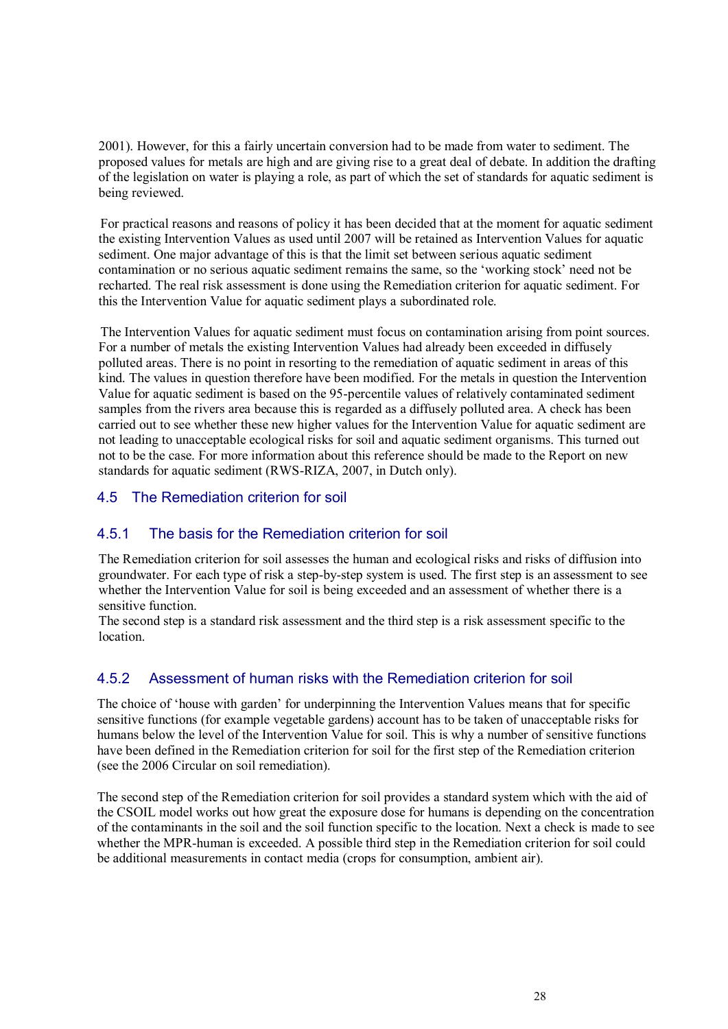2001). However, for this a fairly uncertain conversion had to be made from water to sediment. The proposed values for metals are high and are giving rise to a great deal of debate. In addition the drafting of the legislation on water is playing a role, as part of which the set of standards for aquatic sediment is being reviewed.

For practical reasons and reasons of policy it has been decided that at the moment for aquatic sediment the existing Intervention Values as used until 2007 will be retained as Intervention Values for aquatic sediment. One major advantage of this is that the limit set between serious aquatic sediment contamination or no serious aquatic sediment remains the same, so the "working stock" need not be recharted. The real risk assessment is done using the Remediation criterion for aquatic sediment. For this the Intervention Value for aquatic sediment plays a subordinated role.

The Intervention Values for aquatic sediment must focus on contamination arising from point sources. For a number of metals the existing Intervention Values had already been exceeded in diffusely polluted areas. There is no point in resorting to the remediation of aquatic sediment in areas of this kind. The values in question therefore have been modified. For the metals in question the Intervention Value for aquatic sediment is based on the 95-percentile values of relatively contaminated sediment samples from the rivers area because this is regarded as a diffusely polluted area. A check has been carried out to see whether these new higher values for the Intervention Value for aquatic sediment are not leading to unacceptable ecological risks for soil and aquatic sediment organisms. This turned out not to be the case. For more information about this reference should be made to the Report on new standards for aquatic sediment (RWS-RIZA, 2007, in Dutch only).

#### 4.5 The Remediation criterion for soil

#### 4.5.1 The basis for the Remediation criterion for soil

The Remediation criterion for soil assesses the human and ecological risks and risks of diffusion into groundwater. For each type of risk a step-by-step system is used. The first step is an assessment to see whether the Intervention Value for soil is being exceeded and an assessment of whether there is a sensitive function.

The second step is a standard risk assessment and the third step is a risk assessment specific to the location.

### 4.5.2 Assessment of human risks with the Remediation criterion for soil

The choice of "house with garden" for underpinning the Intervention Values means that for specific sensitive functions (for example vegetable gardens) account has to be taken of unacceptable risks for humans below the level of the Intervention Value for soil. This is why a number of sensitive functions have been defined in the Remediation criterion for soil for the first step of the Remediation criterion (see the 2006 Circular on soil remediation).

The second step of the Remediation criterion for soil provides a standard system which with the aid of the CSOIL model works out how great the exposure dose for humans is depending on the concentration of the contaminants in the soil and the soil function specific to the location. Next a check is made to see whether the MPR-human is exceeded. A possible third step in the Remediation criterion for soil could be additional measurements in contact media (crops for consumption, ambient air).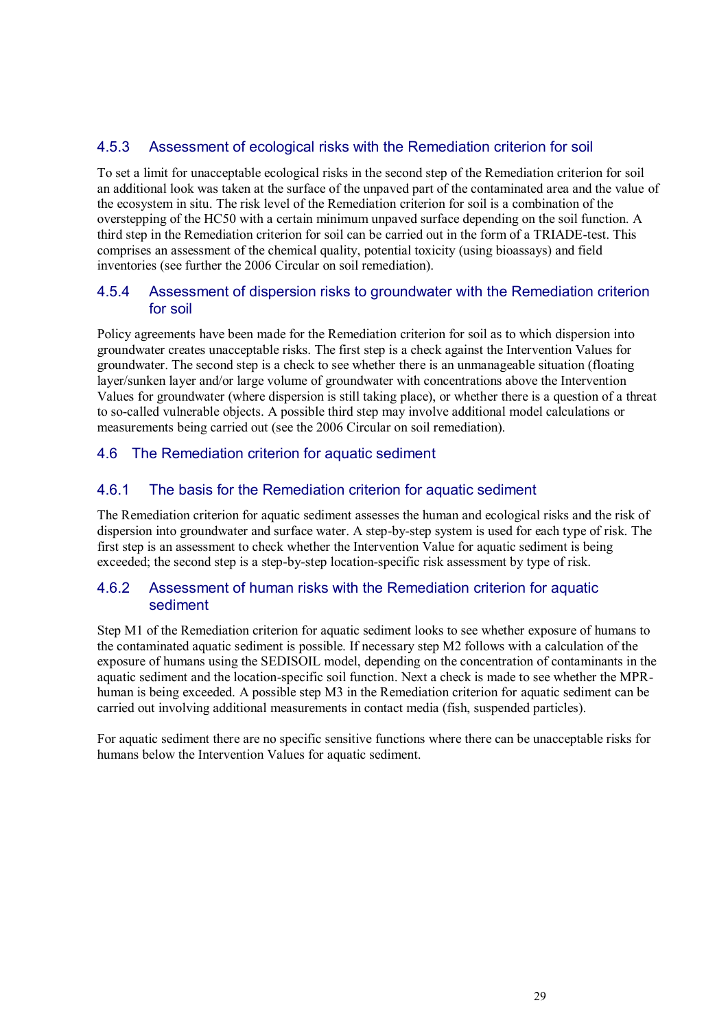#### 4.5.3 Assessment of ecological risks with the Remediation criterion for soil

To set a limit for unacceptable ecological risks in the second step of the Remediation criterion for soil an additional look was taken at the surface of the unpaved part of the contaminated area and the value of the ecosystem in situ. The risk level of the Remediation criterion for soil is a combination of the overstepping of the HC50 with a certain minimum unpaved surface depending on the soil function. A third step in the Remediation criterion for soil can be carried out in the form of a TRIADE-test. This comprises an assessment of the chemical quality, potential toxicity (using bioassays) and field inventories (see further the 2006 Circular on soil remediation).

#### 4.5.4 Assessment of dispersion risks to groundwater with the Remediation criterion for soil

Policy agreements have been made for the Remediation criterion for soil as to which dispersion into groundwater creates unacceptable risks. The first step is a check against the Intervention Values for groundwater. The second step is a check to see whether there is an unmanageable situation (floating layer/sunken layer and/or large volume of groundwater with concentrations above the Intervention Values for groundwater (where dispersion is still taking place), or whether there is a question of a threat to so-called vulnerable objects. A possible third step may involve additional model calculations or measurements being carried out (see the 2006 Circular on soil remediation).

#### 4.6 The Remediation criterion for aquatic sediment

#### 4.6.1 The basis for the Remediation criterion for aquatic sediment

The Remediation criterion for aquatic sediment assesses the human and ecological risks and the risk of dispersion into groundwater and surface water. A step-by-step system is used for each type of risk. The first step is an assessment to check whether the Intervention Value for aquatic sediment is being exceeded; the second step is a step-by-step location-specific risk assessment by type of risk.

#### 4.6.2 Assessment of human risks with the Remediation criterion for aquatic sediment

Step M1 of the Remediation criterion for aquatic sediment looks to see whether exposure of humans to the contaminated aquatic sediment is possible. If necessary step M2 follows with a calculation of the exposure of humans using the SEDISOIL model, depending on the concentration of contaminants in the aquatic sediment and the location-specific soil function. Next a check is made to see whether the MPRhuman is being exceeded. A possible step M3 in the Remediation criterion for aquatic sediment can be carried out involving additional measurements in contact media (fish, suspended particles).

For aquatic sediment there are no specific sensitive functions where there can be unacceptable risks for humans below the Intervention Values for aquatic sediment.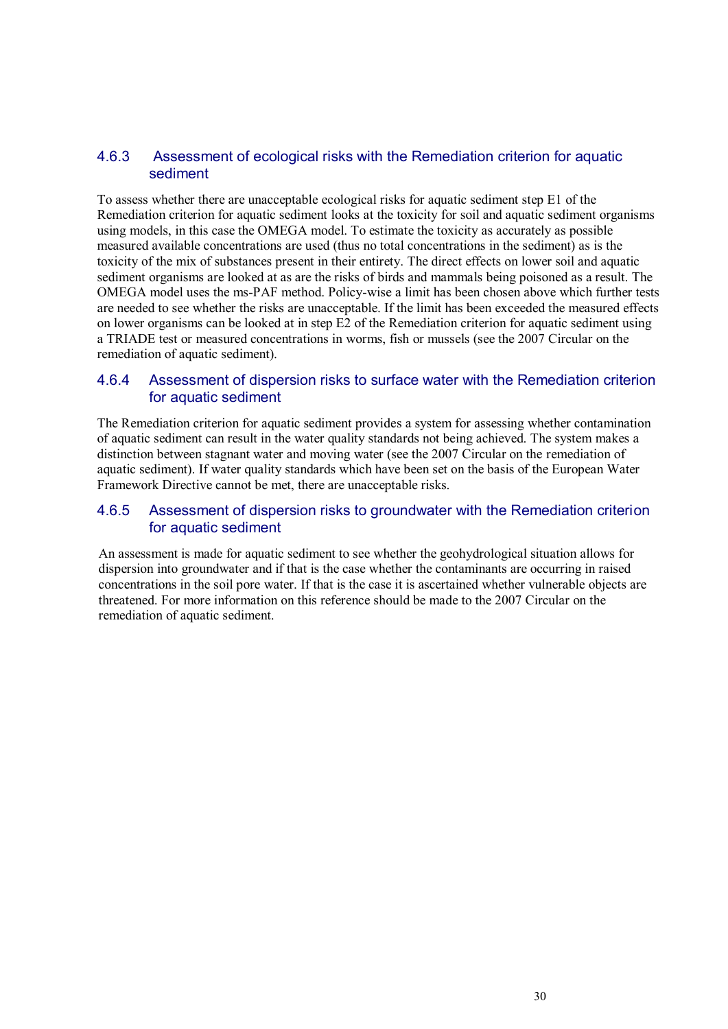#### 4.6.3 Assessment of ecological risks with the Remediation criterion for aquatic sediment

To assess whether there are unacceptable ecological risks for aquatic sediment step E1 of the Remediation criterion for aquatic sediment looks at the toxicity for soil and aquatic sediment organisms using models, in this case the OMEGA model. To estimate the toxicity as accurately as possible measured available concentrations are used (thus no total concentrations in the sediment) as is the toxicity of the mix of substances present in their entirety. The direct effects on lower soil and aquatic sediment organisms are looked at as are the risks of birds and mammals being poisoned as a result. The OMEGA model uses the ms-PAF method. Policy-wise a limit has been chosen above which further tests are needed to see whether the risks are unacceptable. If the limit has been exceeded the measured effects on lower organisms can be looked at in step E2 of the Remediation criterion for aquatic sediment using a TRIADE test or measured concentrations in worms, fish or mussels (see the 2007 Circular on the remediation of aquatic sediment).

#### 4.6.4 Assessment of dispersion risks to surface water with the Remediation criterion for aquatic sediment

The Remediation criterion for aquatic sediment provides a system for assessing whether contamination of aquatic sediment can result in the water quality standards not being achieved. The system makes a distinction between stagnant water and moving water (see the 2007 Circular on the remediation of aquatic sediment). If water quality standards which have been set on the basis of the European Water Framework Directive cannot be met, there are unacceptable risks.

#### 4.6.5 Assessment of dispersion risks to groundwater with the Remediation criterion for aquatic sediment

An assessment is made for aquatic sediment to see whether the geohydrological situation allows for dispersion into groundwater and if that is the case whether the contaminants are occurring in raised concentrations in the soil pore water. If that is the case it is ascertained whether vulnerable objects are threatened. For more information on this reference should be made to the 2007 Circular on the remediation of aquatic sediment.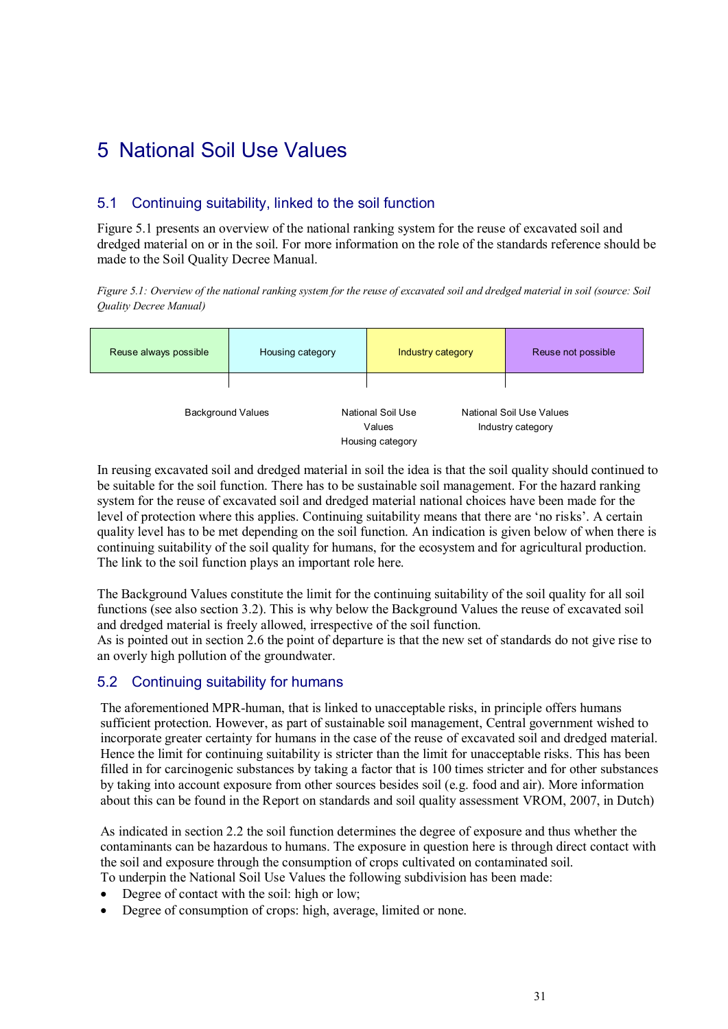## 5 National Soil Use Values

### 5.1 Continuing suitability, linked to the soil function

Figure 5.1 presents an overview of the national ranking system for the reuse of excavated soil and dredged material on or in the soil. For more information on the role of the standards reference should be made to the Soil Quality Decree Manual.

*Figure 5.1: Overview of the national ranking system for the reuse of excavated soil and dredged material in soil (source: Soil Quality Decree Manual)*

| Reuse always possible    | Housing category | Industry category                               | Reuse not possible                            |
|--------------------------|------------------|-------------------------------------------------|-----------------------------------------------|
| <b>Background Values</b> |                  | National Soil Use<br>Values<br>Housing category | National Soil Use Values<br>Industry category |

In reusing excavated soil and dredged material in soil the idea is that the soil quality should continued to be suitable for the soil function. There has to be sustainable soil management. For the hazard ranking system for the reuse of excavated soil and dredged material national choices have been made for the level of protection where this applies. Continuing suitability means that there are "no risks". A certain quality level has to be met depending on the soil function. An indication is given below of when there is continuing suitability of the soil quality for humans, for the ecosystem and for agricultural production. The link to the soil function plays an important role here.

The Background Values constitute the limit for the continuing suitability of the soil quality for all soil functions (see also section 3.2). This is why below the Background Values the reuse of excavated soil and dredged material is freely allowed, irrespective of the soil function.

As is pointed out in section 2.6 the point of departure is that the new set of standards do not give rise to an overly high pollution of the groundwater.

### 5.2 Continuing suitability for humans

The aforementioned MPR-human, that is linked to unacceptable risks, in principle offers humans sufficient protection. However, as part of sustainable soil management, Central government wished to incorporate greater certainty for humans in the case of the reuse of excavated soil and dredged material. Hence the limit for continuing suitability is stricter than the limit for unacceptable risks. This has been filled in for carcinogenic substances by taking a factor that is 100 times stricter and for other substances by taking into account exposure from other sources besides soil (e.g. food and air). More information about this can be found in the Report on standards and soil quality assessment VROM, 2007, in Dutch)

As indicated in section 2.2 the soil function determines the degree of exposure and thus whether the contaminants can be hazardous to humans. The exposure in question here is through direct contact with the soil and exposure through the consumption of crops cultivated on contaminated soil. To underpin the National Soil Use Values the following subdivision has been made:

- 
- Degree of contact with the soil: high or low;
- Degree of consumption of crops: high, average, limited or none.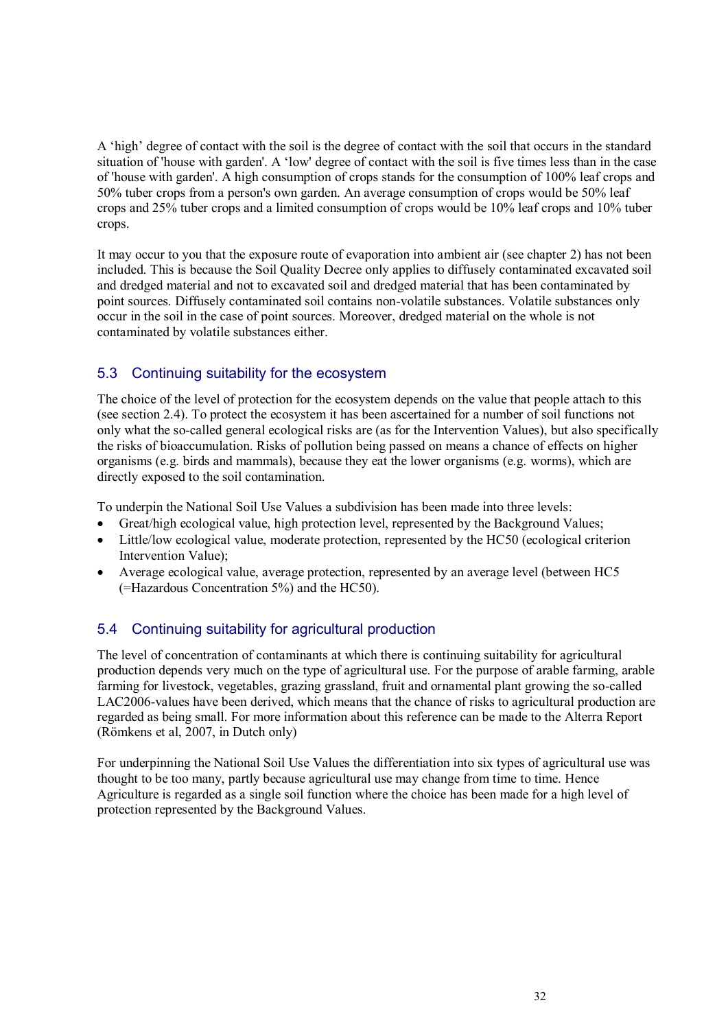A "high" degree of contact with the soil is the degree of contact with the soil that occurs in the standard situation of 'house with garden'. A "low' degree of contact with the soil is five times less than in the case of 'house with garden'. A high consumption of crops stands for the consumption of 100% leaf crops and 50% tuber crops from a person's own garden. An average consumption of crops would be 50% leaf crops and 25% tuber crops and a limited consumption of crops would be 10% leaf crops and 10% tuber crops.

It may occur to you that the exposure route of evaporation into ambient air (see chapter 2) has not been included. This is because the Soil Quality Decree only applies to diffusely contaminated excavated soil and dredged material and not to excavated soil and dredged material that has been contaminated by point sources. Diffusely contaminated soil contains non-volatile substances. Volatile substances only occur in the soil in the case of point sources. Moreover, dredged material on the whole is not contaminated by volatile substances either.

### 5.3 Continuing suitability for the ecosystem

The choice of the level of protection for the ecosystem depends on the value that people attach to this (see section 2.4). To protect the ecosystem it has been ascertained for a number of soil functions not only what the so-called general ecological risks are (as for the Intervention Values), but also specifically the risks of bioaccumulation. Risks of pollution being passed on means a chance of effects on higher organisms (e.g. birds and mammals), because they eat the lower organisms (e.g. worms), which are directly exposed to the soil contamination.

To underpin the National Soil Use Values a subdivision has been made into three levels:

- Great/high ecological value, high protection level, represented by the Background Values;
- Little/low ecological value, moderate protection, represented by the HC50 (ecological criterion Intervention Value);
- Average ecological value, average protection, represented by an average level (between HC5 (=Hazardous Concentration 5%) and the HC50).

### 5.4 Continuing suitability for agricultural production

The level of concentration of contaminants at which there is continuing suitability for agricultural production depends very much on the type of agricultural use. For the purpose of arable farming, arable farming for livestock, vegetables, grazing grassland, fruit and ornamental plant growing the so-called LAC2006-values have been derived, which means that the chance of risks to agricultural production are regarded as being small. For more information about this reference can be made to the Alterra Report (Römkens et al, 2007, in Dutch only)

For underpinning the National Soil Use Values the differentiation into six types of agricultural use was thought to be too many, partly because agricultural use may change from time to time. Hence Agriculture is regarded as a single soil function where the choice has been made for a high level of protection represented by the Background Values.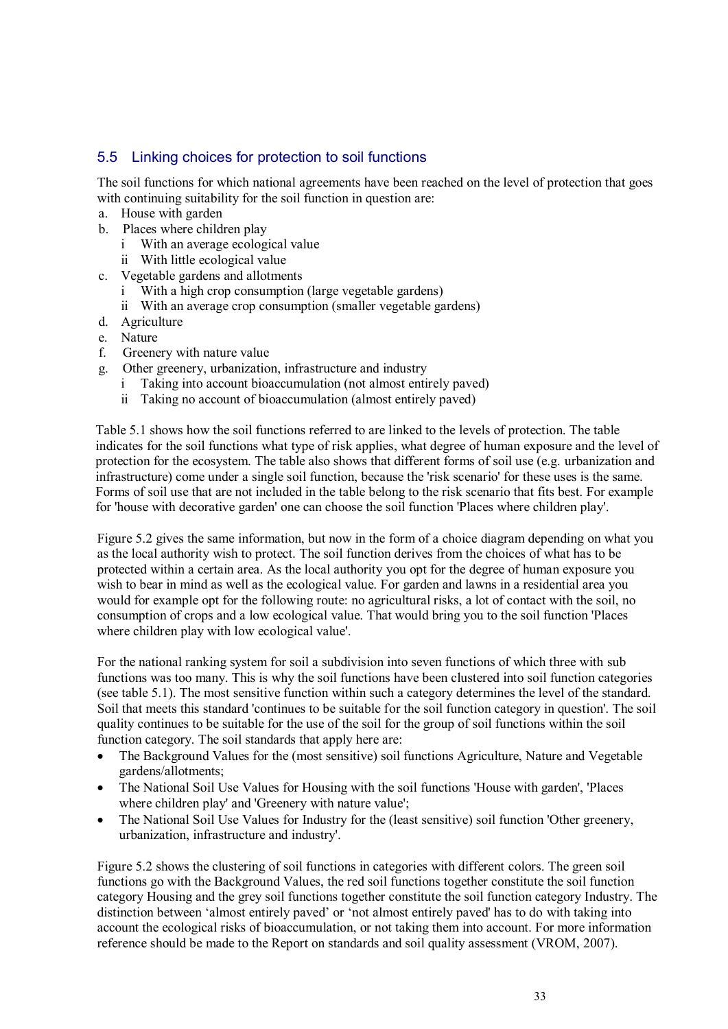#### 5.5 Linking choices for protection to soil functions

The soil functions for which national agreements have been reached on the level of protection that goes with continuing suitability for the soil function in question are:

- a. House with garden
- b. Places where children play
	- i With an average ecological value
	- ii With little ecological value
- c. Vegetable gardens and allotments
	- i With a high crop consumption (large vegetable gardens)
	- ii With an average crop consumption (smaller vegetable gardens)
- d. Agriculture
- e. Nature
- f. Greenery with nature value
- g. Other greenery, urbanization, infrastructure and industry
	- i Taking into account bioaccumulation (not almost entirely paved)
	- ii Taking no account of bioaccumulation (almost entirely paved)

Table 5.1 shows how the soil functions referred to are linked to the levels of protection. The table indicates for the soil functions what type of risk applies, what degree of human exposure and the level of protection for the ecosystem. The table also shows that different forms of soil use (e.g. urbanization and infrastructure) come under a single soil function, because the 'risk scenario' for these uses is the same. Forms of soil use that are not included in the table belong to the risk scenario that fits best. For example for 'house with decorative garden' one can choose the soil function 'Places where children play'.

Figure 5.2 gives the same information, but now in the form of a choice diagram depending on what you as the local authority wish to protect. The soil function derives from the choices of what has to be protected within a certain area. As the local authority you opt for the degree of human exposure you wish to bear in mind as well as the ecological value. For garden and lawns in a residential area you would for example opt for the following route: no agricultural risks, a lot of contact with the soil, no consumption of crops and a low ecological value. That would bring you to the soil function 'Places where children play with low ecological value'.

For the national ranking system for soil a subdivision into seven functions of which three with sub functions was too many. This is why the soil functions have been clustered into soil function categories (see table 5.1). The most sensitive function within such a category determines the level of the standard. Soil that meets this standard 'continues to be suitable for the soil function category in question'. The soil quality continues to be suitable for the use of the soil for the group of soil functions within the soil function category. The soil standards that apply here are:

- The Background Values for the (most sensitive) soil functions Agriculture, Nature and Vegetable gardens/allotments;
- The National Soil Use Values for Housing with the soil functions 'House with garden', 'Places where children play' and 'Greenery with nature value';
- The National Soil Use Values for Industry for the (least sensitive) soil function 'Other greenery, urbanization, infrastructure and industry'.

Figure 5.2 shows the clustering of soil functions in categories with different colors. The green soil functions go with the Background Values, the red soil functions together constitute the soil function category Housing and the grey soil functions together constitute the soil function category Industry. The distinction between "almost entirely paved" or "not almost entirely paved' has to do with taking into account the ecological risks of bioaccumulation, or not taking them into account. For more information reference should be made to the Report on standards and soil quality assessment (VROM, 2007).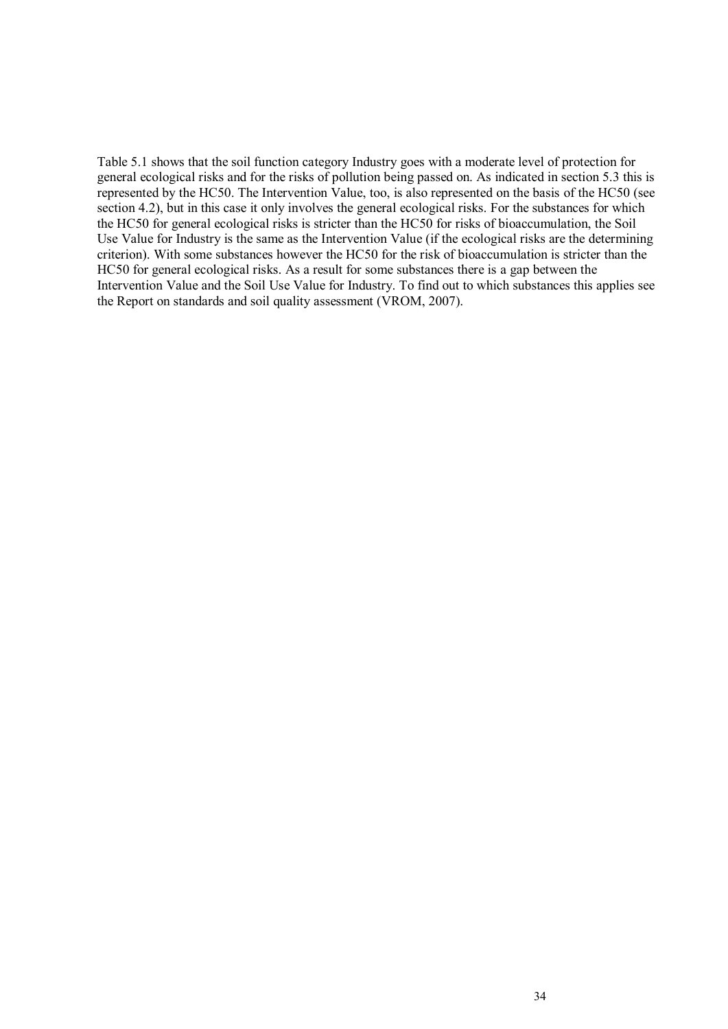Table 5.1 shows that the soil function category Industry goes with a moderate level of protection for general ecological risks and for the risks of pollution being passed on. As indicated in section 5.3 this is represented by the HC50. The Intervention Value, too, is also represented on the basis of the HC50 (see section 4.2), but in this case it only involves the general ecological risks. For the substances for which the HC50 for general ecological risks is stricter than the HC50 for risks of bioaccumulation, the Soil Use Value for Industry is the same as the Intervention Value (if the ecological risks are the determining criterion). With some substances however the HC50 for the risk of bioaccumulation is stricter than the HC50 for general ecological risks. As a result for some substances there is a gap between the Intervention Value and the Soil Use Value for Industry. To find out to which substances this applies see the Report on standards and soil quality assessment (VROM, 2007).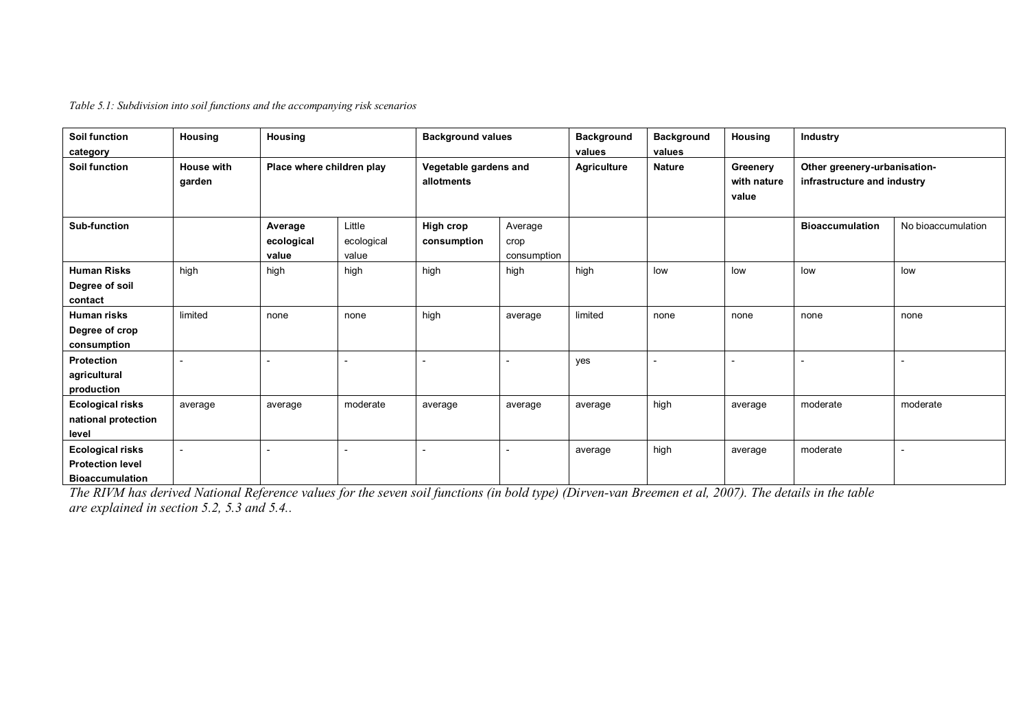*Table 5.1: Subdivision into soil functions and the accompanying risk scenarios*

| Soil function<br>category                                                    | Housing                     | Housing                        |                               | <b>Background values</b>            |                                | <b>Background</b><br>values | <b>Background</b><br>values | Housing                          | Industry                                                    |                    |
|------------------------------------------------------------------------------|-----------------------------|--------------------------------|-------------------------------|-------------------------------------|--------------------------------|-----------------------------|-----------------------------|----------------------------------|-------------------------------------------------------------|--------------------|
| <b>Soil function</b>                                                         | <b>House with</b><br>garden | Place where children play      |                               | Vegetable gardens and<br>allotments |                                | <b>Agriculture</b>          | <b>Nature</b>               | Greenery<br>with nature<br>value | Other greenery-urbanisation-<br>infrastructure and industry |                    |
| <b>Sub-function</b>                                                          |                             | Average<br>ecological<br>value | Little<br>ecological<br>value | High crop<br>consumption            | Average<br>crop<br>consumption |                             |                             |                                  | <b>Bioaccumulation</b>                                      | No bioaccumulation |
| <b>Human Risks</b><br>Degree of soil<br>contact                              | high                        | high                           | high                          | high                                | high                           | high                        | low                         | low                              | low                                                         | low                |
| <b>Human risks</b><br>Degree of crop<br>consumption                          | limited                     | none                           | none                          | high                                | average                        | limited                     | none                        | none                             | none                                                        | none               |
| Protection<br>agricultural<br>production                                     |                             |                                |                               |                                     |                                | yes                         |                             |                                  |                                                             |                    |
| <b>Ecological risks</b><br>national protection<br>level                      | average                     | average                        | moderate                      | average                             | average                        | average                     | high                        | average                          | moderate                                                    | moderate           |
| <b>Ecological risks</b><br><b>Protection level</b><br><b>Bioaccumulation</b> |                             |                                |                               |                                     |                                | average                     | high                        | average                          | moderate                                                    |                    |

*The RIVM has derived National Reference values for the seven soil functions (in bold type) (Dirven-van Breemen et al, 2007). The details in the table are explained in section 5.2, 5.3 and 5.4..*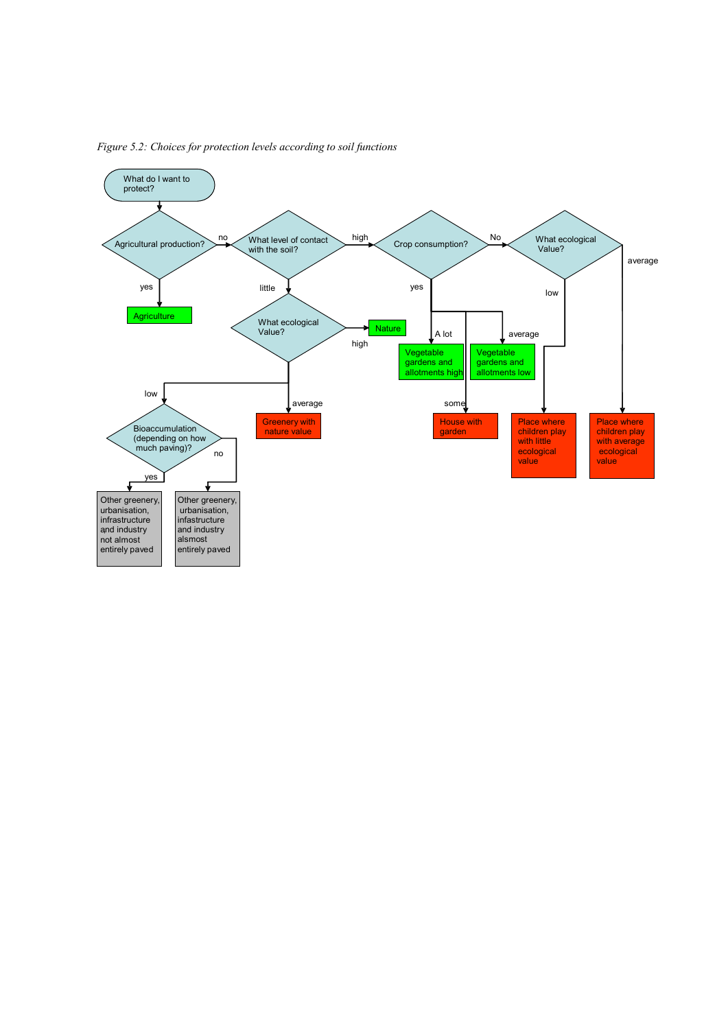

*Figure 5.2: Choices for protection levels according to soil functions*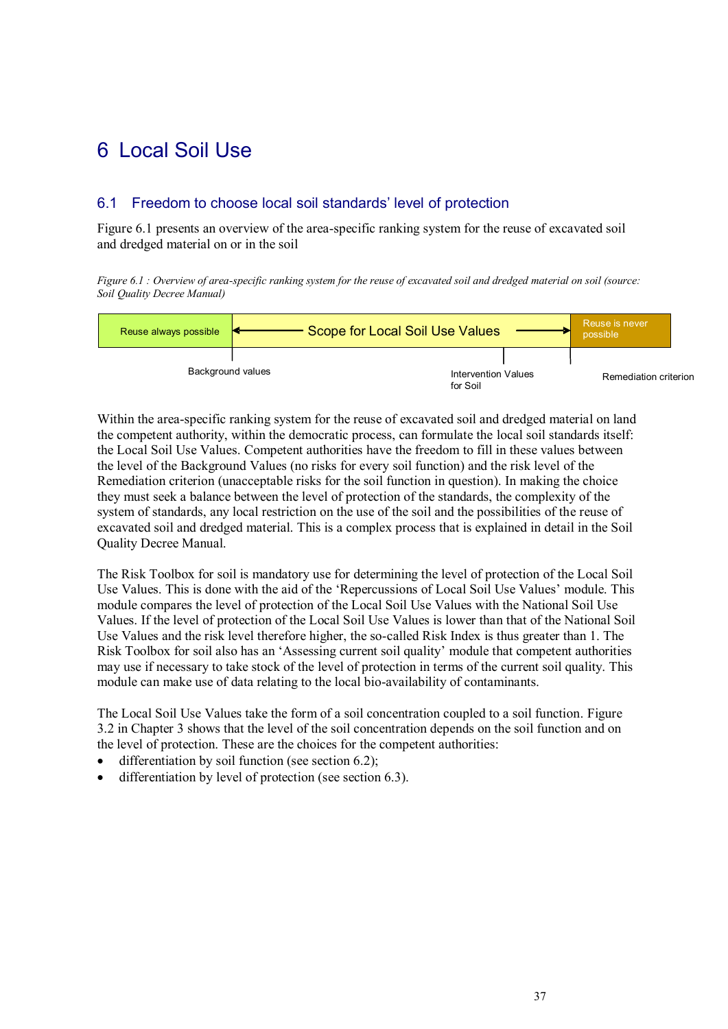### 6 Local Soil Use

#### 6.1 Freedom to choose local soil standards' level of protection

Figure 6.1 presents an overview of the area-specific ranking system for the reuse of excavated soil and dredged material on or in the soil

*Figure 6.1 : Overview of area-specific ranking system for the reuse of excavated soil and dredged material on soil (source: Soil Quality Decree Manual)*

| Reuse always possible | Scope for Local Soil Use Values        | Reuse is never<br>possible |  |
|-----------------------|----------------------------------------|----------------------------|--|
| Background values     | <b>Intervention Values</b><br>for Soil | Remediation criterion      |  |

Within the area-specific ranking system for the reuse of excavated soil and dredged material on land the competent authority, within the democratic process, can formulate the local soil standards itself: the Local Soil Use Values. Competent authorities have the freedom to fill in these values between the level of the Background Values (no risks for every soil function) and the risk level of the Remediation criterion (unacceptable risks for the soil function in question). In making the choice they must seek a balance between the level of protection of the standards, the complexity of the system of standards, any local restriction on the use of the soil and the possibilities of the reuse of excavated soil and dredged material. This is a complex process that is explained in detail in the Soil Quality Decree Manual.

The Risk Toolbox for soil is mandatory use for determining the level of protection of the Local Soil Use Values. This is done with the aid of the "Repercussions of Local Soil Use Values" module. This module compares the level of protection of the Local Soil Use Values with the National Soil Use Values. If the level of protection of the Local Soil Use Values is lower than that of the National Soil Use Values and the risk level therefore higher, the so-called Risk Index is thus greater than 1. The Risk Toolbox for soil also has an "Assessing current soil quality" module that competent authorities may use if necessary to take stock of the level of protection in terms of the current soil quality. This module can make use of data relating to the local bio-availability of contaminants.

The Local Soil Use Values take the form of a soil concentration coupled to a soil function. Figure 3.2 in Chapter 3 shows that the level of the soil concentration depends on the soil function and on the level of protection. These are the choices for the competent authorities:

- differentiation by soil function (see section 6.2);
- differentiation by level of protection (see section 6.3).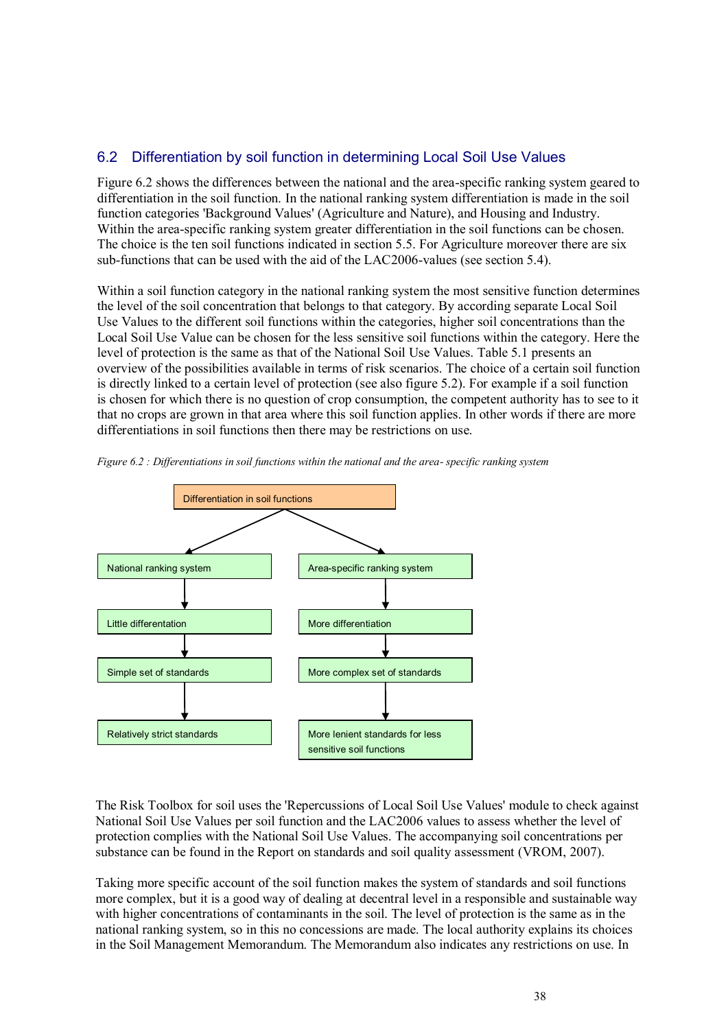#### 6.2 Differentiation by soil function in determining Local Soil Use Values

Figure 6.2 shows the differences between the national and the area-specific ranking system geared to differentiation in the soil function. In the national ranking system differentiation is made in the soil function categories 'Background Values' (Agriculture and Nature), and Housing and Industry. Within the area-specific ranking system greater differentiation in the soil functions can be chosen. The choice is the ten soil functions indicated in section 5.5. For Agriculture moreover there are six sub-functions that can be used with the aid of the LAC2006-values (see section 5.4).

Within a soil function category in the national ranking system the most sensitive function determines the level of the soil concentration that belongs to that category. By according separate Local Soil Use Values to the different soil functions within the categories, higher soil concentrations than the Local Soil Use Value can be chosen for the less sensitive soil functions within the category. Here the level of protection is the same as that of the National Soil Use Values. Table 5.1 presents an overview of the possibilities available in terms of risk scenarios. The choice of a certain soil function is directly linked to a certain level of protection (see also figure 5.2). For example if a soil function is chosen for which there is no question of crop consumption, the competent authority has to see to it that no crops are grown in that area where this soil function applies. In other words if there are more differentiations in soil functions then there may be restrictions on use.



*Figure 6.2 : Differentiations in soil functions within the national and the area- specific ranking system*

The Risk Toolbox for soil uses the 'Repercussions of Local Soil Use Values' module to check against National Soil Use Values per soil function and the LAC2006 values to assess whether the level of protection complies with the National Soil Use Values. The accompanying soil concentrations per substance can be found in the Report on standards and soil quality assessment (VROM, 2007).

Taking more specific account of the soil function makes the system of standards and soil functions more complex, but it is a good way of dealing at decentral level in a responsible and sustainable way with higher concentrations of contaminants in the soil. The level of protection is the same as in the national ranking system, so in this no concessions are made. The local authority explains its choices in the Soil Management Memorandum. The Memorandum also indicates any restrictions on use. In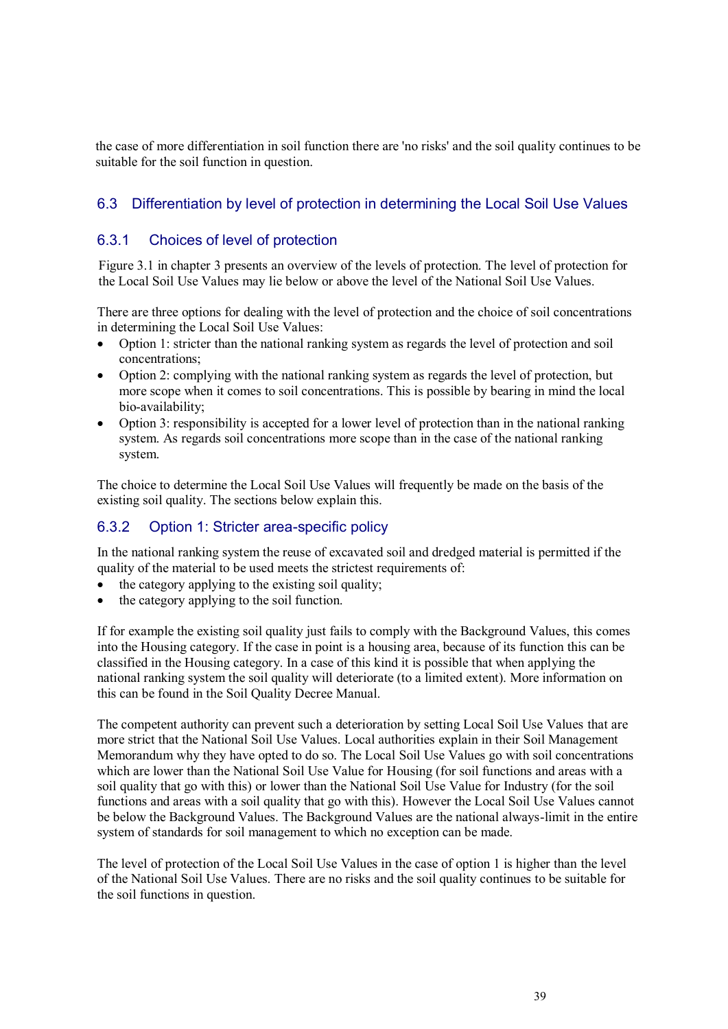the case of more differentiation in soil function there are 'no risks' and the soil quality continues to be suitable for the soil function in question.

### 6.3 Differentiation by level of protection in determining the Local Soil Use Values

#### 6.3.1 Choices of level of protection

Figure 3.1 in chapter 3 presents an overview of the levels of protection. The level of protection for the Local Soil Use Values may lie below or above the level of the National Soil Use Values.

There are three options for dealing with the level of protection and the choice of soil concentrations in determining the Local Soil Use Values:

- Option 1: stricter than the national ranking system as regards the level of protection and soil concentrations;
- Option 2: complying with the national ranking system as regards the level of protection, but more scope when it comes to soil concentrations. This is possible by bearing in mind the local bio-availability;
- Option 3: responsibility is accepted for a lower level of protection than in the national ranking system. As regards soil concentrations more scope than in the case of the national ranking system.

The choice to determine the Local Soil Use Values will frequently be made on the basis of the existing soil quality. The sections below explain this.

### 6.3.2 Option 1: Stricter area-specific policy

In the national ranking system the reuse of excavated soil and dredged material is permitted if the quality of the material to be used meets the strictest requirements of:

- $\bullet$  the category applying to the existing soil quality;
- the category applying to the soil function.

If for example the existing soil quality just fails to comply with the Background Values, this comes into the Housing category. If the case in point is a housing area, because of its function this can be classified in the Housing category. In a case of this kind it is possible that when applying the national ranking system the soil quality will deteriorate (to a limited extent). More information on this can be found in the Soil Quality Decree Manual.

The competent authority can prevent such a deterioration by setting Local Soil Use Values that are more strict that the National Soil Use Values. Local authorities explain in their Soil Management Memorandum why they have opted to do so. The Local Soil Use Values go with soil concentrations which are lower than the National Soil Use Value for Housing (for soil functions and areas with a soil quality that go with this) or lower than the National Soil Use Value for Industry (for the soil functions and areas with a soil quality that go with this). However the Local Soil Use Values cannot be below the Background Values. The Background Values are the national always-limit in the entire system of standards for soil management to which no exception can be made.

The level of protection of the Local Soil Use Values in the case of option 1 is higher than the level of the National Soil Use Values. There are no risks and the soil quality continues to be suitable for the soil functions in question.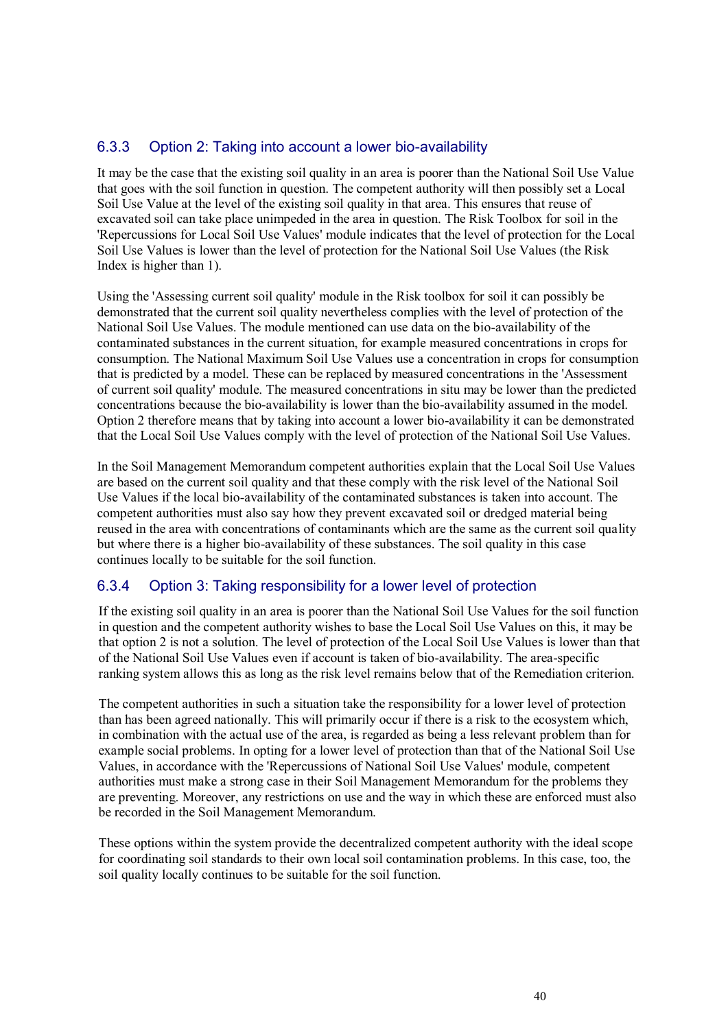#### 6.3.3 Option 2: Taking into account a lower bio-availability

It may be the case that the existing soil quality in an area is poorer than the National Soil Use Value that goes with the soil function in question. The competent authority will then possibly set a Local Soil Use Value at the level of the existing soil quality in that area. This ensures that reuse of excavated soil can take place unimpeded in the area in question. The Risk Toolbox for soil in the 'Repercussions for Local Soil Use Values' module indicates that the level of protection for the Local Soil Use Values is lower than the level of protection for the National Soil Use Values (the Risk Index is higher than 1).

Using the 'Assessing current soil quality' module in the Risk toolbox for soil it can possibly be demonstrated that the current soil quality nevertheless complies with the level of protection of the National Soil Use Values. The module mentioned can use data on the bio-availability of the contaminated substances in the current situation, for example measured concentrations in crops for consumption. The National Maximum Soil Use Values use a concentration in crops for consumption that is predicted by a model. These can be replaced by measured concentrations in the 'Assessment of current soil quality' module. The measured concentrations in situ may be lower than the predicted concentrations because the bio-availability is lower than the bio-availability assumed in the model. Option 2 therefore means that by taking into account a lower bio-availability it can be demonstrated that the Local Soil Use Values comply with the level of protection of the National Soil Use Values.

In the Soil Management Memorandum competent authorities explain that the Local Soil Use Values are based on the current soil quality and that these comply with the risk level of the National Soil Use Values if the local bio-availability of the contaminated substances is taken into account. The competent authorities must also say how they prevent excavated soil or dredged material being reused in the area with concentrations of contaminants which are the same as the current soil quality but where there is a higher bio-availability of these substances. The soil quality in this case continues locally to be suitable for the soil function.

#### 6.3.4 Option 3: Taking responsibility for a lower level of protection

If the existing soil quality in an area is poorer than the National Soil Use Values for the soil function in question and the competent authority wishes to base the Local Soil Use Values on this, it may be that option 2 is not a solution. The level of protection of the Local Soil Use Values is lower than that of the National Soil Use Values even if account is taken of bio-availability. The area-specific ranking system allows this as long as the risk level remains below that of the Remediation criterion.

The competent authorities in such a situation take the responsibility for a lower level of protection than has been agreed nationally. This will primarily occur if there is a risk to the ecosystem which, in combination with the actual use of the area, is regarded as being a less relevant problem than for example social problems. In opting for a lower level of protection than that of the National Soil Use Values, in accordance with the 'Repercussions of National Soil Use Values' module, competent authorities must make a strong case in their Soil Management Memorandum for the problems they are preventing. Moreover, any restrictions on use and the way in which these are enforced must also be recorded in the Soil Management Memorandum.

These options within the system provide the decentralized competent authority with the ideal scope for coordinating soil standards to their own local soil contamination problems. In this case, too, the soil quality locally continues to be suitable for the soil function.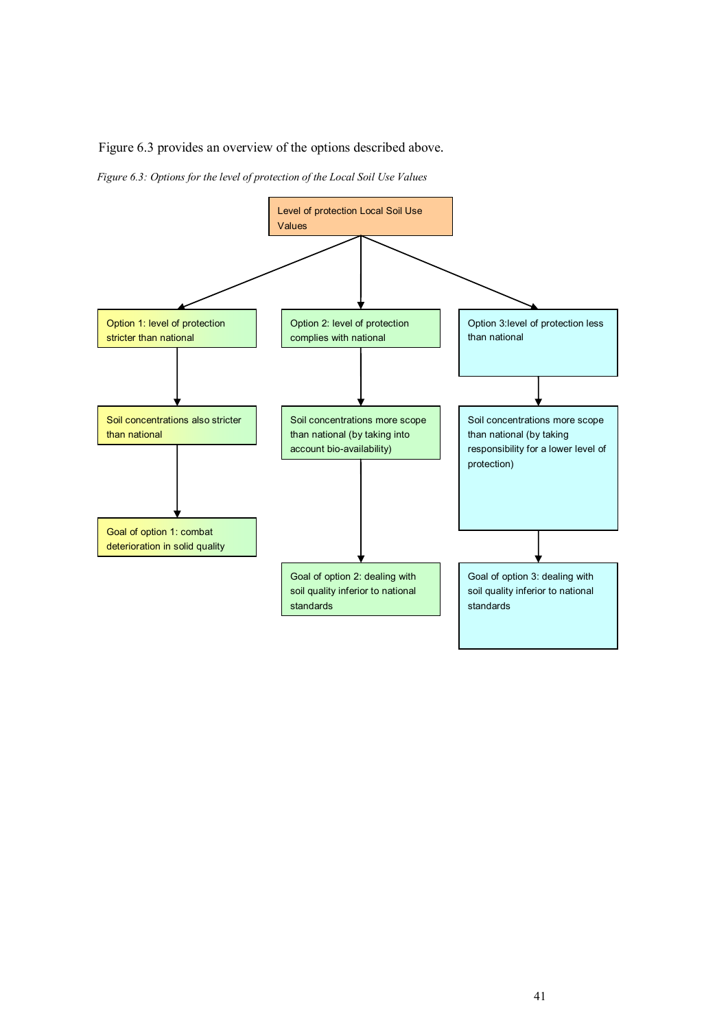Figure 6.3 provides an overview of the options described above.

*Figure 6.3: Options for the level of protection of the Local Soil Use Values*

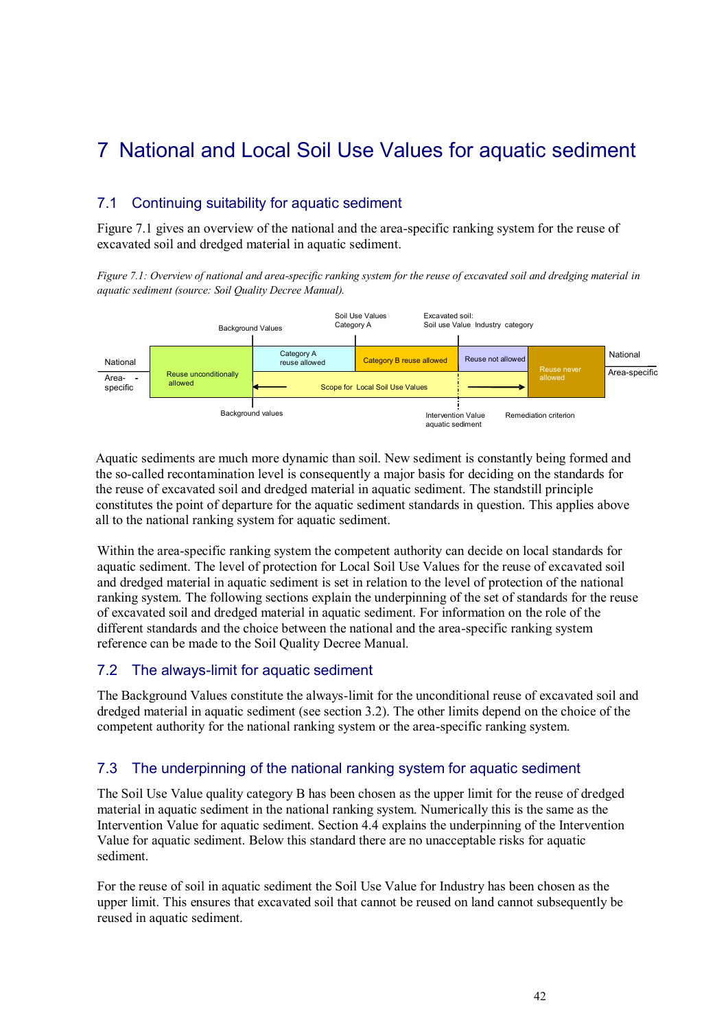## 7 National and Local Soil Use Values for aquatic sediment

### 7.1 Continuing suitability for aquatic sediment

Figure 7.1 gives an overview of the national and the area-specific ranking system for the reuse of excavated soil and dredged material in aquatic sediment.

*Figure 7.1: Overview of national and area-specific ranking system for the reuse of excavated soil and dredging material in aquatic sediment (source: Soil Quality Decree Manual).*



Aquatic sediments are much more dynamic than soil. New sediment is constantly being formed and the so-called recontamination level is consequently a major basis for deciding on the standards for the reuse of excavated soil and dredged material in aquatic sediment. The standstill principle constitutes the point of departure for the aquatic sediment standards in question. This applies above all to the national ranking system for aquatic sediment.

Within the area-specific ranking system the competent authority can decide on local standards for aquatic sediment. The level of protection for Local Soil Use Values for the reuse of excavated soil and dredged material in aquatic sediment is set in relation to the level of protection of the national ranking system. The following sections explain the underpinning of the set of standards for the reuse of excavated soil and dredged material in aquatic sediment. For information on the role of the different standards and the choice between the national and the area-specific ranking system reference can be made to the Soil Quality Decree Manual.

#### 7.2 The always-limit for aquatic sediment

The Background Values constitute the always-limit for the unconditional reuse of excavated soil and dredged material in aquatic sediment (see section 3.2). The other limits depend on the choice of the competent authority for the national ranking system or the area-specific ranking system.

#### 7.3 The underpinning of the national ranking system for aquatic sediment

The Soil Use Value quality category B has been chosen as the upper limit for the reuse of dredged material in aquatic sediment in the national ranking system. Numerically this is the same as the Intervention Value for aquatic sediment. Section 4.4 explains the underpinning of the Intervention Value for aquatic sediment. Below this standard there are no unacceptable risks for aquatic sediment.

For the reuse of soil in aquatic sediment the Soil Use Value for Industry has been chosen as the upper limit. This ensures that excavated soil that cannot be reused on land cannot subsequently be reused in aquatic sediment.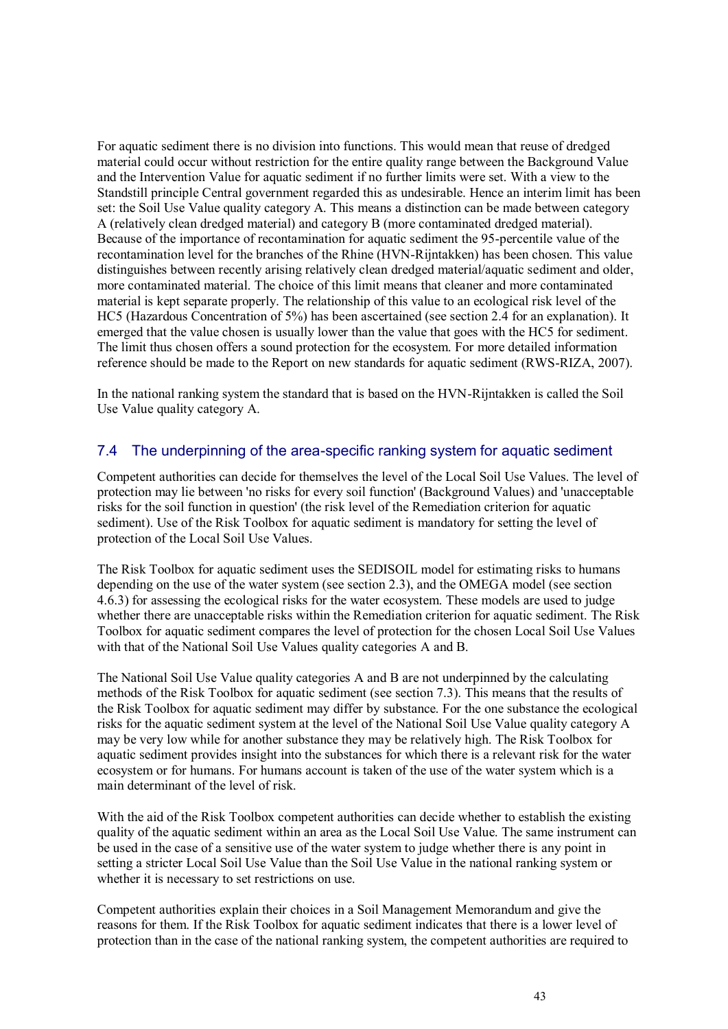For aquatic sediment there is no division into functions. This would mean that reuse of dredged material could occur without restriction for the entire quality range between the Background Value and the Intervention Value for aquatic sediment if no further limits were set. With a view to the Standstill principle Central government regarded this as undesirable. Hence an interim limit has been set: the Soil Use Value quality category A. This means a distinction can be made between category A (relatively clean dredged material) and category B (more contaminated dredged material). Because of the importance of recontamination for aquatic sediment the 95-percentile value of the recontamination level for the branches of the Rhine (HVN-Rijntakken) has been chosen. This value distinguishes between recently arising relatively clean dredged material/aquatic sediment and older, more contaminated material. The choice of this limit means that cleaner and more contaminated material is kept separate properly. The relationship of this value to an ecological risk level of the HC5 (Hazardous Concentration of 5%) has been ascertained (see section 2.4 for an explanation). It emerged that the value chosen is usually lower than the value that goes with the HC5 for sediment. The limit thus chosen offers a sound protection for the ecosystem. For more detailed information reference should be made to the Report on new standards for aquatic sediment (RWS-RIZA, 2007).

In the national ranking system the standard that is based on the HVN-Rijntakken is called the Soil Use Value quality category A.

#### 7.4 The underpinning of the area-specific ranking system for aquatic sediment

Competent authorities can decide for themselves the level of the Local Soil Use Values. The level of protection may lie between 'no risks for every soil function' (Background Values) and 'unacceptable risks for the soil function in question' (the risk level of the Remediation criterion for aquatic sediment). Use of the Risk Toolbox for aquatic sediment is mandatory for setting the level of protection of the Local Soil Use Values.

The Risk Toolbox for aquatic sediment uses the SEDISOIL model for estimating risks to humans depending on the use of the water system (see section 2.3), and the OMEGA model (see section 4.6.3) for assessing the ecological risks for the water ecosystem. These models are used to judge whether there are unacceptable risks within the Remediation criterion for aquatic sediment. The Risk Toolbox for aquatic sediment compares the level of protection for the chosen Local Soil Use Values with that of the National Soil Use Values quality categories A and B.

The National Soil Use Value quality categories A and B are not underpinned by the calculating methods of the Risk Toolbox for aquatic sediment (see section 7.3). This means that the results of the Risk Toolbox for aquatic sediment may differ by substance. For the one substance the ecological risks for the aquatic sediment system at the level of the National Soil Use Value quality category A may be very low while for another substance they may be relatively high. The Risk Toolbox for aquatic sediment provides insight into the substances for which there is a relevant risk for the water ecosystem or for humans. For humans account is taken of the use of the water system which is a main determinant of the level of risk.

With the aid of the Risk Toolbox competent authorities can decide whether to establish the existing quality of the aquatic sediment within an area as the Local Soil Use Value. The same instrument can be used in the case of a sensitive use of the water system to judge whether there is any point in setting a stricter Local Soil Use Value than the Soil Use Value in the national ranking system or whether it is necessary to set restrictions on use.

Competent authorities explain their choices in a Soil Management Memorandum and give the reasons for them. If the Risk Toolbox for aquatic sediment indicates that there is a lower level of protection than in the case of the national ranking system, the competent authorities are required to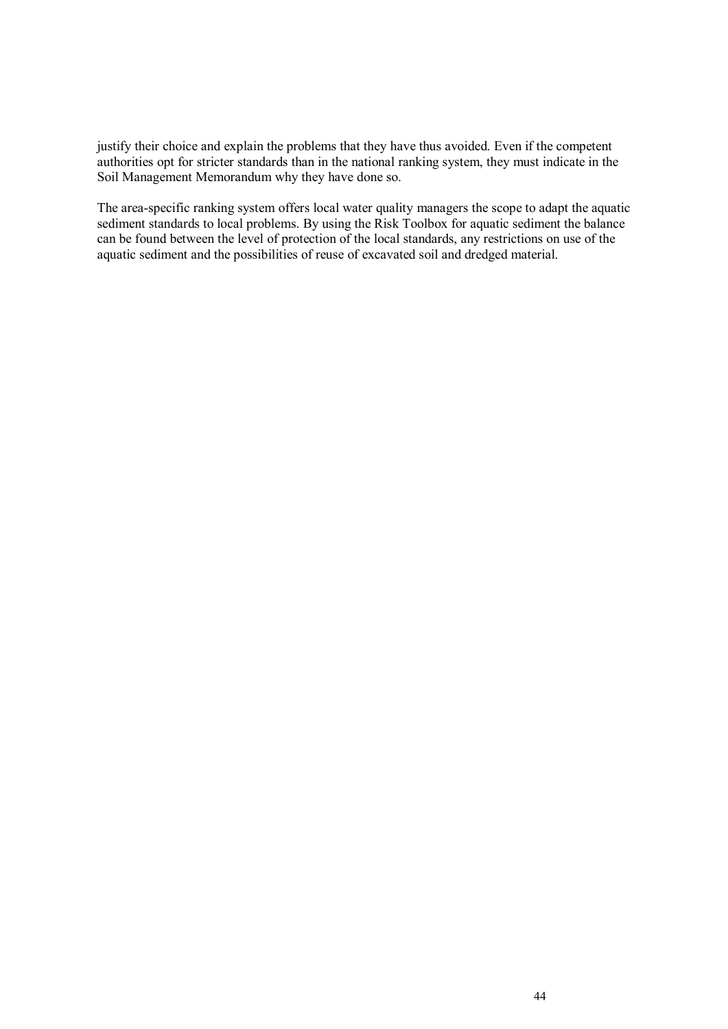justify their choice and explain the problems that they have thus avoided. Even if the competent authorities opt for stricter standards than in the national ranking system, they must indicate in the Soil Management Memorandum why they have done so.

The area-specific ranking system offers local water quality managers the scope to adapt the aquatic sediment standards to local problems. By using the Risk Toolbox for aquatic sediment the balance can be found between the level of protection of the local standards, any restrictions on use of the aquatic sediment and the possibilities of reuse of excavated soil and dredged material.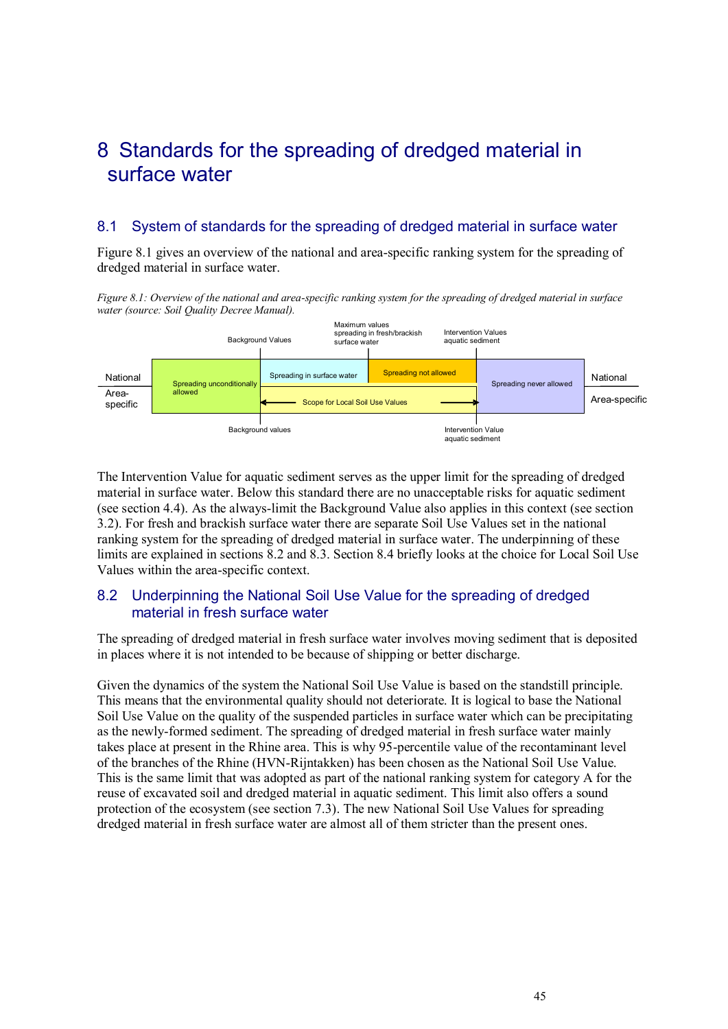### 8 Standards for the spreading of dredged material in surface water

#### 8.1 System of standards for the spreading of dredged material in surface water

Figure 8.1 gives an overview of the national and area-specific ranking system for the spreading of dredged material in surface water.

*Figure 8.1: Overview of the national and area-specific ranking system for the spreading of dredged material in surface water (source: Soil Quality Decree Manual).*



The Intervention Value for aquatic sediment serves as the upper limit for the spreading of dredged material in surface water. Below this standard there are no unacceptable risks for aquatic sediment (see section 4.4). As the always-limit the Background Value also applies in this context (see section 3.2). For fresh and brackish surface water there are separate Soil Use Values set in the national ranking system for the spreading of dredged material in surface water. The underpinning of these limits are explained in sections 8.2 and 8.3. Section 8.4 briefly looks at the choice for Local Soil Use Values within the area-specific context.

#### 8.2 Underpinning the National Soil Use Value for the spreading of dredged material in fresh surface water

The spreading of dredged material in fresh surface water involves moving sediment that is deposited in places where it is not intended to be because of shipping or better discharge.

Given the dynamics of the system the National Soil Use Value is based on the standstill principle. This means that the environmental quality should not deteriorate. It is logical to base the National Soil Use Value on the quality of the suspended particles in surface water which can be precipitating as the newly-formed sediment. The spreading of dredged material in fresh surface water mainly takes place at present in the Rhine area. This is why 95-percentile value of the recontaminant level of the branches of the Rhine (HVN-Rijntakken) has been chosen as the National Soil Use Value. This is the same limit that was adopted as part of the national ranking system for category A for the reuse of excavated soil and dredged material in aquatic sediment. This limit also offers a sound protection of the ecosystem (see section 7.3). The new National Soil Use Values for spreading dredged material in fresh surface water are almost all of them stricter than the present ones.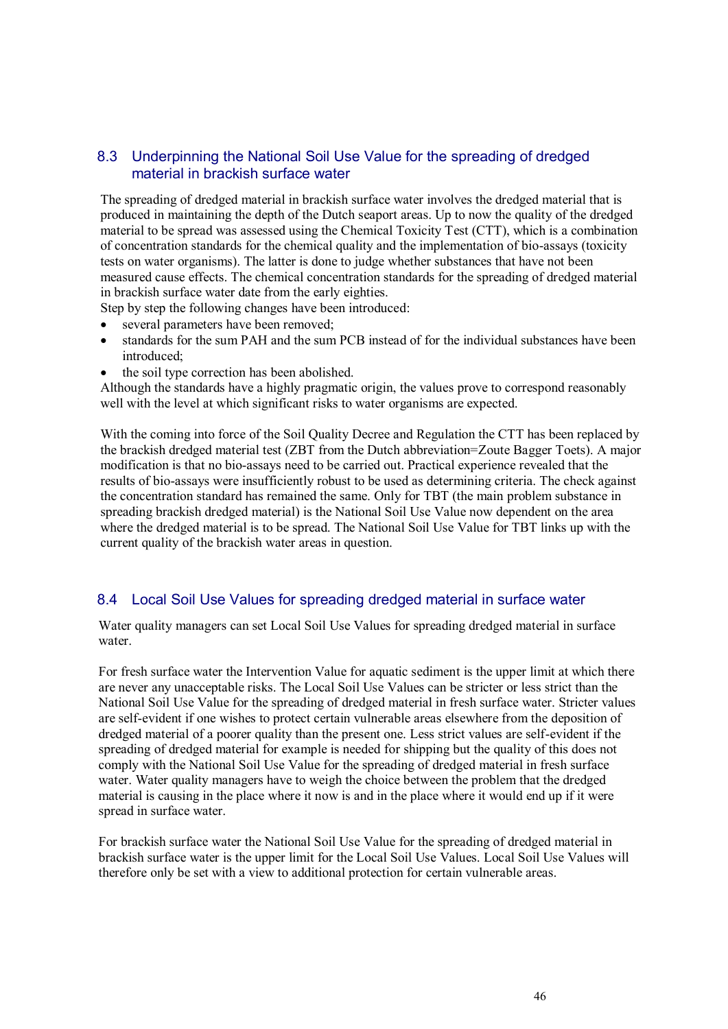#### 8.3 Underpinning the National Soil Use Value for the spreading of dredged material in brackish surface water

The spreading of dredged material in brackish surface water involves the dredged material that is produced in maintaining the depth of the Dutch seaport areas. Up to now the quality of the dredged material to be spread was assessed using the Chemical Toxicity Test (CTT), which is a combination of concentration standards for the chemical quality and the implementation of bio-assays (toxicity tests on water organisms). The latter is done to judge whether substances that have not been measured cause effects. The chemical concentration standards for the spreading of dredged material in brackish surface water date from the early eighties.

Step by step the following changes have been introduced:

- several parameters have been removed;
- standards for the sum PAH and the sum PCB instead of for the individual substances have been introduced<sup>.</sup>
- the soil type correction has been abolished.

Although the standards have a highly pragmatic origin, the values prove to correspond reasonably well with the level at which significant risks to water organisms are expected.

With the coming into force of the Soil Quality Decree and Regulation the CTT has been replaced by the brackish dredged material test (ZBT from the Dutch abbreviation=Zoute Bagger Toets). A major modification is that no bio-assays need to be carried out. Practical experience revealed that the results of bio-assays were insufficiently robust to be used as determining criteria. The check against the concentration standard has remained the same. Only for TBT (the main problem substance in spreading brackish dredged material) is the National Soil Use Value now dependent on the area where the dredged material is to be spread. The National Soil Use Value for TBT links up with the current quality of the brackish water areas in question.

#### 8.4 Local Soil Use Values for spreading dredged material in surface water

Water quality managers can set Local Soil Use Values for spreading dredged material in surface water.

For fresh surface water the Intervention Value for aquatic sediment is the upper limit at which there are never any unacceptable risks. The Local Soil Use Values can be stricter or less strict than the National Soil Use Value for the spreading of dredged material in fresh surface water. Stricter values are self-evident if one wishes to protect certain vulnerable areas elsewhere from the deposition of dredged material of a poorer quality than the present one. Less strict values are self-evident if the spreading of dredged material for example is needed for shipping but the quality of this does not comply with the National Soil Use Value for the spreading of dredged material in fresh surface water. Water quality managers have to weigh the choice between the problem that the dredged material is causing in the place where it now is and in the place where it would end up if it were spread in surface water.

For brackish surface water the National Soil Use Value for the spreading of dredged material in brackish surface water is the upper limit for the Local Soil Use Values. Local Soil Use Values will therefore only be set with a view to additional protection for certain vulnerable areas.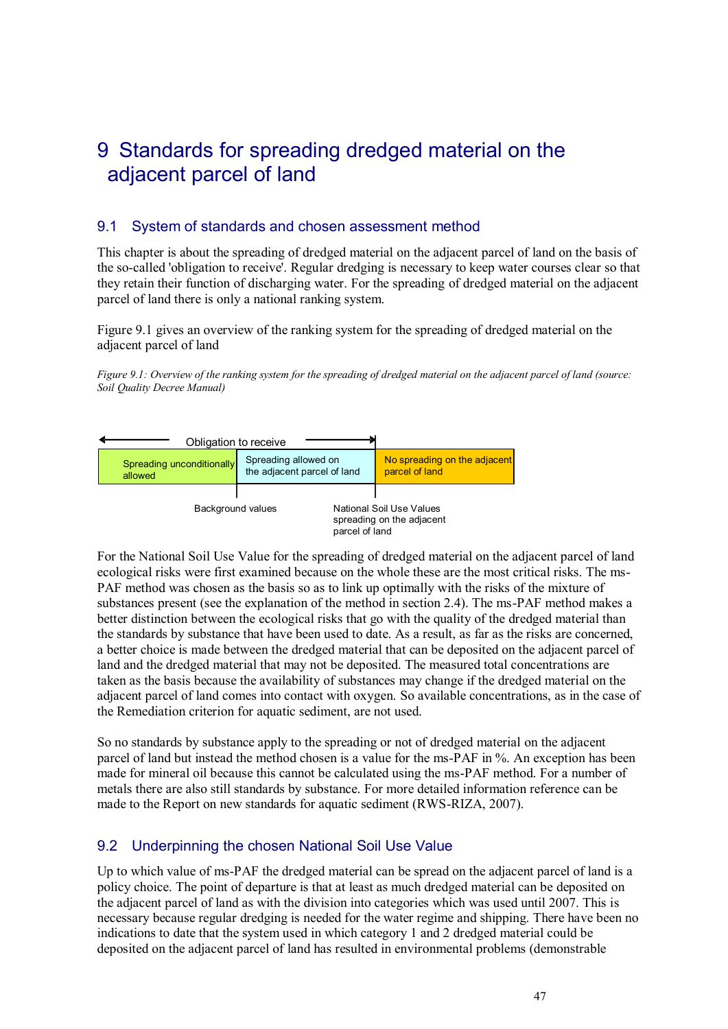### 9 Standards for spreading dredged material on the adjacent parcel of land

#### 9.1 System of standards and chosen assessment method

This chapter is about the spreading of dredged material on the adjacent parcel of land on the basis of the so-called 'obligation to receive'. Regular dredging is necessary to keep water courses clear so that they retain their function of discharging water. For the spreading of dredged material on the adjacent parcel of land there is only a national ranking system.

Figure 9.1 gives an overview of the ranking system for the spreading of dredged material on the adjacent parcel of land

*Figure 9.1: Overview of the ranking system for the spreading of dredged material on the adjacent parcel of land (source: Soil Quality Decree Manual)*



For the National Soil Use Value for the spreading of dredged material on the adjacent parcel of land ecological risks were first examined because on the whole these are the most critical risks. The ms-PAF method was chosen as the basis so as to link up optimally with the risks of the mixture of substances present (see the explanation of the method in section 2.4). The ms-PAF method makes a better distinction between the ecological risks that go with the quality of the dredged material than the standards by substance that have been used to date. As a result, as far as the risks are concerned, a better choice is made between the dredged material that can be deposited on the adjacent parcel of land and the dredged material that may not be deposited. The measured total concentrations are taken as the basis because the availability of substances may change if the dredged material on the adjacent parcel of land comes into contact with oxygen. So available concentrations, as in the case of the Remediation criterion for aquatic sediment, are not used.

So no standards by substance apply to the spreading or not of dredged material on the adjacent parcel of land but instead the method chosen is a value for the ms-PAF in %. An exception has been made for mineral oil because this cannot be calculated using the ms-PAF method. For a number of metals there are also still standards by substance. For more detailed information reference can be made to the Report on new standards for aquatic sediment (RWS-RIZA, 2007).

#### 9.2 Underpinning the chosen National Soil Use Value

Up to which value of ms-PAF the dredged material can be spread on the adjacent parcel of land is a policy choice. The point of departure is that at least as much dredged material can be deposited on the adjacent parcel of land as with the division into categories which was used until 2007. This is necessary because regular dredging is needed for the water regime and shipping. There have been no indications to date that the system used in which category 1 and 2 dredged material could be deposited on the adjacent parcel of land has resulted in environmental problems (demonstrable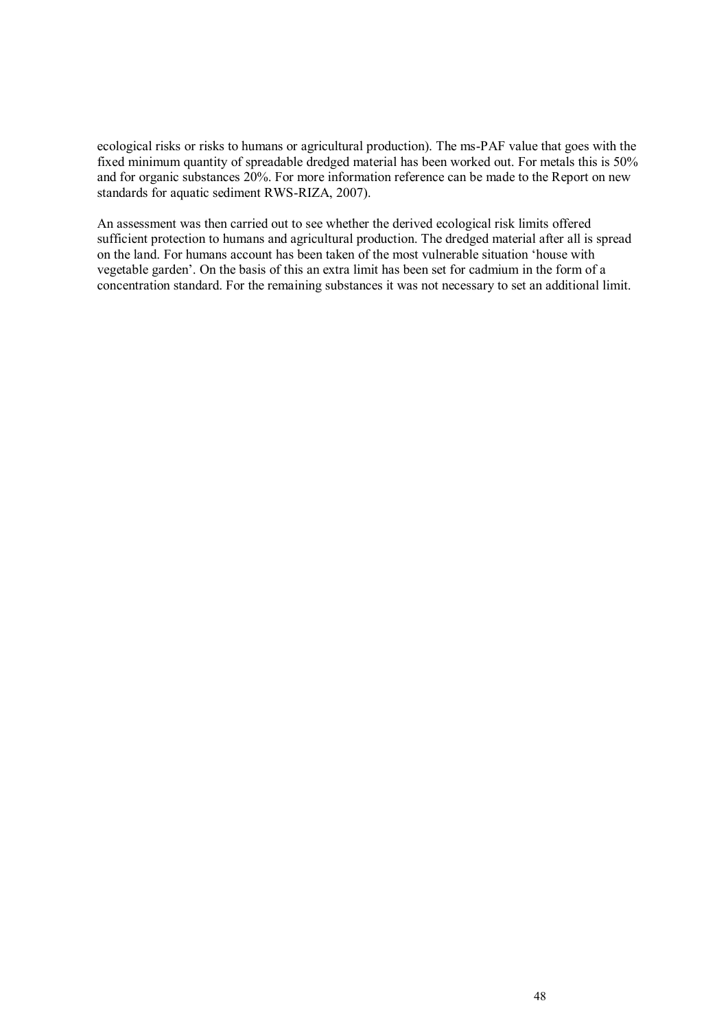ecological risks or risks to humans or agricultural production). The ms-PAF value that goes with the fixed minimum quantity of spreadable dredged material has been worked out. For metals this is 50% and for organic substances 20%. For more information reference can be made to the Report on new standards for aquatic sediment RWS-RIZA, 2007).

An assessment was then carried out to see whether the derived ecological risk limits offered sufficient protection to humans and agricultural production. The dredged material after all is spread on the land. For humans account has been taken of the most vulnerable situation "house with vegetable garden". On the basis of this an extra limit has been set for cadmium in the form of a concentration standard. For the remaining substances it was not necessary to set an additional limit.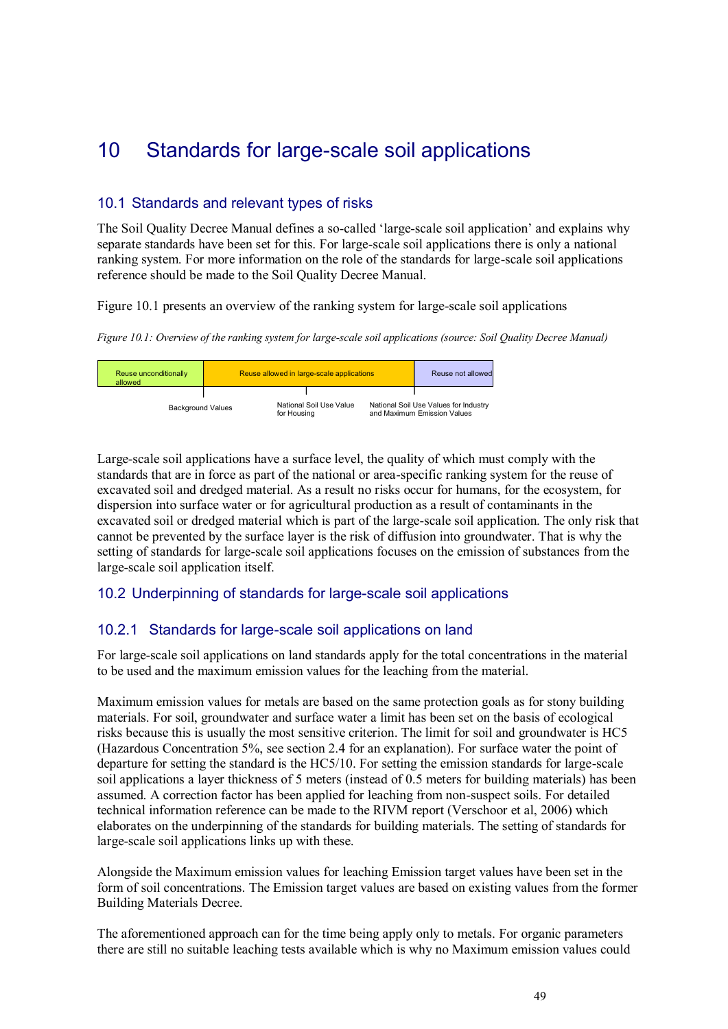### 10 Standards for large-scale soil applications

#### 10.1 Standards and relevant types of risks

The Soil Quality Decree Manual defines a so-called "large-scale soil application" and explains why separate standards have been set for this. For large-scale soil applications there is only a national ranking system. For more information on the role of the standards for large-scale soil applications reference should be made to the Soil Quality Decree Manual.

Figure 10.1 presents an overview of the ranking system for large-scale soil applications

*Figure 10.1: Overview of the ranking system for large-scale soil applications (source: Soil Quality Decree Manual)*



Large-scale soil applications have a surface level, the quality of which must comply with the standards that are in force as part of the national or area-specific ranking system for the reuse of excavated soil and dredged material. As a result no risks occur for humans, for the ecosystem, for dispersion into surface water or for agricultural production as a result of contaminants in the excavated soil or dredged material which is part of the large-scale soil application. The only risk that cannot be prevented by the surface layer is the risk of diffusion into groundwater. That is why the setting of standards for large-scale soil applications focuses on the emission of substances from the large-scale soil application itself.

### 10.2 Underpinning of standards for large-scale soil applications

#### 10.2.1 Standards for large-scale soil applications on land

For large-scale soil applications on land standards apply for the total concentrations in the material to be used and the maximum emission values for the leaching from the material.

Maximum emission values for metals are based on the same protection goals as for stony building materials. For soil, groundwater and surface water a limit has been set on the basis of ecological risks because this is usually the most sensitive criterion. The limit for soil and groundwater is HC5 (Hazardous Concentration 5%, see section 2.4 for an explanation). For surface water the point of departure for setting the standard is the HC5/10. For setting the emission standards for large-scale soil applications a layer thickness of 5 meters (instead of 0.5 meters for building materials) has been assumed. A correction factor has been applied for leaching from non-suspect soils. For detailed technical information reference can be made to the RIVM report (Verschoor et al, 2006) which elaborates on the underpinning of the standards for building materials. The setting of standards for large-scale soil applications links up with these.

Alongside the Maximum emission values for leaching Emission target values have been set in the form of soil concentrations. The Emission target values are based on existing values from the former Building Materials Decree.

The aforementioned approach can for the time being apply only to metals. For organic parameters there are still no suitable leaching tests available which is why no Maximum emission values could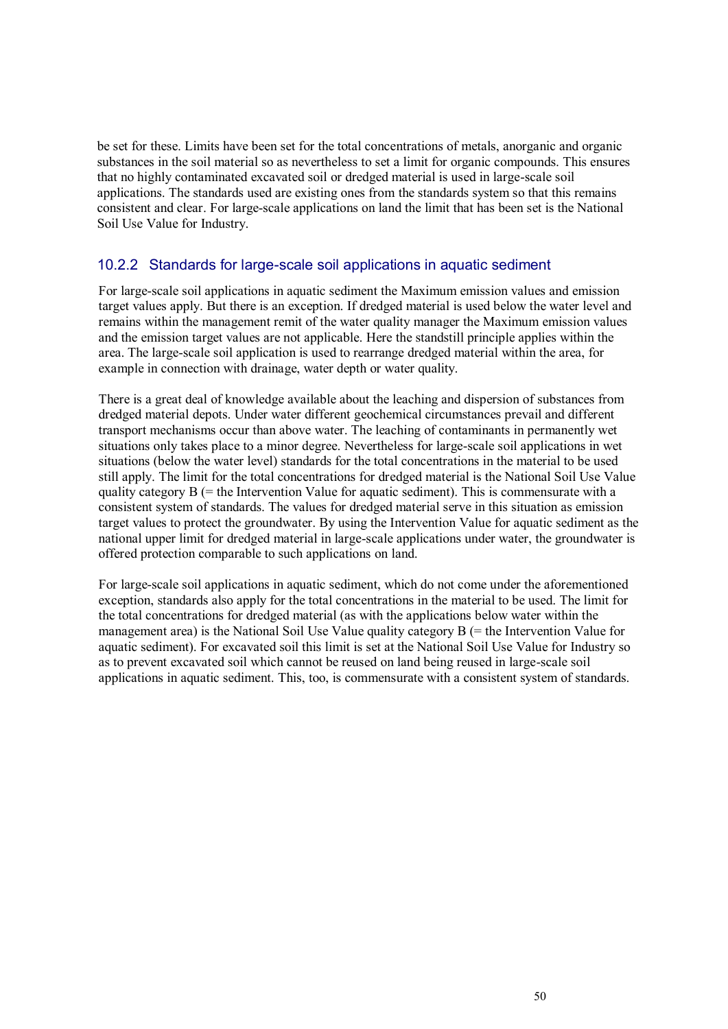be set for these. Limits have been set for the total concentrations of metals, anorganic and organic substances in the soil material so as nevertheless to set a limit for organic compounds. This ensures that no highly contaminated excavated soil or dredged material is used in large-scale soil applications. The standards used are existing ones from the standards system so that this remains consistent and clear. For large-scale applications on land the limit that has been set is the National Soil Use Value for Industry.

#### 10.2.2 Standards for large-scale soil applications in aquatic sediment

For large-scale soil applications in aquatic sediment the Maximum emission values and emission target values apply. But there is an exception. If dredged material is used below the water level and remains within the management remit of the water quality manager the Maximum emission values and the emission target values are not applicable. Here the standstill principle applies within the area. The large-scale soil application is used to rearrange dredged material within the area, for example in connection with drainage, water depth or water quality.

There is a great deal of knowledge available about the leaching and dispersion of substances from dredged material depots. Under water different geochemical circumstances prevail and different transport mechanisms occur than above water. The leaching of contaminants in permanently wet situations only takes place to a minor degree. Nevertheless for large-scale soil applications in wet situations (below the water level) standards for the total concentrations in the material to be used still apply. The limit for the total concentrations for dredged material is the National Soil Use Value quality category  $B$  (= the Intervention Value for aquatic sediment). This is commensurate with a consistent system of standards. The values for dredged material serve in this situation as emission target values to protect the groundwater. By using the Intervention Value for aquatic sediment as the national upper limit for dredged material in large-scale applications under water, the groundwater is offered protection comparable to such applications on land.

For large-scale soil applications in aquatic sediment, which do not come under the aforementioned exception, standards also apply for the total concentrations in the material to be used. The limit for the total concentrations for dredged material (as with the applications below water within the management area) is the National Soil Use Value quality category B (= the Intervention Value for aquatic sediment). For excavated soil this limit is set at the National Soil Use Value for Industry so as to prevent excavated soil which cannot be reused on land being reused in large-scale soil applications in aquatic sediment. This, too, is commensurate with a consistent system of standards.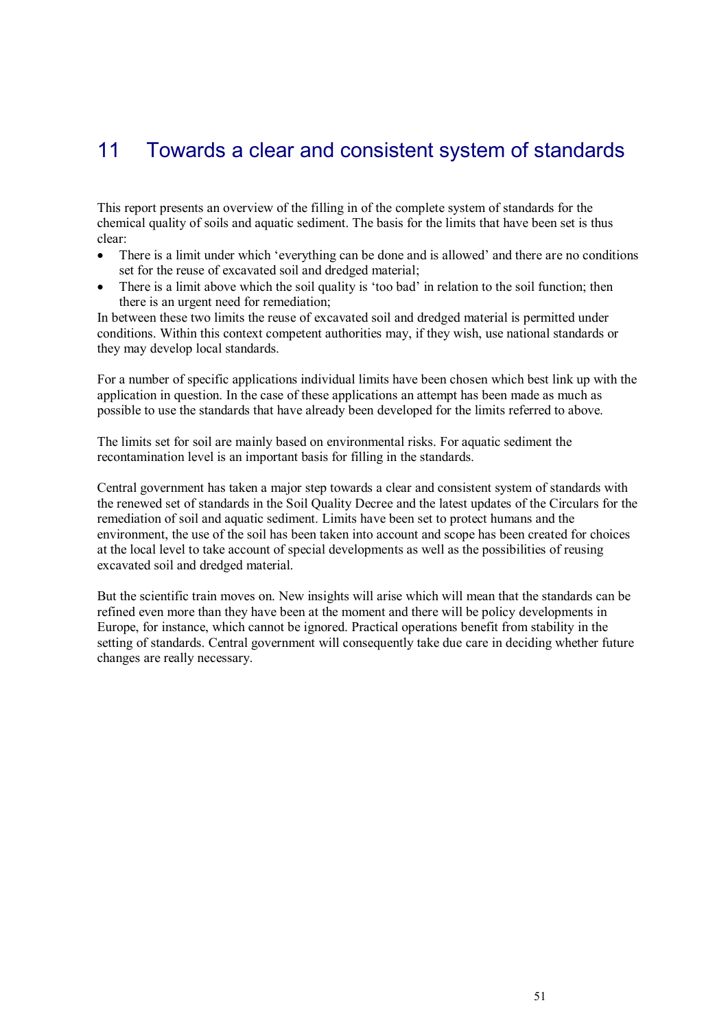### 11 Towards a clear and consistent system of standards

This report presents an overview of the filling in of the complete system of standards for the chemical quality of soils and aquatic sediment. The basis for the limits that have been set is thus clear:

- There is a limit under which 'everything can be done and is allowed' and there are no conditions set for the reuse of excavated soil and dredged material;
- There is a limit above which the soil quality is 'too bad' in relation to the soil function; then there is an urgent need for remediation;

In between these two limits the reuse of excavated soil and dredged material is permitted under conditions. Within this context competent authorities may, if they wish, use national standards or they may develop local standards.

For a number of specific applications individual limits have been chosen which best link up with the application in question. In the case of these applications an attempt has been made as much as possible to use the standards that have already been developed for the limits referred to above.

The limits set for soil are mainly based on environmental risks. For aquatic sediment the recontamination level is an important basis for filling in the standards.

Central government has taken a major step towards a clear and consistent system of standards with the renewed set of standards in the Soil Quality Decree and the latest updates of the Circulars for the remediation of soil and aquatic sediment. Limits have been set to protect humans and the environment, the use of the soil has been taken into account and scope has been created for choices at the local level to take account of special developments as well as the possibilities of reusing excavated soil and dredged material.

But the scientific train moves on. New insights will arise which will mean that the standards can be refined even more than they have been at the moment and there will be policy developments in Europe, for instance, which cannot be ignored. Practical operations benefit from stability in the setting of standards. Central government will consequently take due care in deciding whether future changes are really necessary.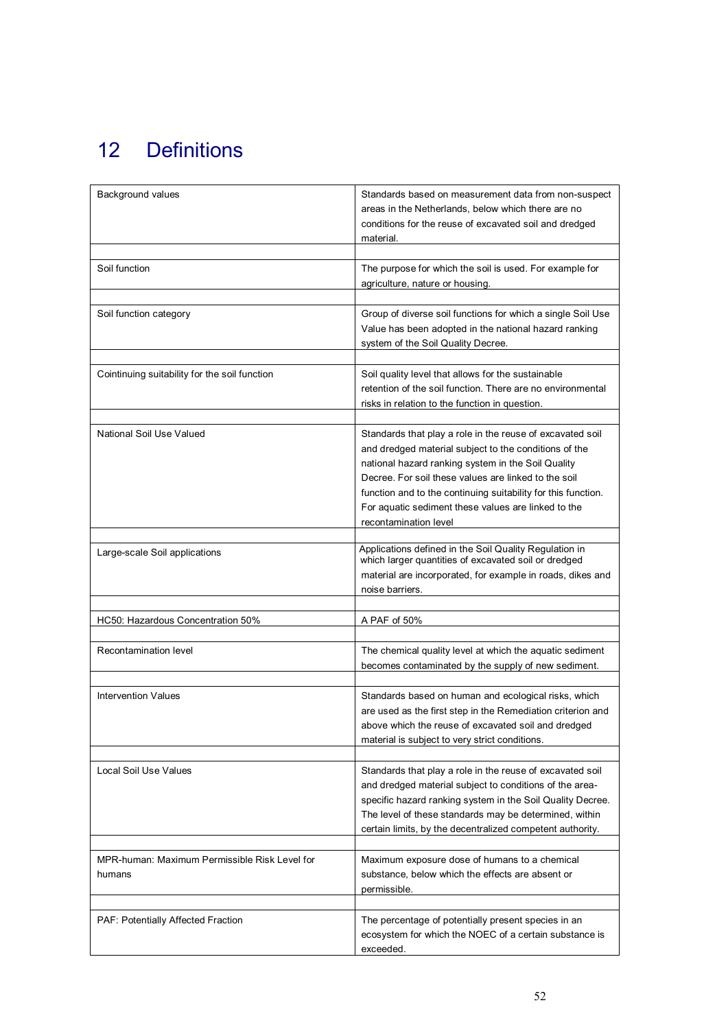# 12 Definitions

| Background values                                       | Standards based on measurement data from non-suspect<br>areas in the Netherlands, below which there are no<br>conditions for the reuse of excavated soil and dredged<br>material.                                                                                                                                                                                                 |
|---------------------------------------------------------|-----------------------------------------------------------------------------------------------------------------------------------------------------------------------------------------------------------------------------------------------------------------------------------------------------------------------------------------------------------------------------------|
| Soil function                                           | The purpose for which the soil is used. For example for<br>agriculture, nature or housing.                                                                                                                                                                                                                                                                                        |
| Soil function category                                  | Group of diverse soil functions for which a single Soil Use<br>Value has been adopted in the national hazard ranking<br>system of the Soil Quality Decree.                                                                                                                                                                                                                        |
| Cointinuing suitability for the soil function           | Soil quality level that allows for the sustainable<br>retention of the soil function. There are no environmental<br>risks in relation to the function in question.                                                                                                                                                                                                                |
| National Soil Use Valued                                | Standards that play a role in the reuse of excavated soil<br>and dredged material subject to the conditions of the<br>national hazard ranking system in the Soil Quality<br>Decree. For soil these values are linked to the soil<br>function and to the continuing suitability for this function.<br>For aquatic sediment these values are linked to the<br>recontamination level |
| Large-scale Soil applications                           | Applications defined in the Soil Quality Regulation in<br>which larger quantities of excavated soil or dredged<br>material are incorporated, for example in roads, dikes and<br>noise barriers.                                                                                                                                                                                   |
| HC50: Hazardous Concentration 50%                       | A PAF of 50%                                                                                                                                                                                                                                                                                                                                                                      |
| Recontamination level                                   | The chemical quality level at which the aquatic sediment<br>becomes contaminated by the supply of new sediment.                                                                                                                                                                                                                                                                   |
| <b>Intervention Values</b>                              | Standards based on human and ecological risks, which<br>are used as the first step in the Remediation criterion and<br>above which the reuse of excavated soil and dredged<br>material is subject to very strict conditions.                                                                                                                                                      |
| Local Soil Use Values                                   | Standards that play a role in the reuse of excavated soil<br>and dredged material subject to conditions of the area-<br>specific hazard ranking system in the Soil Quality Decree.<br>The level of these standards may be determined, within<br>certain limits, by the decentralized competent authority.                                                                         |
| MPR-human: Maximum Permissible Risk Level for<br>humans | Maximum exposure dose of humans to a chemical<br>substance, below which the effects are absent or<br>permissible.                                                                                                                                                                                                                                                                 |
| PAF: Potentially Affected Fraction                      | The percentage of potentially present species in an<br>ecosystem for which the NOEC of a certain substance is<br>exceeded.                                                                                                                                                                                                                                                        |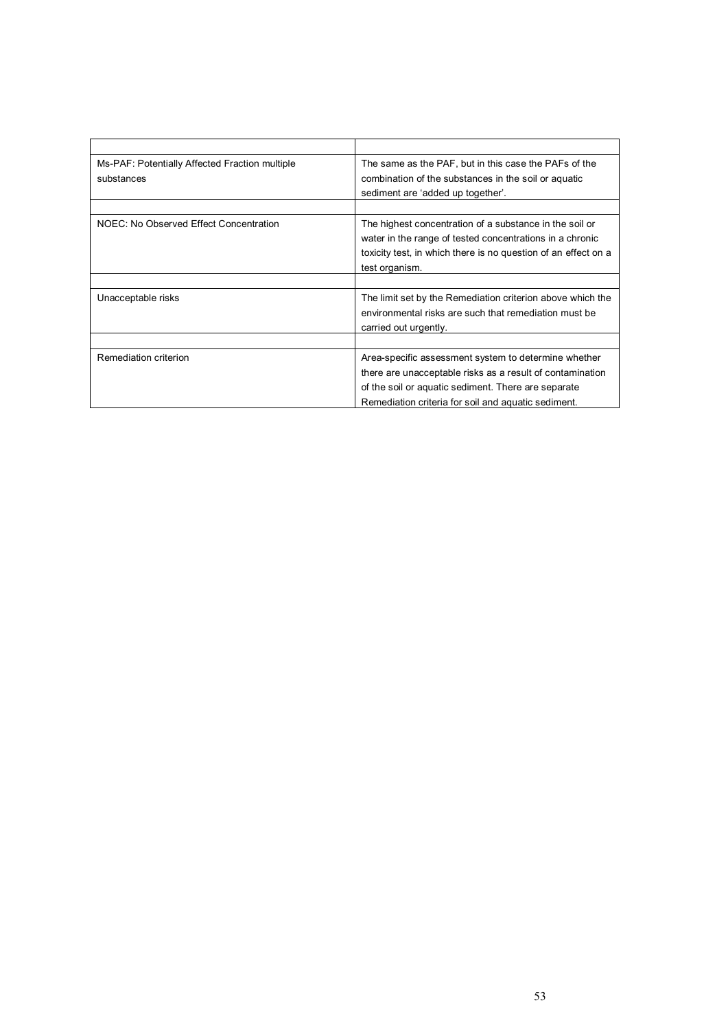| Ms-PAF: Potentially Affected Fraction multiple<br>substances | The same as the PAF, but in this case the PAFs of the<br>combination of the substances in the soil or aquatic<br>sediment are 'added up together'.                                                                              |
|--------------------------------------------------------------|---------------------------------------------------------------------------------------------------------------------------------------------------------------------------------------------------------------------------------|
| NOEC: No Observed Effect Concentration                       | The highest concentration of a substance in the soil or<br>water in the range of tested concentrations in a chronic<br>toxicity test, in which there is no question of an effect on a<br>test organism.                         |
|                                                              |                                                                                                                                                                                                                                 |
| Unacceptable risks                                           | The limit set by the Remediation criterion above which the<br>environmental risks are such that remediation must be<br>carried out urgently.                                                                                    |
|                                                              |                                                                                                                                                                                                                                 |
| Remediation criterion                                        | Area-specific assessment system to determine whether<br>there are unacceptable risks as a result of contamination<br>of the soil or aquatic sediment. There are separate<br>Remediation criteria for soil and aquatic sediment. |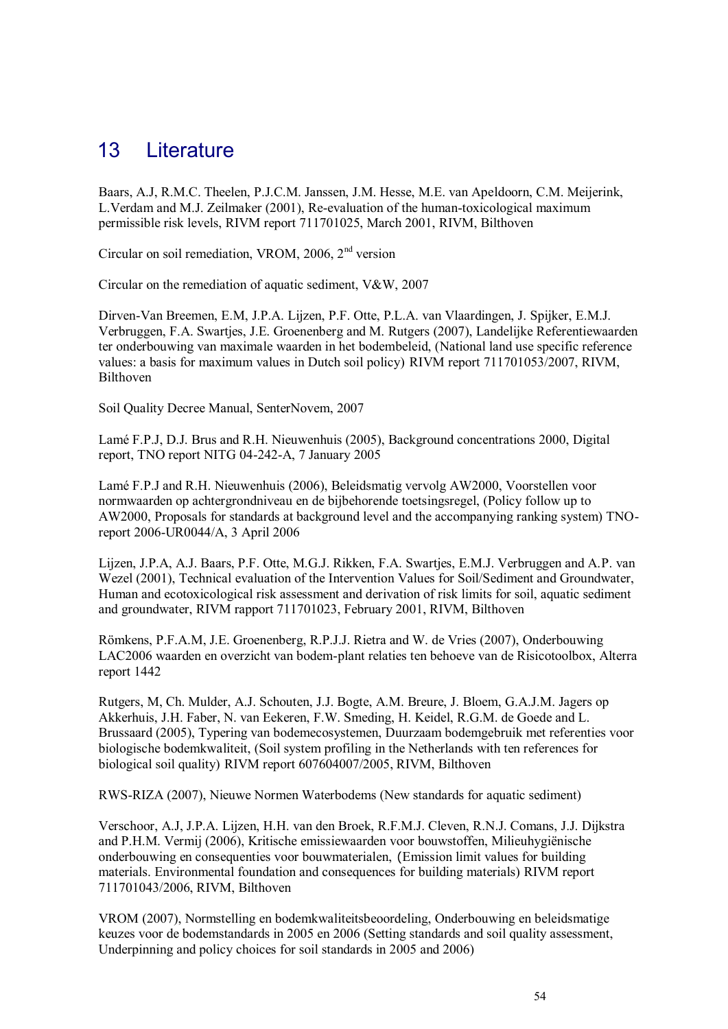### 13 Literature

Baars, A.J, R.M.C. Theelen, P.J.C.M. Janssen, J.M. Hesse, M.E. van Apeldoorn, C.M. Meijerink, L.Verdam and M.J. Zeilmaker (2001), Re-evaluation of the human-toxicological maximum permissible risk levels, RIVM report 711701025, March 2001, RIVM, Bilthoven

Circular on soil remediation, VROM,  $2006$ ,  $2<sup>nd</sup>$  version

Circular on the remediation of aquatic sediment, V&W, 2007

Dirven-Van Breemen, E.M, J.P.A. Lijzen, P.F. Otte, P.L.A. van Vlaardingen, J. Spijker, E.M.J. Verbruggen, F.A. Swartjes, J.E. Groenenberg and M. Rutgers (2007), Landelijke Referentiewaarden ter onderbouwing van maximale waarden in het bodembeleid, (National land use specific reference values: a basis for maximum values in Dutch soil policy) RIVM report 711701053/2007, RIVM, Bilthoven

Soil Quality Decree Manual, SenterNovem, 2007

Lamé F.P.J, D.J. Brus and R.H. Nieuwenhuis (2005), Background concentrations 2000, Digital report, TNO report NITG 04-242-A, 7 January 2005

Lamé F.P.J and R.H. Nieuwenhuis (2006), Beleidsmatig vervolg AW2000, Voorstellen voor normwaarden op achtergrondniveau en de bijbehorende toetsingsregel, (Policy follow up to AW2000, Proposals for standards at background level and the accompanying ranking system) TNOreport 2006-UR0044/A, 3 April 2006

Lijzen, J.P.A, A.J. Baars, P.F. Otte, M.G.J. Rikken, F.A. Swartjes, E.M.J. Verbruggen and A.P. van Wezel (2001), Technical evaluation of the Intervention Values for Soil/Sediment and Groundwater, Human and ecotoxicological risk assessment and derivation of risk limits for soil, aquatic sediment and groundwater, RIVM rapport 711701023, February 2001, RIVM, Bilthoven

Römkens, P.F.A.M, J.E. Groenenberg, R.P.J.J. Rietra and W. de Vries (2007), Onderbouwing LAC2006 waarden en overzicht van bodem-plant relaties ten behoeve van de Risicotoolbox, Alterra report 1442

Rutgers, M, Ch. Mulder, A.J. Schouten, J.J. Bogte, A.M. Breure, J. Bloem, G.A.J.M. Jagers op Akkerhuis, J.H. Faber, N. van Eekeren, F.W. Smeding, H. Keidel, R.G.M. de Goede and L. Brussaard (2005), Typering van bodemecosystemen, Duurzaam bodemgebruik met referenties voor biologische bodemkwaliteit, (Soil system profiling in the Netherlands with ten references for biological soil quality) RIVM report 607604007/2005, RIVM, Bilthoven

RWS-RIZA (2007), Nieuwe Normen Waterbodems (New standards for aquatic sediment)

Verschoor, A.J, J.P.A. Lijzen, H.H. van den Broek, R.F.M.J. Cleven, R.N.J. Comans, J.J. Dijkstra and P.H.M. Vermij (2006), Kritische emissiewaarden voor bouwstoffen, Milieuhygiënische onderbouwing en consequenties voor bouwmaterialen, (Emission limit values for building materials. Environmental foundation and consequences for building materials) RIVM report 711701043/2006, RIVM, Bilthoven

VROM (2007), Normstelling en bodemkwaliteitsbeoordeling, Onderbouwing en beleidsmatige keuzes voor de bodemstandards in 2005 en 2006 (Setting standards and soil quality assessment, Underpinning and policy choices for soil standards in 2005 and 2006)